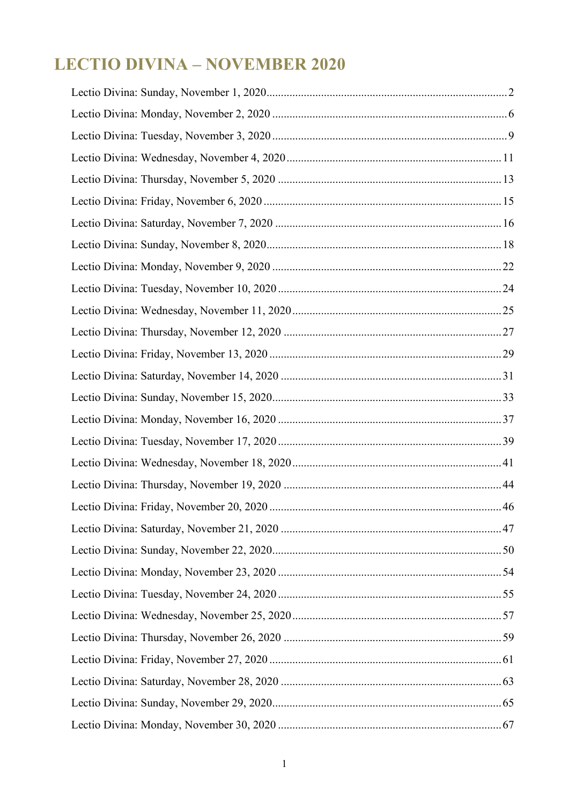# **LECTIO DIVINA – NOVEMBER 2020**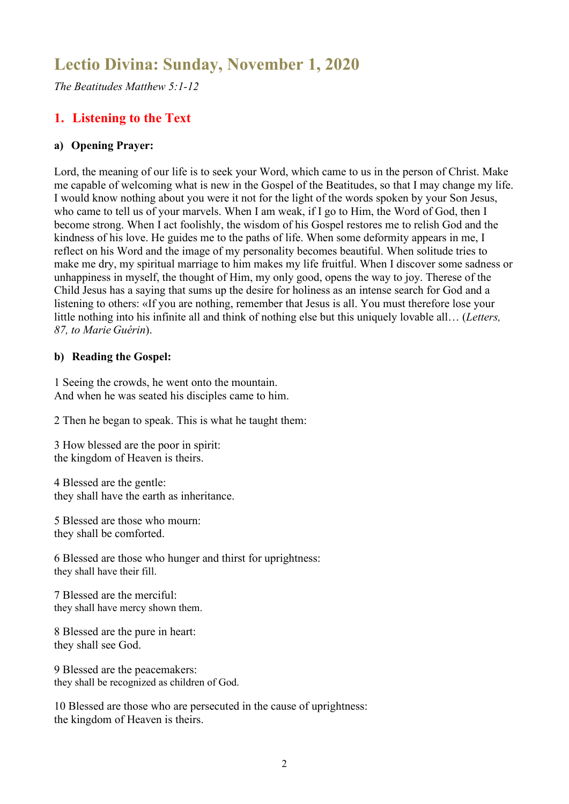# <span id="page-1-0"></span>**Lectio Divina: Sunday, November 1, 2020**

*The Beatitudes Matthew 5:1-12*

# **1. Listening to the Text**

### **a) Opening Prayer:**

Lord, the meaning of our life is to seek your Word, which came to us in the person of Christ. Make me capable of welcoming what is new in the Gospel of the Beatitudes, so that I may change my life. I would know nothing about you were it not for the light of the words spoken by your Son Jesus, who came to tell us of your marvels. When I am weak, if I go to Him, the Word of God, then I become strong. When I act foolishly, the wisdom of his Gospel restores me to relish God and the kindness of his love. He guides me to the paths of life. When some deformity appears in me, I reflect on his Word and the image of my personality becomes beautiful. When solitude tries to make me dry, my spiritual marriage to him makes my life fruitful. When I discover some sadness or unhappiness in myself, the thought of Him, my only good, opens the way to joy. Therese of the Child Jesus has a saying that sums up the desire for holiness as an intense search for God and a listening to others: «If you are nothing, remember that Jesus is all. You must therefore lose your little nothing into his infinite all and think of nothing else but this uniquely lovable all… (*Letters, 87, to Marie Guérin*).

### **b) Reading the Gospel:**

1 Seeing the crowds, he went onto the mountain. And when he was seated his disciples came to him.

2 Then he began to speak. This is what he taught them:

3 How blessed are the poor in spirit: the kingdom of Heaven is theirs.

4 Blessed are the gentle: they shall have the earth as inheritance.

5 Blessed are those who mourn: they shall be comforted.

6 Blessed are those who hunger and thirst for uprightness: they shall have their fill.

7 Blessed are the merciful: they shall have mercy shown them.

8 Blessed are the pure in heart: they shall see God.

9 Blessed are the peacemakers: they shall be recognized as children of God.

10 Blessed are those who are persecuted in the cause of uprightness: the kingdom of Heaven is theirs.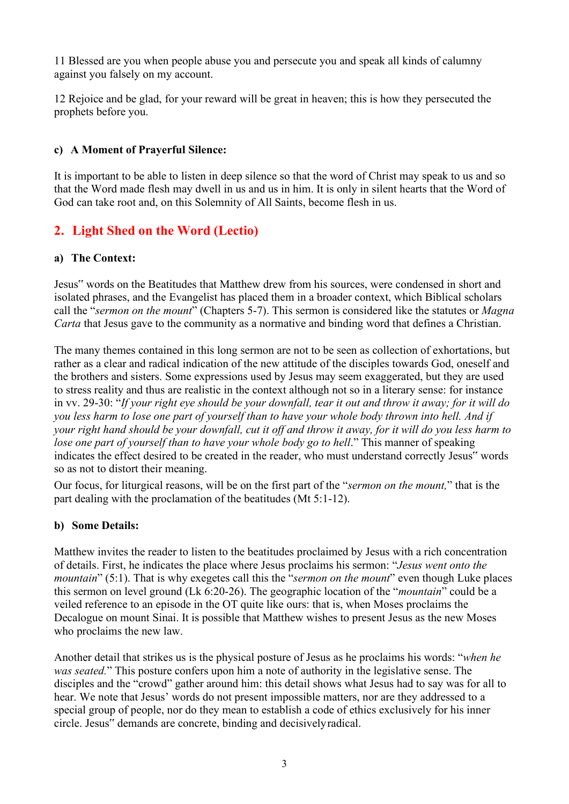11 Blessed are you when people abuse you and persecute you and speak all kinds of calumny against you falsely on my account.

12 Rejoice and be glad, for your reward will be great in heaven; this is how they persecuted the prophets before you.

#### **c) A Moment of Prayerful Silence:**

It is important to be able to listen in deep silence so that the word of Christ may speak to us and so that the Word made flesh may dwell in us and us in him. It is only in silent hearts that the Word of God can take root and, on this Solemnity of All Saints, become flesh in us.

# **2. Light Shed on the Word (Lectio)**

#### **a) The Context:**

Jesus" words on the Beatitudes that Matthew drew from his sources, were condensed in short and isolated phrases, and the Evangelist has placed them in a broader context, which Biblical scholars call the "*sermon on the mount*" (Chapters 5-7). This sermon is considered like the statutes or *Magna Carta* that Jesus gave to the community as a normative and binding word that defines a Christian.

The many themes contained in this long sermon are not to be seen as collection of exhortations, but rather as a clear and radical indication of the new attitude of the disciples towards God, oneself and the brothers and sisters. Some expressions used by Jesus may seem exaggerated, but they are used to stress reality and thus are realistic in the context although not so in a literary sense: for instance in vv. 29-30: "*If your right eye should be your downfall, tear it out and throw it away; for it will do you less harm to lose one part of yourself than to have your whole body thrown into hell. And if your right hand should be your downfall, cut it off and throw it away, for it will do you less harm to lose one part of yourself than to have your whole body go to hell*." This manner of speaking indicates the effect desired to be created in the reader, who must understand correctly Jesus" words so as not to distort their meaning.

Our focus, for liturgical reasons, will be on the first part of the "*sermon on the mount,*" that is the part dealing with the proclamation of the beatitudes (Mt 5:1-12).

#### **b) Some Details:**

Matthew invites the reader to listen to the beatitudes proclaimed by Jesus with a rich concentration of details. First, he indicates the place where Jesus proclaims his sermon: "*Jesus went onto the mountain*" (5:1). That is why exegetes call this the "*sermon on the mount*" even though Luke places this sermon on level ground (Lk 6:20-26). The geographic location of the "*mountain*" could be a veiled reference to an episode in the OT quite like ours: that is, when Moses proclaims the Decalogue on mount Sinai. It is possible that Matthew wishes to present Jesus as the new Moses who proclaims the new law.

Another detail that strikes us is the physical posture of Jesus as he proclaims his words: "*when he was seated.*" This posture confers upon him a note of authority in the legislative sense. The disciples and the "crowd" gather around him: this detail shows what Jesus had to say was for all to hear. We note that Jesus' words do not present impossible matters, nor are they addressed to a special group of people, nor do they mean to establish a code of ethics exclusively for his inner circle. Jesus" demands are concrete, binding and decisivelyradical.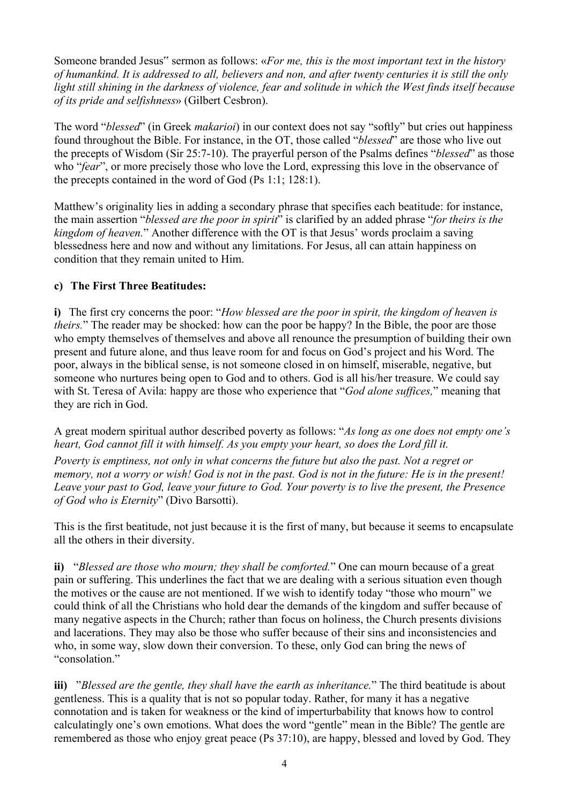Someone branded Jesus" sermon as follows: «*For me, this is the most important text in the history of humankind. It is addressed to all, believers and non, and after twenty centuries it is still the only light still shining in the darkness of violence, fear and solitude in which the West finds itself because of its pride and selfishness*» (Gilbert Cesbron).

The word "*blessed*" (in Greek *makarioi*) in our context does not say "softly" but cries out happiness found throughout the Bible. For instance, in the OT, those called "*blessed*" are those who live out the precepts of Wisdom (Sir 25:7-10). The prayerful person of the Psalms defines "*blessed*" as those who "*fear*", or more precisely those who love the Lord, expressing this love in the observance of the precepts contained in the word of God (Ps 1:1; 128:1).

Matthew's originality lies in adding a secondary phrase that specifies each beatitude: for instance, the main assertion "*blessed are the poor in spirit*" is clarified by an added phrase "*for theirs is the kingdom of heaven.*" Another difference with the OT is that Jesus' words proclaim a saving blessedness here and now and without any limitations. For Jesus, all can attain happiness on condition that they remain united to Him.

#### **c) The First Three Beatitudes:**

**i)** The first cry concerns the poor: "*How blessed are the poor in spirit, the kingdom of heaven is theirs.*" The reader may be shocked: how can the poor be happy? In the Bible, the poor are those who empty themselves of themselves and above all renounce the presumption of building their own present and future alone, and thus leave room for and focus on God's project and his Word. The poor, always in the biblical sense, is not someone closed in on himself, miserable, negative, but someone who nurtures being open to God and to others. God is all his/her treasure. We could say with St. Teresa of Avila: happy are those who experience that "*God alone suffices,*" meaning that they are rich in God.

A great modern spiritual author described poverty as follows: "*As long as one does not empty one's heart, God cannot fill it with himself. As you empty your heart, so does the Lord fill it.*

*Poverty is emptiness, not only in what concerns the future but also the past. Not a regret or memory, not a worry or wish! God is not in the past. God is not in the future: He is in the present! Leave your past to God, leave your future to God. Your poverty is to live the present, the Presence of God who is Eternity*" (Divo Barsotti).

This is the first beatitude, not just because it is the first of many, but because it seems to encapsulate all the others in their diversity.

**ii)** "*Blessed are those who mourn; they shall be comforted.*" One can mourn because of a great pain or suffering. This underlines the fact that we are dealing with a serious situation even though the motives or the cause are not mentioned. If we wish to identify today "those who mourn" we could think of all the Christians who hold dear the demands of the kingdom and suffer because of many negative aspects in the Church; rather than focus on holiness, the Church presents divisions and lacerations. They may also be those who suffer because of their sins and inconsistencies and who, in some way, slow down their conversion. To these, only God can bring the news of "consolation."

**iii)** "*Blessed are the gentle, they shall have the earth as inheritance.*" The third beatitude is about gentleness. This is a quality that is not so popular today. Rather, for many it has a negative connotation and is taken for weakness or the kind of imperturbability that knows how to control calculatingly one's own emotions. What does the word "gentle" mean in the Bible? The gentle are remembered as those who enjoy great peace (Ps 37:10), are happy, blessed and loved by God. They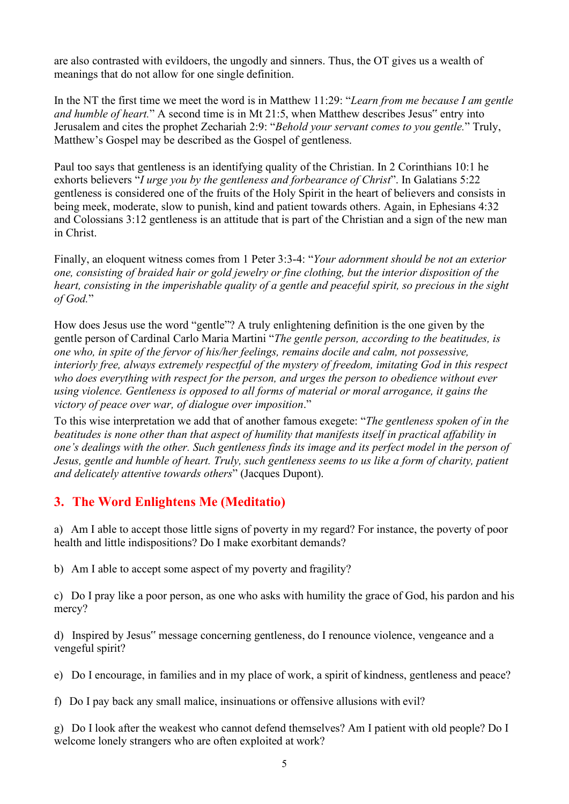are also contrasted with evildoers, the ungodly and sinners. Thus, the OT gives us a wealth of meanings that do not allow for one single definition.

In the NT the first time we meet the word is in Matthew 11:29: "*Learn from me because I am gentle and humble of heart.*" A second time is in Mt 21:5, when Matthew describes Jesus" entry into Jerusalem and cites the prophet Zechariah 2:9: "*Behold your servant comes to you gentle.*" Truly, Matthew's Gospel may be described as the Gospel of gentleness.

Paul too says that gentleness is an identifying quality of the Christian. In 2 Corinthians 10:1 he exhorts believers "*I urge you by the gentleness and forbearance of Christ*". In Galatians 5:22 gentleness is considered one of the fruits of the Holy Spirit in the heart of believers and consists in being meek, moderate, slow to punish, kind and patient towards others. Again, in Ephesians 4:32 and Colossians 3:12 gentleness is an attitude that is part of the Christian and a sign of the new man in Christ.

Finally, an eloquent witness comes from 1 Peter 3:3-4: "*Your adornment should be not an exterior one, consisting of braided hair or gold jewelry or fine clothing, but the interior disposition of the heart, consisting in the imperishable quality of a gentle and peaceful spirit, so precious in the sight of God.*"

How does Jesus use the word "gentle"? A truly enlightening definition is the one given by the gentle person of Cardinal Carlo Maria Martini "*The gentle person, according to the beatitudes, is one who, in spite of the fervor of his/her feelings, remains docile and calm, not possessive, interiorly free, always extremely respectful of the mystery of freedom, imitating God in this respect who does everything with respect for the person, and urges the person to obedience without ever using violence. Gentleness is opposed to all forms of material or moral arrogance, it gains the victory of peace over war, of dialogue over imposition*."

To this wise interpretation we add that of another famous exegete: "*The gentleness spoken of in the beatitudes is none other than that aspect of humility that manifests itself in practical affability in one's dealings with the other. Such gentleness finds its image and its perfect model in the person of Jesus, gentle and humble of heart. Truly, such gentleness seems to us like a form of charity, patient and delicately attentive towards others*" (Jacques Dupont).

# **3. The Word Enlightens Me (Meditatio)**

a) Am I able to accept those little signs of poverty in my regard? For instance, the poverty of poor health and little indispositions? Do I make exorbitant demands?

b) Am I able to accept some aspect of my poverty and fragility?

c) Do I pray like a poor person, as one who asks with humility the grace of God, his pardon and his mercy?

d) Inspired by Jesus" message concerning gentleness, do I renounce violence, vengeance and a vengeful spirit?

e) Do I encourage, in families and in my place of work, a spirit of kindness, gentleness and peace?

f) Do I pay back any small malice, insinuations or offensive allusions with evil?

g) Do I look after the weakest who cannot defend themselves? Am I patient with old people? Do I welcome lonely strangers who are often exploited at work?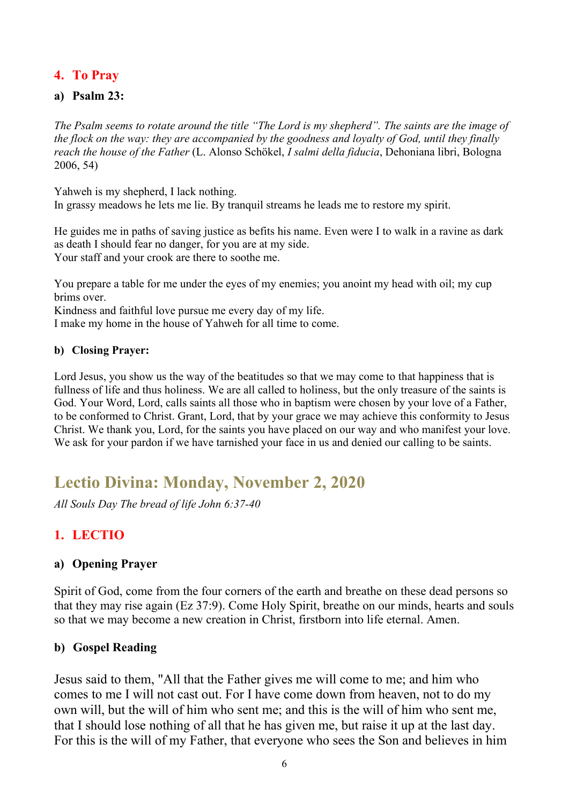# **4. To Pray**

### **a) Psalm 23:**

*The Psalm seems to rotate around the title "The Lord is my shepherd". The saints are the image of the flock on the way: they are accompanied by the goodness and loyalty of God, until they finally reach the house of the Father* (L. Alonso Schökel, *I salmi della fiducia*, Dehoniana libri, Bologna 2006, 54)

Yahweh is my shepherd, I lack nothing. In grassy meadows he lets me lie. By tranquil streams he leads me to restore my spirit.

He guides me in paths of saving justice as befits his name. Even were I to walk in a ravine as dark as death I should fear no danger, for you are at my side. Your staff and your crook are there to soothe me.

You prepare a table for me under the eyes of my enemies; you anoint my head with oil; my cup brims over.

Kindness and faithful love pursue me every day of my life. I make my home in the house of Yahweh for all time to come.

### **b) Closing Prayer:**

Lord Jesus, you show us the way of the beatitudes so that we may come to that happiness that is fullness of life and thus holiness. We are all called to holiness, but the only treasure of the saints is God. Your Word, Lord, calls saints all those who in baptism were chosen by your love of a Father, to be conformed to Christ. Grant, Lord, that by your grace we may achieve this conformity to Jesus Christ. We thank you, Lord, for the saints you have placed on our way and who manifest your love. We ask for your pardon if we have tarnished your face in us and denied our calling to be saints.

# <span id="page-5-0"></span>**Lectio Divina: Monday, November 2, 2020**

*All Souls Day The bread of life John 6:37-40*

# **1. LECTIO**

### **a) Opening Prayer**

Spirit of God, come from the four corners of the earth and breathe on these dead persons so that they may rise again (Ez 37:9). Come Holy Spirit, breathe on our minds, hearts and souls so that we may become a new creation in Christ, firstborn into life eternal. Amen.

### **b) Gospel Reading**

Jesus said to them, "All that the Father gives me will come to me; and him who comes to me I will not cast out. For I have come down from heaven, not to do my own will, but the will of him who sent me; and this is the will of him who sent me, that I should lose nothing of all that he has given me, but raise it up at the last day. For this is the will of my Father, that everyone who sees the Son and believes in him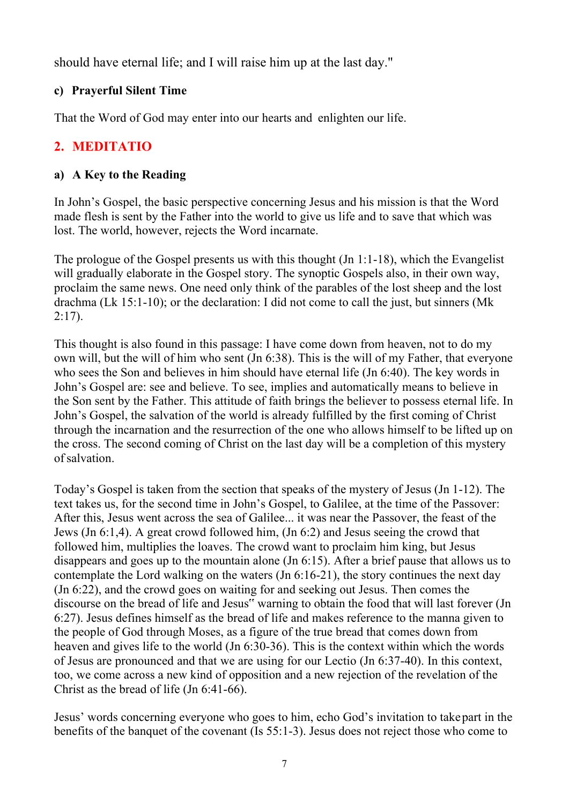should have eternal life; and I will raise him up at the last day."

## **c) Prayerful Silent Time**

That the Word of God may enter into our hearts and enlighten our life.

# **2. MEDITATIO**

## **a) A Key to the Reading**

In John's Gospel, the basic perspective concerning Jesus and his mission is that the Word made flesh is sent by the Father into the world to give us life and to save that which was lost. The world, however, rejects the Word incarnate.

The prologue of the Gospel presents us with this thought (Jn 1:1-18), which the Evangelist will gradually elaborate in the Gospel story. The synoptic Gospels also, in their own way, proclaim the same news. One need only think of the parables of the lost sheep and the lost drachma (Lk 15:1-10); or the declaration: I did not come to call the just, but sinners (Mk  $2:17$ ).

This thought is also found in this passage: I have come down from heaven, not to do my own will, but the will of him who sent (Jn 6:38). This is the will of my Father, that everyone who sees the Son and believes in him should have eternal life (Jn 6:40). The key words in John's Gospel are: see and believe. To see, implies and automatically means to believe in the Son sent by the Father. This attitude of faith brings the believer to possess eternal life. In John's Gospel, the salvation of the world is already fulfilled by the first coming of Christ through the incarnation and the resurrection of the one who allows himself to be lifted up on the cross. The second coming of Christ on the last day will be a completion of this mystery ofsalvation.

Today's Gospel is taken from the section that speaks of the mystery of Jesus (Jn 1-12). The text takes us, for the second time in John's Gospel, to Galilee, at the time of the Passover: After this, Jesus went across the sea of Galilee... it was near the Passover, the feast of the Jews (Jn 6:1,4). A great crowd followed him, (Jn 6:2) and Jesus seeing the crowd that followed him, multiplies the loaves. The crowd want to proclaim him king, but Jesus disappears and goes up to the mountain alone (Jn 6:15). After a brief pause that allows us to contemplate the Lord walking on the waters (Jn 6:16-21), the story continues the next day (Jn 6:22), and the crowd goes on waiting for and seeking out Jesus. Then comes the discourse on the bread of life and Jesus" warning to obtain the food that will last forever (Jn 6:27). Jesus defines himself as the bread of life and makes reference to the manna given to the people of God through Moses, as a figure of the true bread that comes down from heaven and gives life to the world (Jn 6:30-36). This is the context within which the words of Jesus are pronounced and that we are using for our Lectio (Jn 6:37-40). In this context, too, we come across a new kind of opposition and a new rejection of the revelation of the Christ as the bread of life (Jn 6:41-66).

Jesus' words concerning everyone who goes to him, echo God's invitation to takepart in the benefits of the banquet of the covenant (Is 55:1-3). Jesus does not reject those who come to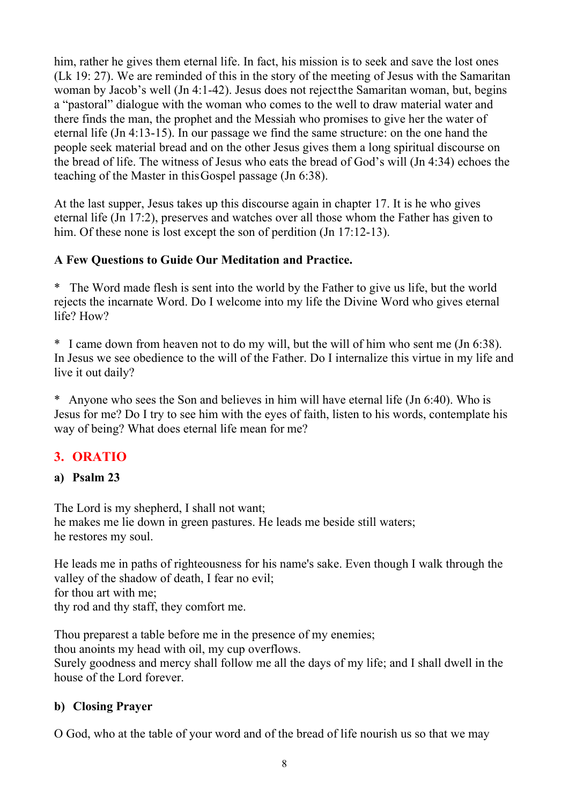him, rather he gives them eternal life. In fact, his mission is to seek and save the lost ones (Lk 19: 27). We are reminded of this in the story of the meeting of Jesus with the Samaritan woman by Jacob's well (Jn 4:1-42). Jesus does not rejectthe Samaritan woman, but, begins a "pastoral" dialogue with the woman who comes to the well to draw material water and there finds the man, the prophet and the Messiah who promises to give her the water of eternal life (Jn 4:13-15). In our passage we find the same structure: on the one hand the people seek material bread and on the other Jesus gives them a long spiritual discourse on the bread of life. The witness of Jesus who eats the bread of God's will (Jn 4:34) echoes the teaching of the Master in thisGospel passage (Jn 6:38).

At the last supper, Jesus takes up this discourse again in chapter 17. It is he who gives eternal life (Jn 17:2), preserves and watches over all those whom the Father has given to him. Of these none is lost except the son of perdition (Jn 17:12-13).

### **A Few Questions to Guide Our Meditation and Practice.**

\* The Word made flesh is sent into the world by the Father to give us life, but the world rejects the incarnate Word. Do I welcome into my life the Divine Word who gives eternal life? How?

\* I came down from heaven not to do my will, but the will of him who sent me (Jn 6:38). In Jesus we see obedience to the will of the Father. Do I internalize this virtue in my life and live it out daily?

\* Anyone who sees the Son and believes in him will have eternal life (Jn 6:40). Who is Jesus for me? Do I try to see him with the eyes of faith, listen to his words, contemplate his way of being? What does eternal life mean for me?

# **3. ORATIO**

### **a) Psalm 23**

The Lord is my shepherd, I shall not want; he makes me lie down in green pastures. He leads me beside still waters; he restores my soul.

He leads me in paths of righteousness for his name's sake. Even though I walk through the valley of the shadow of death, I fear no evil; for thou art with me; thy rod and thy staff, they comfort me.

Thou preparest a table before me in the presence of my enemies; thou anoints my head with oil, my cup overflows. Surely goodness and mercy shall follow me all the days of my life; and I shall dwell in the house of the Lord forever.

# **b) Closing Prayer**

O God, who at the table of your word and of the bread of life nourish us so that we may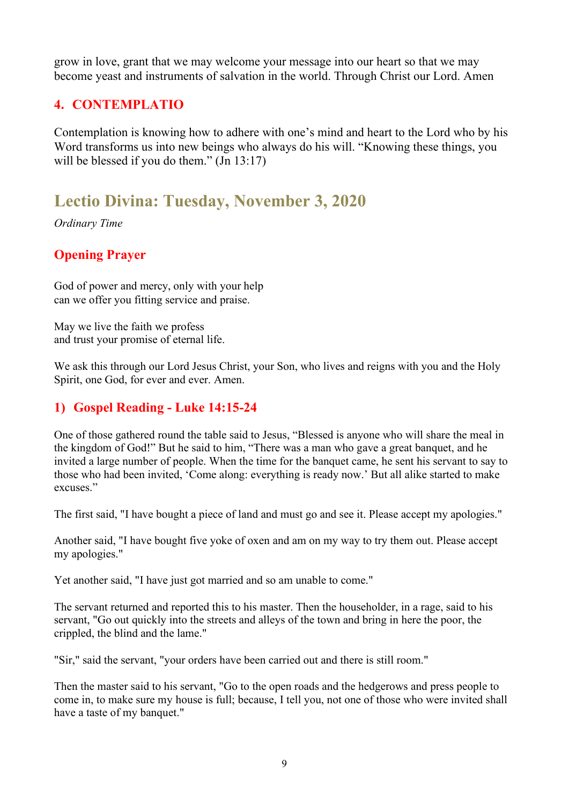grow in love, grant that we may welcome your message into our heart so that we may become yeast and instruments of salvation in the world. Through Christ our Lord. Amen

### **4. CONTEMPLATIO**

Contemplation is knowing how to adhere with one's mind and heart to the Lord who by his Word transforms us into new beings who always do his will. "Knowing these things, you will be blessed if you do them." (Jn 13:17)

# <span id="page-8-0"></span>**Lectio Divina: Tuesday, November 3, 2020**

*Ordinary Time*

# **Opening Prayer**

God of power and mercy, only with your help can we offer you fitting service and praise.

May we live the faith we profess and trust your promise of eternal life.

We ask this through our Lord Jesus Christ, your Son, who lives and reigns with you and the Holy Spirit, one God, for ever and ever. Amen.

# **1) Gospel Reading - Luke 14:15-24**

One of those gathered round the table said to Jesus, "Blessed is anyone who will share the meal in the kingdom of God!" But he said to him, "There was a man who gave a great banquet, and he invited a large number of people. When the time for the banquet came, he sent his servant to say to those who had been invited, 'Come along: everything is ready now.' But all alike started to make excuses."

The first said, "I have bought a piece of land and must go and see it. Please accept my apologies."

Another said, "I have bought five yoke of oxen and am on my way to try them out. Please accept my apologies."

Yet another said, "I have just got married and so am unable to come."

The servant returned and reported this to his master. Then the householder, in a rage, said to his servant, "Go out quickly into the streets and alleys of the town and bring in here the poor, the crippled, the blind and the lame."

"Sir," said the servant, "your orders have been carried out and there is still room."

Then the master said to his servant, "Go to the open roads and the hedgerows and press people to come in, to make sure my house is full; because, I tell you, not one of those who were invited shall have a taste of my banquet."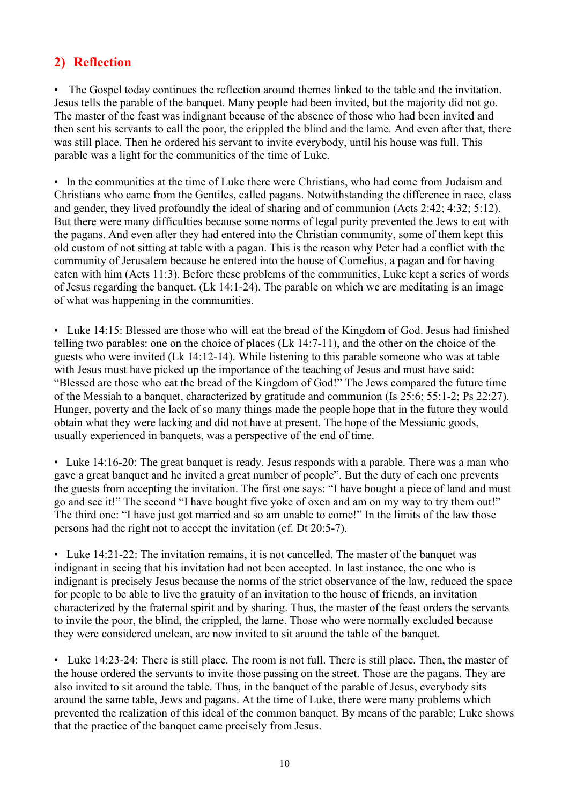# **2) Reflection**

• The Gospel today continues the reflection around themes linked to the table and the invitation. Jesus tells the parable of the banquet. Many people had been invited, but the majority did not go. The master of the feast was indignant because of the absence of those who had been invited and then sent his servants to call the poor, the crippled the blind and the lame. And even after that, there was still place. Then he ordered his servant to invite everybody, until his house was full. This parable was a light for the communities of the time of Luke.

• In the communities at the time of Luke there were Christians, who had come from Judaism and Christians who came from the Gentiles, called pagans. Notwithstanding the difference in race, class and gender, they lived profoundly the ideal of sharing and of communion (Acts 2:42; 4:32; 5:12). But there were many difficulties because some norms of legal purity prevented the Jews to eat with the pagans. And even after they had entered into the Christian community, some of them kept this old custom of not sitting at table with a pagan. This is the reason why Peter had a conflict with the community of Jerusalem because he entered into the house of Cornelius, a pagan and for having eaten with him (Acts 11:3). Before these problems of the communities, Luke kept a series of words of Jesus regarding the banquet. (Lk 14:1-24). The parable on which we are meditating is an image of what was happening in the communities.

• Luke 14:15: Blessed are those who will eat the bread of the Kingdom of God. Jesus had finished telling two parables: one on the choice of places (Lk 14:7-11), and the other on the choice of the guests who were invited (Lk 14:12-14). While listening to this parable someone who was at table with Jesus must have picked up the importance of the teaching of Jesus and must have said: "Blessed are those who eat the bread of the Kingdom of God!" The Jews compared the future time of the Messiah to a banquet, characterized by gratitude and communion (Is 25:6; 55:1-2; Ps 22:27). Hunger, poverty and the lack of so many things made the people hope that in the future they would obtain what they were lacking and did not have at present. The hope of the Messianic goods, usually experienced in banquets, was a perspective of the end of time.

• Luke 14:16-20: The great banquet is ready. Jesus responds with a parable. There was a man who gave a great banquet and he invited a great number of people". But the duty of each one prevents the guests from accepting the invitation. The first one says: "I have bought a piece of land and must go and see it!" The second "I have bought five yoke of oxen and am on my way to try them out!" The third one: "I have just got married and so am unable to come!" In the limits of the law those persons had the right not to accept the invitation (cf. Dt 20:5-7).

• Luke 14:21-22: The invitation remains, it is not cancelled. The master of the banquet was indignant in seeing that his invitation had not been accepted. In last instance, the one who is indignant is precisely Jesus because the norms of the strict observance of the law, reduced the space for people to be able to live the gratuity of an invitation to the house of friends, an invitation characterized by the fraternal spirit and by sharing. Thus, the master of the feast orders the servants to invite the poor, the blind, the crippled, the lame. Those who were normally excluded because they were considered unclean, are now invited to sit around the table of the banquet.

• Luke 14:23-24: There is still place. The room is not full. There is still place. Then, the master of the house ordered the servants to invite those passing on the street. Those are the pagans. They are also invited to sit around the table. Thus, in the banquet of the parable of Jesus, everybody sits around the same table, Jews and pagans. At the time of Luke, there were many problems which prevented the realization of this ideal of the common banquet. By means of the parable; Luke shows that the practice of the banquet came precisely from Jesus.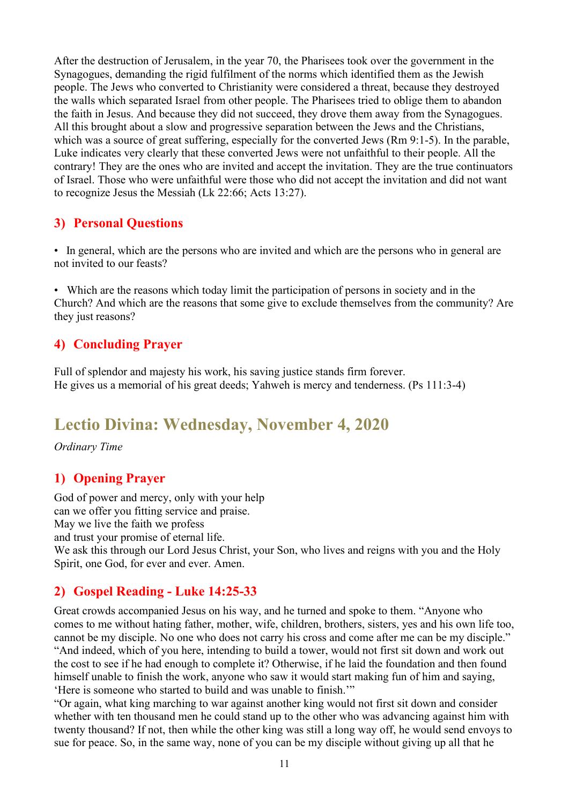After the destruction of Jerusalem, in the year 70, the Pharisees took over the government in the Synagogues, demanding the rigid fulfilment of the norms which identified them as the Jewish people. The Jews who converted to Christianity were considered a threat, because they destroyed the walls which separated Israel from other people. The Pharisees tried to oblige them to abandon the faith in Jesus. And because they did not succeed, they drove them away from the Synagogues. All this brought about a slow and progressive separation between the Jews and the Christians, which was a source of great suffering, especially for the converted Jews (Rm 9:1-5). In the parable, Luke indicates very clearly that these converted Jews were not unfaithful to their people. All the contrary! They are the ones who are invited and accept the invitation. They are the true continuators of Israel. Those who were unfaithful were those who did not accept the invitation and did not want to recognize Jesus the Messiah (Lk 22:66; Acts 13:27).

## **3) Personal Questions**

• In general, which are the persons who are invited and which are the persons who in general are not invited to our feasts?

• Which are the reasons which today limit the participation of persons in society and in the Church? And which are the reasons that some give to exclude themselves from the community? Are they just reasons?

# **4) Concluding Prayer**

Full of splendor and majesty his work, his saving justice stands firm forever. He gives us a memorial of his great deeds; Yahweh is mercy and tenderness. (Ps 111:3-4)

# <span id="page-10-0"></span>**Lectio Divina: Wednesday, November 4, 2020**

*Ordinary Time*

# **1) Opening Prayer**

God of power and mercy, only with your help can we offer you fitting service and praise. May we live the faith we profess and trust your promise of eternal life. We ask this through our Lord Jesus Christ, your Son, who lives and reigns with you and the Holy Spirit, one God, for ever and ever. Amen.

# **2) Gospel Reading - Luke 14:25-33**

Great crowds accompanied Jesus on his way, and he turned and spoke to them. "Anyone who comes to me without hating father, mother, wife, children, brothers, sisters, yes and his own life too, cannot be my disciple. No one who does not carry his cross and come after me can be my disciple." "And indeed, which of you here, intending to build a tower, would not first sit down and work out the cost to see if he had enough to complete it? Otherwise, if he laid the foundation and then found himself unable to finish the work, anyone who saw it would start making fun of him and saying, 'Here is someone who started to build and was unable to finish.'"

"Or again, what king marching to war against another king would not first sit down and consider whether with ten thousand men he could stand up to the other who was advancing against him with twenty thousand? If not, then while the other king was still a long way off, he would send envoys to sue for peace. So, in the same way, none of you can be my disciple without giving up all that he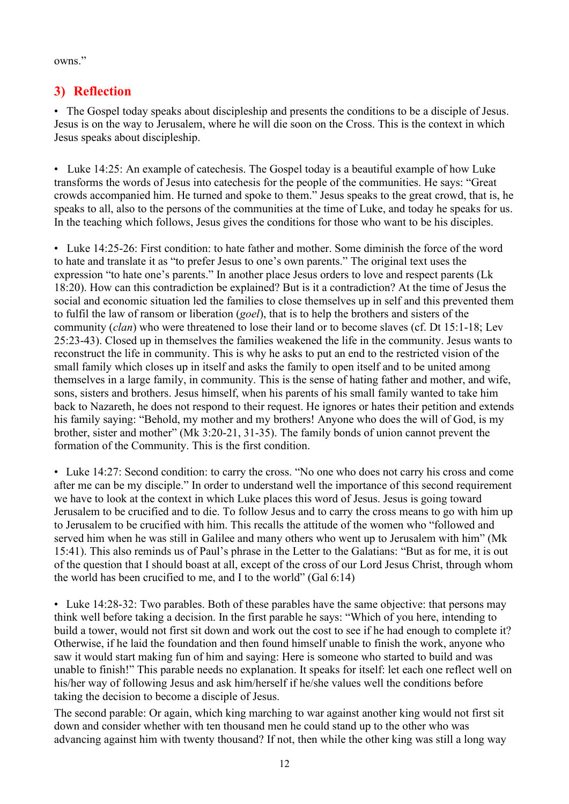owns."

# **3) Reflection**

• The Gospel today speaks about discipleship and presents the conditions to be a disciple of Jesus. Jesus is on the way to Jerusalem, where he will die soon on the Cross. This is the context in which Jesus speaks about discipleship.

• Luke 14:25: An example of catechesis. The Gospel today is a beautiful example of how Luke transforms the words of Jesus into catechesis for the people of the communities. He says: "Great crowds accompanied him. He turned and spoke to them." Jesus speaks to the great crowd, that is, he speaks to all, also to the persons of the communities at the time of Luke, and today he speaks for us. In the teaching which follows, Jesus gives the conditions for those who want to be his disciples.

• Luke 14:25-26: First condition: to hate father and mother. Some diminish the force of the word to hate and translate it as "to prefer Jesus to one's own parents." The original text uses the expression "to hate one's parents." In another place Jesus orders to love and respect parents (Lk 18:20). How can this contradiction be explained? But is it a contradiction? At the time of Jesus the social and economic situation led the families to close themselves up in self and this prevented them to fulfil the law of ransom or liberation (*goel*), that is to help the brothers and sisters of the community (*clan*) who were threatened to lose their land or to become slaves (cf. Dt 15:1-18; Lev 25:23-43). Closed up in themselves the families weakened the life in the community. Jesus wants to reconstruct the life in community. This is why he asks to put an end to the restricted vision of the small family which closes up in itself and asks the family to open itself and to be united among themselves in a large family, in community. This is the sense of hating father and mother, and wife, sons, sisters and brothers. Jesus himself, when his parents of his small family wanted to take him back to Nazareth, he does not respond to their request. He ignores or hates their petition and extends his family saying: "Behold, my mother and my brothers! Anyone who does the will of God, is my brother, sister and mother" (Mk 3:20-21, 31-35). The family bonds of union cannot prevent the formation of the Community. This is the first condition.

• Luke 14:27: Second condition: to carry the cross. "No one who does not carry his cross and come after me can be my disciple." In order to understand well the importance of this second requirement we have to look at the context in which Luke places this word of Jesus. Jesus is going toward Jerusalem to be crucified and to die. To follow Jesus and to carry the cross means to go with him up to Jerusalem to be crucified with him. This recalls the attitude of the women who "followed and served him when he was still in Galilee and many others who went up to Jerusalem with him" (Mk 15:41). This also reminds us of Paul's phrase in the Letter to the Galatians: "But as for me, it is out of the question that I should boast at all, except of the cross of our Lord Jesus Christ, through whom the world has been crucified to me, and I to the world" (Gal 6:14)

• Luke 14:28-32: Two parables. Both of these parables have the same objective: that persons may think well before taking a decision. In the first parable he says: "Which of you here, intending to build a tower, would not first sit down and work out the cost to see if he had enough to complete it? Otherwise, if he laid the foundation and then found himself unable to finish the work, anyone who saw it would start making fun of him and saying: Here is someone who started to build and was unable to finish!" This parable needs no explanation. It speaks for itself: let each one reflect well on his/her way of following Jesus and ask him/herself if he/she values well the conditions before taking the decision to become a disciple of Jesus.

The second parable: Or again, which king marching to war against another king would not first sit down and consider whether with ten thousand men he could stand up to the other who was advancing against him with twenty thousand? If not, then while the other king was still a long way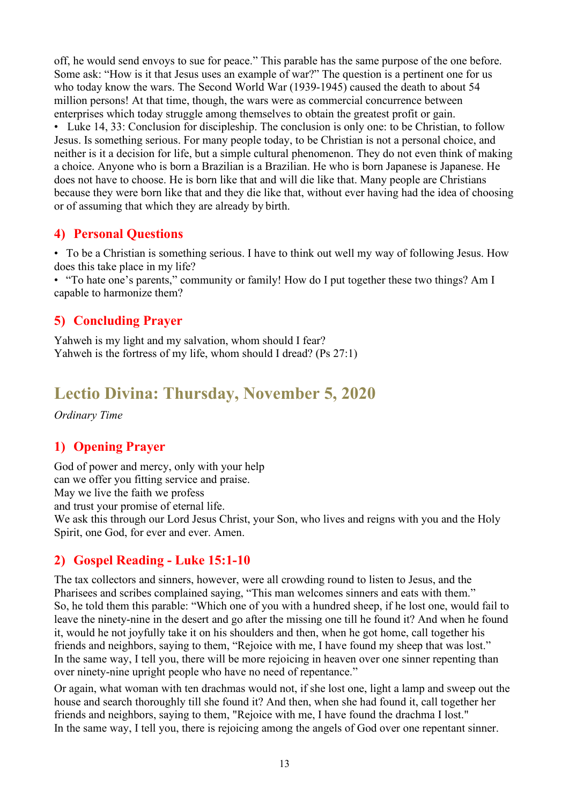off, he would send envoys to sue for peace." This parable has the same purpose of the one before. Some ask: "How is it that Jesus uses an example of war?" The question is a pertinent one for us who today know the wars. The Second World War (1939-1945) caused the death to about 54 million persons! At that time, though, the wars were as commercial concurrence between enterprises which today struggle among themselves to obtain the greatest profit or gain.

• Luke 14, 33: Conclusion for discipleship. The conclusion is only one: to be Christian, to follow Jesus. Is something serious. For many people today, to be Christian is not a personal choice, and neither is it a decision for life, but a simple cultural phenomenon. They do not even think of making a choice. Anyone who is born a Brazilian is a Brazilian. He who is born Japanese is Japanese. He does not have to choose. He is born like that and will die like that. Many people are Christians because they were born like that and they die like that, without ever having had the idea of choosing or of assuming that which they are already by birth.

### **4) Personal Questions**

• To be a Christian is something serious. I have to think out well my way of following Jesus. How does this take place in my life?

• "To hate one's parents," community or family! How do I put together these two things? Am I capable to harmonize them?

### **5) Concluding Prayer**

Yahweh is my light and my salvation, whom should I fear? Yahweh is the fortress of my life, whom should I dread? (Ps 27:1)

# <span id="page-12-0"></span>**Lectio Divina: Thursday, November 5, 2020**

*Ordinary Time*

# **1) Opening Prayer**

God of power and mercy, only with your help can we offer you fitting service and praise. May we live the faith we profess and trust your promise of eternal life. We ask this through our Lord Jesus Christ, your Son, who lives and reigns with you and the Holy Spirit, one God, for ever and ever. Amen.

### **2) Gospel Reading - Luke 15:1-10**

The tax collectors and sinners, however, were all crowding round to listen to Jesus, and the Pharisees and scribes complained saying, "This man welcomes sinners and eats with them." So, he told them this parable: "Which one of you with a hundred sheep, if he lost one, would fail to leave the ninety-nine in the desert and go after the missing one till he found it? And when he found it, would he not joyfully take it on his shoulders and then, when he got home, call together his friends and neighbors, saying to them, "Rejoice with me, I have found my sheep that was lost." In the same way, I tell you, there will be more rejoicing in heaven over one sinner repenting than over ninety-nine upright people who have no need of repentance."

Or again, what woman with ten drachmas would not, if she lost one, light a lamp and sweep out the house and search thoroughly till she found it? And then, when she had found it, call together her friends and neighbors, saying to them, "Rejoice with me, I have found the drachma I lost." In the same way, I tell you, there is rejoicing among the angels of God over one repentant sinner.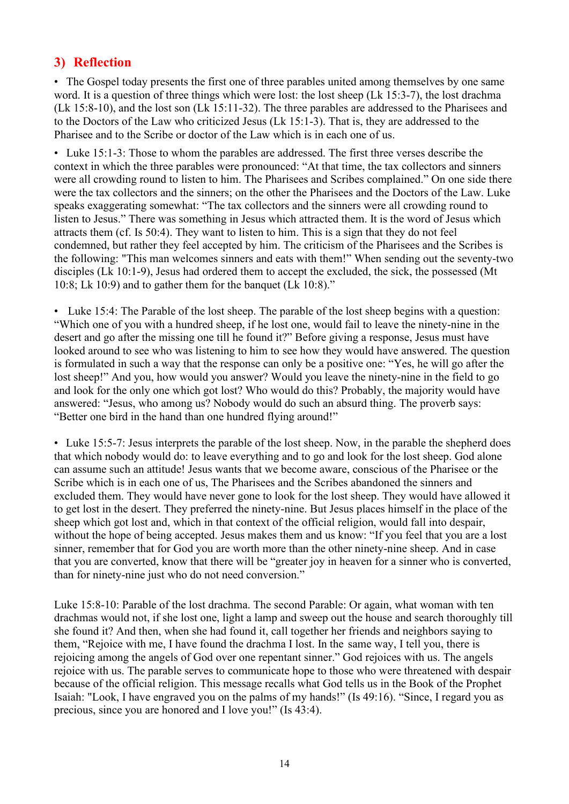## **3) Reflection**

• The Gospel today presents the first one of three parables united among themselves by one same word. It is a question of three things which were lost: the lost sheep (Lk 15:3-7), the lost drachma (Lk 15:8-10), and the lost son (Lk 15:11-32). The three parables are addressed to the Pharisees and to the Doctors of the Law who criticized Jesus (Lk 15:1-3). That is, they are addressed to the Pharisee and to the Scribe or doctor of the Law which is in each one of us.

• Luke 15:1-3: Those to whom the parables are addressed. The first three verses describe the context in which the three parables were pronounced: "At that time, the tax collectors and sinners were all crowding round to listen to him. The Pharisees and Scribes complained." On one side there were the tax collectors and the sinners; on the other the Pharisees and the Doctors of the Law. Luke speaks exaggerating somewhat: "The tax collectors and the sinners were all crowding round to listen to Jesus." There was something in Jesus which attracted them. It is the word of Jesus which attracts them (cf. Is 50:4). They want to listen to him. This is a sign that they do not feel condemned, but rather they feel accepted by him. The criticism of the Pharisees and the Scribes is the following: "This man welcomes sinners and eats with them!" When sending out the seventy-two disciples (Lk 10:1-9), Jesus had ordered them to accept the excluded, the sick, the possessed (Mt 10:8; Lk 10:9) and to gather them for the banquet (Lk 10:8)."

• Luke 15:4: The Parable of the lost sheep. The parable of the lost sheep begins with a question: "Which one of you with a hundred sheep, if he lost one, would fail to leave the ninety-nine in the desert and go after the missing one till he found it?" Before giving a response, Jesus must have looked around to see who was listening to him to see how they would have answered. The question is formulated in such a way that the response can only be a positive one: "Yes, he will go after the lost sheep!" And you, how would you answer? Would you leave the ninety-nine in the field to go and look for the only one which got lost? Who would do this? Probably, the majority would have answered: "Jesus, who among us? Nobody would do such an absurd thing. The proverb says: "Better one bird in the hand than one hundred flying around!"

• Luke 15:5-7: Jesus interprets the parable of the lost sheep. Now, in the parable the shepherd does that which nobody would do: to leave everything and to go and look for the lost sheep. God alone can assume such an attitude! Jesus wants that we become aware, conscious of the Pharisee or the Scribe which is in each one of us, The Pharisees and the Scribes abandoned the sinners and excluded them. They would have never gone to look for the lost sheep. They would have allowed it to get lost in the desert. They preferred the ninety-nine. But Jesus places himself in the place of the sheep which got lost and, which in that context of the official religion, would fall into despair, without the hope of being accepted. Jesus makes them and us know: "If you feel that you are a lost sinner, remember that for God you are worth more than the other ninety-nine sheep. And in case that you are converted, know that there will be "greater joy in heaven for a sinner who is converted, than for ninety-nine just who do not need conversion."

Luke 15:8-10: Parable of the lost drachma. The second Parable: Or again, what woman with ten drachmas would not, if she lost one, light a lamp and sweep out the house and search thoroughly till she found it? And then, when she had found it, call together her friends and neighbors saying to them, "Rejoice with me, I have found the drachma I lost. In the same way, I tell you, there is rejoicing among the angels of God over one repentant sinner." God rejoices with us. The angels rejoice with us. The parable serves to communicate hope to those who were threatened with despair because of the official religion. This message recalls what God tells us in the Book of the Prophet Isaiah: "Look, I have engraved you on the palms of my hands!" (Is 49:16). "Since, I regard you as precious, since you are honored and I love you!" (Is 43:4).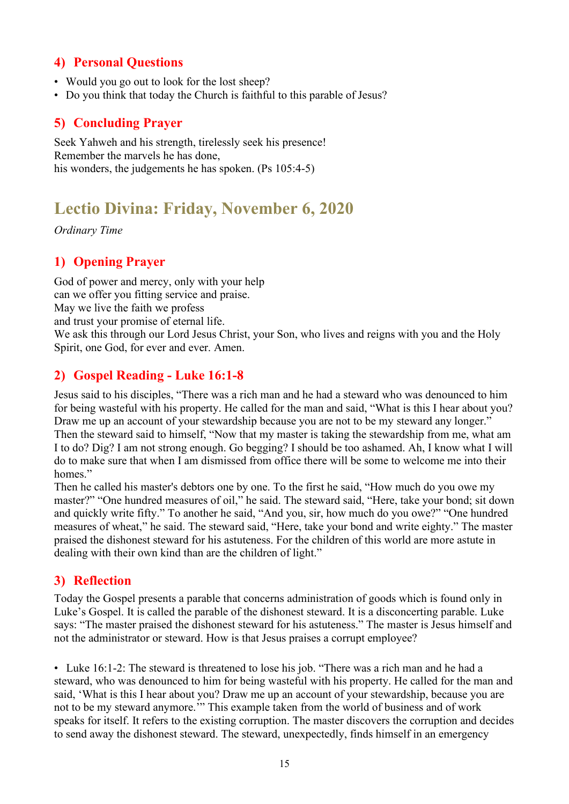### **4) Personal Questions**

- Would you go out to look for the lost sheep?
- Do you think that today the Church is faithful to this parable of Jesus?

## **5) Concluding Prayer**

Seek Yahweh and his strength, tirelessly seek his presence! Remember the marvels he has done, his wonders, the judgements he has spoken. (Ps 105:4-5)

# <span id="page-14-0"></span>**Lectio Divina: Friday, November 6, 2020**

*Ordinary Time*

# **1) Opening Prayer**

God of power and mercy, only with your help can we offer you fitting service and praise. May we live the faith we profess and trust your promise of eternal life. We ask this through our Lord Jesus Christ, your Son, who lives and reigns with you and the Holy Spirit, one God, for ever and ever. Amen.

# **2) Gospel Reading - Luke 16:1-8**

Jesus said to his disciples, "There was a rich man and he had a steward who was denounced to him for being wasteful with his property. He called for the man and said, "What is this I hear about you? Draw me up an account of your stewardship because you are not to be my steward any longer." Then the steward said to himself, "Now that my master is taking the stewardship from me, what am I to do? Dig? I am not strong enough. Go begging? I should be too ashamed. Ah, I know what I will do to make sure that when I am dismissed from office there will be some to welcome me into their homes."

Then he called his master's debtors one by one. To the first he said, "How much do you owe my master?" "One hundred measures of oil," he said. The steward said, "Here, take your bond; sit down and quickly write fifty." To another he said, "And you, sir, how much do you owe?" "One hundred measures of wheat," he said. The steward said, "Here, take your bond and write eighty." The master praised the dishonest steward for his astuteness. For the children of this world are more astute in dealing with their own kind than are the children of light."

### **3) Reflection**

Today the Gospel presents a parable that concerns administration of goods which is found only in Luke's Gospel. It is called the parable of the dishonest steward. It is a disconcerting parable. Luke says: "The master praised the dishonest steward for his astuteness." The master is Jesus himself and not the administrator or steward. How is that Jesus praises a corrupt employee?

• Luke 16:1-2: The steward is threatened to lose his job. "There was a rich man and he had a steward, who was denounced to him for being wasteful with his property. He called for the man and said, 'What is this I hear about you? Draw me up an account of your stewardship, because you are not to be my steward anymore.'" This example taken from the world of business and of work speaks for itself. It refers to the existing corruption. The master discovers the corruption and decides to send away the dishonest steward. The steward, unexpectedly, finds himself in an emergency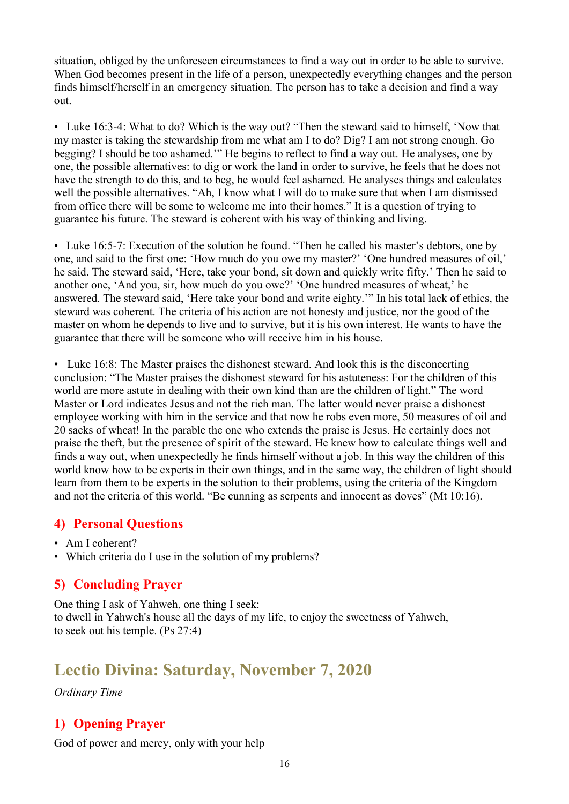situation, obliged by the unforeseen circumstances to find a way out in order to be able to survive. When God becomes present in the life of a person, unexpectedly everything changes and the person finds himself/herself in an emergency situation. The person has to take a decision and find a way out.

• Luke 16:3-4: What to do? Which is the way out? "Then the steward said to himself, 'Now that my master is taking the stewardship from me what am I to do? Dig? I am not strong enough. Go begging? I should be too ashamed.'" He begins to reflect to find a way out. He analyses, one by one, the possible alternatives: to dig or work the land in order to survive, he feels that he does not have the strength to do this, and to beg, he would feel ashamed. He analyses things and calculates well the possible alternatives. "Ah, I know what I will do to make sure that when I am dismissed from office there will be some to welcome me into their homes." It is a question of trying to guarantee his future. The steward is coherent with his way of thinking and living.

• Luke 16:5-7: Execution of the solution he found. "Then he called his master's debtors, one by one, and said to the first one: 'How much do you owe my master?' 'One hundred measures of oil,' he said. The steward said, 'Here, take your bond, sit down and quickly write fifty.' Then he said to another one, 'And you, sir, how much do you owe?' 'One hundred measures of wheat,' he answered. The steward said, 'Here take your bond and write eighty.'" In his total lack of ethics, the steward was coherent. The criteria of his action are not honesty and justice, nor the good of the master on whom he depends to live and to survive, but it is his own interest. He wants to have the guarantee that there will be someone who will receive him in his house.

• Luke 16:8: The Master praises the dishonest steward. And look this is the disconcerting conclusion: "The Master praises the dishonest steward for his astuteness: For the children of this world are more astute in dealing with their own kind than are the children of light." The word Master or Lord indicates Jesus and not the rich man. The latter would never praise a dishonest employee working with him in the service and that now he robs even more, 50 measures of oil and 20 sacks of wheat! In the parable the one who extends the praise is Jesus. He certainly does not praise the theft, but the presence of spirit of the steward. He knew how to calculate things well and finds a way out, when unexpectedly he finds himself without a job. In this way the children of this world know how to be experts in their own things, and in the same way, the children of light should learn from them to be experts in the solution to their problems, using the criteria of the Kingdom and not the criteria of this world. "Be cunning as serpents and innocent as doves" (Mt 10:16).

### **4) Personal Questions**

- Am I coherent?
- Which criteria do I use in the solution of my problems?

# **5) Concluding Prayer**

One thing I ask of Yahweh, one thing I seek: to dwell in Yahweh's house all the days of my life, to enjoy the sweetness of Yahweh, to seek out his temple. (Ps 27:4)

# <span id="page-15-0"></span>**Lectio Divina: Saturday, November 7, 2020**

*Ordinary Time*

# **1) Opening Prayer**

God of power and mercy, only with your help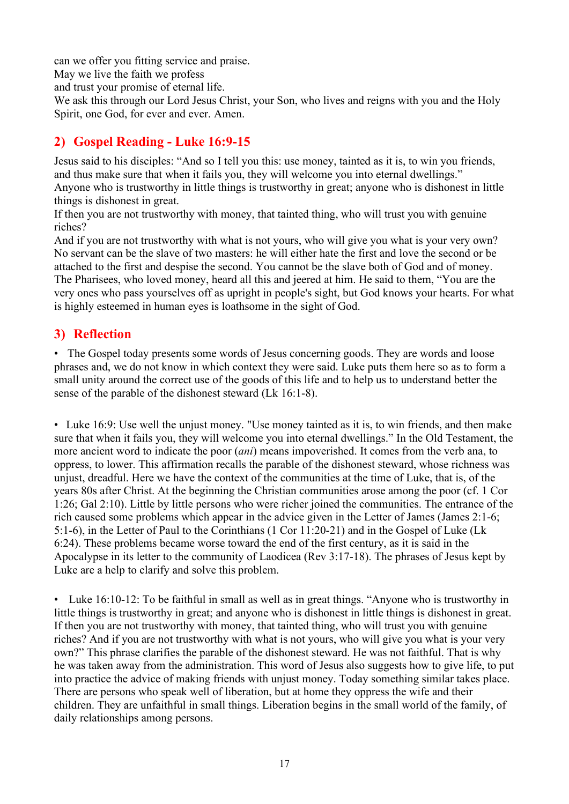can we offer you fitting service and praise.

May we live the faith we profess

and trust your promise of eternal life.

We ask this through our Lord Jesus Christ, your Son, who lives and reigns with you and the Holy Spirit, one God, for ever and ever. Amen.

# **2) Gospel Reading - Luke 16:9-15**

Jesus said to his disciples: "And so I tell you this: use money, tainted as it is, to win you friends, and thus make sure that when it fails you, they will welcome you into eternal dwellings." Anyone who is trustworthy in little things is trustworthy in great; anyone who is dishonest in little things is dishonest in great.

If then you are not trustworthy with money, that tainted thing, who will trust you with genuine riches?

And if you are not trustworthy with what is not yours, who will give you what is your very own? No servant can be the slave of two masters: he will either hate the first and love the second or be attached to the first and despise the second. You cannot be the slave both of God and of money. The Pharisees, who loved money, heard all this and jeered at him. He said to them, "You are the very ones who pass yourselves off as upright in people's sight, but God knows your hearts. For what is highly esteemed in human eyes is loathsome in the sight of God.

# **3) Reflection**

The Gospel today presents some words of Jesus concerning goods. They are words and loose phrases and, we do not know in which context they were said. Luke puts them here so as to form a small unity around the correct use of the goods of this life and to help us to understand better the sense of the parable of the dishonest steward (Lk 16:1-8).

• Luke 16:9: Use well the unjust money. "Use money tainted as it is, to win friends, and then make sure that when it fails you, they will welcome you into eternal dwellings." In the Old Testament, the more ancient word to indicate the poor (*ani*) means impoverished. It comes from the verb ana, to oppress, to lower. This affirmation recalls the parable of the dishonest steward, whose richness was unjust, dreadful. Here we have the context of the communities at the time of Luke, that is, of the years 80s after Christ. At the beginning the Christian communities arose among the poor (cf. 1 Cor 1:26; Gal 2:10). Little by little persons who were richer joined the communities. The entrance of the rich caused some problems which appear in the advice given in the Letter of James (James 2:1-6; 5:1-6), in the Letter of Paul to the Corinthians (1 Cor 11:20-21) and in the Gospel of Luke (Lk 6:24). These problems became worse toward the end of the first century, as it is said in the Apocalypse in its letter to the community of Laodicea (Rev 3:17-18). The phrases of Jesus kept by Luke are a help to clarify and solve this problem.

• Luke 16:10-12: To be faithful in small as well as in great things. "Anyone who is trustworthy in little things is trustworthy in great; and anyone who is dishonest in little things is dishonest in great. If then you are not trustworthy with money, that tainted thing, who will trust you with genuine riches? And if you are not trustworthy with what is not yours, who will give you what is your very own?" This phrase clarifies the parable of the dishonest steward. He was not faithful. That is why he was taken away from the administration. This word of Jesus also suggests how to give life, to put into practice the advice of making friends with unjust money. Today something similar takes place. There are persons who speak well of liberation, but at home they oppress the wife and their children. They are unfaithful in small things. Liberation begins in the small world of the family, of daily relationships among persons.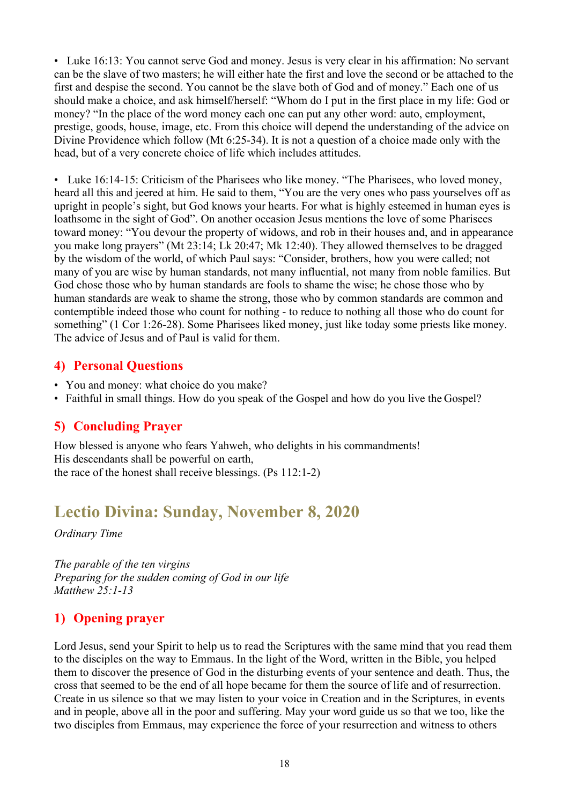• Luke 16:13: You cannot serve God and money. Jesus is very clear in his affirmation: No servant can be the slave of two masters; he will either hate the first and love the second or be attached to the first and despise the second. You cannot be the slave both of God and of money." Each one of us should make a choice, and ask himself/herself: "Whom do I put in the first place in my life: God or money? "In the place of the word money each one can put any other word: auto, employment, prestige, goods, house, image, etc. From this choice will depend the understanding of the advice on Divine Providence which follow (Mt 6:25-34). It is not a question of a choice made only with the head, but of a very concrete choice of life which includes attitudes.

• Luke 16:14-15: Criticism of the Pharisees who like money. "The Pharisees, who loved money, heard all this and jeered at him. He said to them, "You are the very ones who pass yourselves off as upright in people's sight, but God knows your hearts. For what is highly esteemed in human eyes is loathsome in the sight of God". On another occasion Jesus mentions the love of some Pharisees toward money: "You devour the property of widows, and rob in their houses and, and in appearance you make long prayers" (Mt 23:14; Lk 20:47; Mk 12:40). They allowed themselves to be dragged by the wisdom of the world, of which Paul says: "Consider, brothers, how you were called; not many of you are wise by human standards, not many influential, not many from noble families. But God chose those who by human standards are fools to shame the wise; he chose those who by human standards are weak to shame the strong, those who by common standards are common and contemptible indeed those who count for nothing - to reduce to nothing all those who do count for something" (1 Cor 1:26-28). Some Pharisees liked money, just like today some priests like money. The advice of Jesus and of Paul is valid for them.

### **4) Personal Questions**

- You and money: what choice do you make?
- Faithful in small things. How do you speak of the Gospel and how do you live the Gospel?

### **5) Concluding Prayer**

How blessed is anyone who fears Yahweh, who delights in his commandments! His descendants shall be powerful on earth, the race of the honest shall receive blessings. (Ps 112:1-2)

# <span id="page-17-0"></span>**Lectio Divina: Sunday, November 8, 2020**

*Ordinary Time*

*The parable of the ten virgins Preparing for the sudden coming of God in our life Matthew 25:1-13*

# **1) Opening prayer**

Lord Jesus, send your Spirit to help us to read the Scriptures with the same mind that you read them to the disciples on the way to Emmaus. In the light of the Word, written in the Bible, you helped them to discover the presence of God in the disturbing events of your sentence and death. Thus, the cross that seemed to be the end of all hope became for them the source of life and of resurrection. Create in us silence so that we may listen to your voice in Creation and in the Scriptures, in events and in people, above all in the poor and suffering. May your word guide us so that we too, like the two disciples from Emmaus, may experience the force of your resurrection and witness to others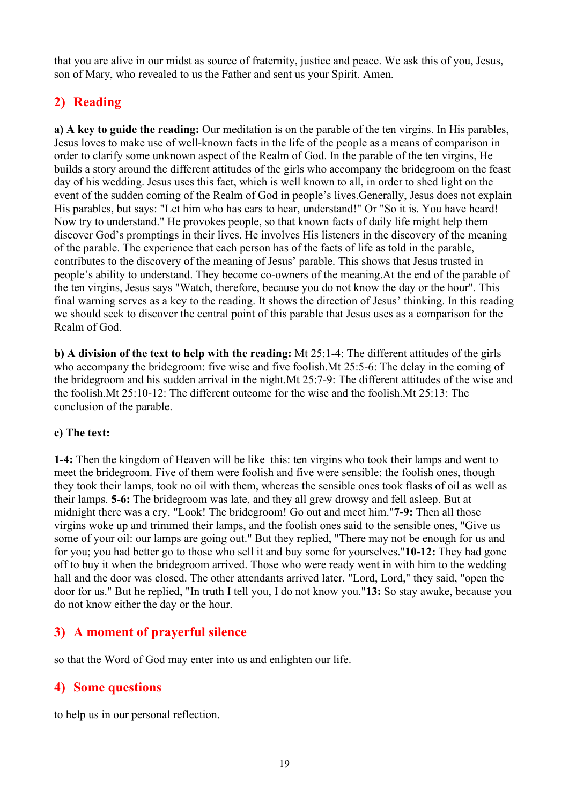that you are alive in our midst as source of fraternity, justice and peace. We ask this of you, Jesus, son of Mary, who revealed to us the Father and sent us your Spirit. Amen.

# **2) Reading**

**a) A key to guide the reading:** Our meditation is on the parable of the ten virgins. In His parables, Jesus loves to make use of well-known facts in the life of the people as a means of comparison in order to clarify some unknown aspect of the Realm of God. In the parable of the ten virgins, He builds a story around the different attitudes of the girls who accompany the bridegroom on the feast day of his wedding. Jesus uses this fact, which is well known to all, in order to shed light on the event of the sudden coming of the Realm of God in people's lives.Generally, Jesus does not explain His parables, but says: "Let him who has ears to hear, understand!" Or "So it is. You have heard! Now try to understand." He provokes people, so that known facts of daily life might help them discover God's promptings in their lives. He involves His listeners in the discovery of the meaning of the parable. The experience that each person has of the facts of life as told in the parable, contributes to the discovery of the meaning of Jesus' parable. This shows that Jesus trusted in people's ability to understand. They become co-owners of the meaning.At the end of the parable of the ten virgins, Jesus says "Watch, therefore, because you do not know the day or the hour". This final warning serves as a key to the reading. It shows the direction of Jesus' thinking. In this reading we should seek to discover the central point of this parable that Jesus uses as a comparison for the Realm of God.

**b) A division of the text to help with the reading:** Mt 25:1-4: The different attitudes of the girls who accompany the bridegroom: five wise and five foolish.Mt 25:5-6: The delay in the coming of the bridegroom and his sudden arrival in the night.Mt 25:7-9: The different attitudes of the wise and the foolish.Mt 25:10-12: The different outcome for the wise and the foolish.Mt 25:13: The conclusion of the parable.

#### **c) The text:**

**1-4:** Then the kingdom of Heaven will be like this: ten virgins who took their lamps and went to meet the bridegroom. Five of them were foolish and five were sensible: the foolish ones, though they took their lamps, took no oil with them, whereas the sensible ones took flasks of oil as well as their lamps. **5-6:** The bridegroom was late, and they all grew drowsy and fell asleep. But at midnight there was a cry, "Look! The bridegroom! Go out and meet him."**7-9:** Then all those virgins woke up and trimmed their lamps, and the foolish ones said to the sensible ones, "Give us some of your oil: our lamps are going out." But they replied, "There may not be enough for us and for you; you had better go to those who sell it and buy some for yourselves."**10-12:** They had gone off to buy it when the bridegroom arrived. Those who were ready went in with him to the wedding hall and the door was closed. The other attendants arrived later. "Lord, Lord," they said, "open the door for us." But he replied, "In truth I tell you, I do not know you."**13:** So stay awake, because you do not know either the day or the hour.

# **3) A moment of prayerful silence**

so that the Word of God may enter into us and enlighten our life.

### **4) Some questions**

to help us in our personal reflection.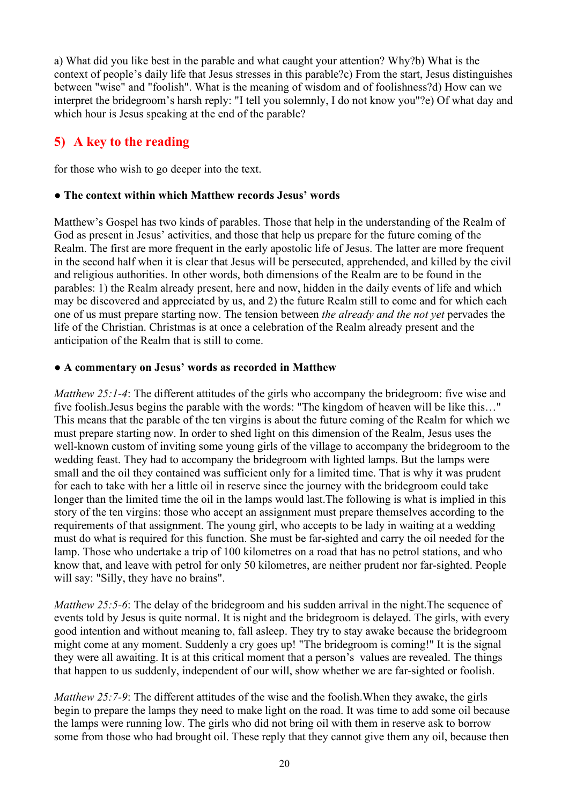a) What did you like best in the parable and what caught your attention? Why?b) What is the context of people's daily life that Jesus stresses in this parable?c) From the start, Jesus distinguishes between "wise" and "foolish". What is the meaning of wisdom and of foolishness?d) How can we interpret the bridegroom's harsh reply: "I tell you solemnly, I do not know you"?e) Of what day and which hour is Jesus speaking at the end of the parable?

# **5) A key to the reading**

for those who wish to go deeper into the text.

### *●* **The context within which Matthew records Jesus' words**

Matthew's Gospel has two kinds of parables. Those that help in the understanding of the Realm of God as present in Jesus' activities, and those that help us prepare for the future coming of the Realm. The first are more frequent in the early apostolic life of Jesus. The latter are more frequent in the second half when it is clear that Jesus will be persecuted, apprehended, and killed by the civil and religious authorities. In other words, both dimensions of the Realm are to be found in the parables: 1) the Realm already present, here and now, hidden in the daily events of life and which may be discovered and appreciated by us, and 2) the future Realm still to come and for which each one of us must prepare starting now. The tension between *the already and the not yet* pervades the life of the Christian. Christmas is at once a celebration of the Realm already present and the anticipation of the Realm that is still to come.

#### *●* **A commentary on Jesus' words as recorded in Matthew**

*Matthew 25:1-4*: The different attitudes of the girls who accompany the bridegroom: five wise and five foolish.Jesus begins the parable with the words: "The kingdom of heaven will be like this…" This means that the parable of the ten virgins is about the future coming of the Realm for which we must prepare starting now. In order to shed light on this dimension of the Realm, Jesus uses the well-known custom of inviting some young girls of the village to accompany the bridegroom to the wedding feast. They had to accompany the bridegroom with lighted lamps. But the lamps were small and the oil they contained was sufficient only for a limited time. That is why it was prudent for each to take with her a little oil in reserve since the journey with the bridegroom could take longer than the limited time the oil in the lamps would last.The following is what is implied in this story of the ten virgins: those who accept an assignment must prepare themselves according to the requirements of that assignment. The young girl, who accepts to be lady in waiting at a wedding must do what is required for this function. She must be far-sighted and carry the oil needed for the lamp. Those who undertake a trip of 100 kilometres on a road that has no petrol stations, and who know that, and leave with petrol for only 50 kilometres, are neither prudent nor far-sighted. People will say: "Silly, they have no brains".

*Matthew 25:5-6*: The delay of the bridegroom and his sudden arrival in the night. The sequence of events told by Jesus is quite normal. It is night and the bridegroom is delayed. The girls, with every good intention and without meaning to, fall asleep. They try to stay awake because the bridegroom might come at any moment. Suddenly a cry goes up! "The bridegroom is coming!" It is the signal they were all awaiting. It is at this critical moment that a person's values are revealed. The things that happen to us suddenly, independent of our will, show whether we are far-sighted or foolish.

*Matthew 25:7-9*: The different attitudes of the wise and the foolish.When they awake, the girls begin to prepare the lamps they need to make light on the road. It was time to add some oil because the lamps were running low. The girls who did not bring oil with them in reserve ask to borrow some from those who had brought oil. These reply that they cannot give them any oil, because then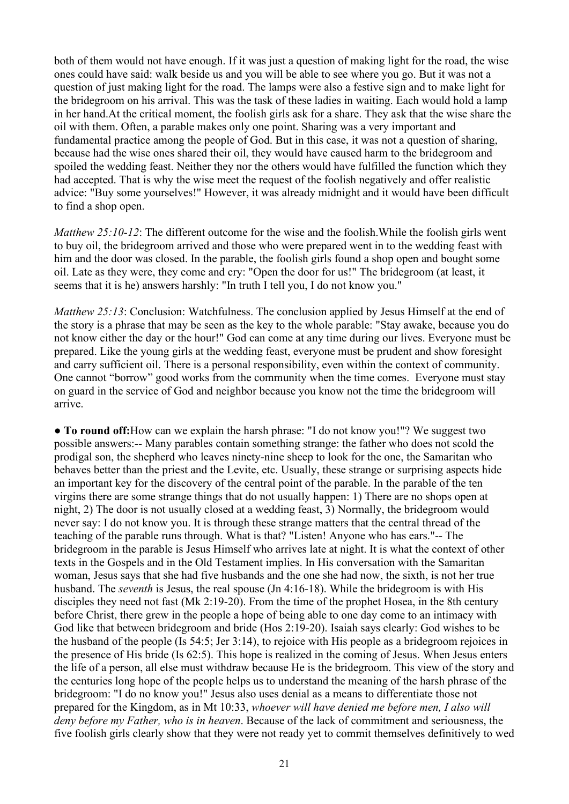both of them would not have enough. If it was just a question of making light for the road, the wise ones could have said: walk beside us and you will be able to see where you go. But it was not a question of just making light for the road. The lamps were also a festive sign and to make light for the bridegroom on his arrival. This was the task of these ladies in waiting. Each would hold a lamp in her hand.At the critical moment, the foolish girls ask for a share. They ask that the wise share the oil with them. Often, a parable makes only one point. Sharing was a very important and fundamental practice among the people of God. But in this case, it was not a question of sharing, because had the wise ones shared their oil, they would have caused harm to the bridegroom and spoiled the wedding feast. Neither they nor the others would have fulfilled the function which they had accepted. That is why the wise meet the request of the foolish negatively and offer realistic advice: "Buy some yourselves!" However, it was already midnight and it would have been difficult to find a shop open.

*Matthew 25:10-12*: The different outcome for the wise and the foolish.While the foolish girls went to buy oil, the bridegroom arrived and those who were prepared went in to the wedding feast with him and the door was closed. In the parable, the foolish girls found a shop open and bought some oil. Late as they were, they come and cry: "Open the door for us!" The bridegroom (at least, it seems that it is he) answers harshly: "In truth I tell you, I do not know you."

*Matthew 25:13:* Conclusion: Watchfulness. The conclusion applied by Jesus Himself at the end of the story is a phrase that may be seen as the key to the whole parable: "Stay awake, because you do not know either the day or the hour!" God can come at any time during our lives. Everyone must be prepared. Like the young girls at the wedding feast, everyone must be prudent and show foresight and carry sufficient oil. There is a personal responsibility, even within the context of community. One cannot "borrow" good works from the community when the time comes. Everyone must stay on guard in the service of God and neighbor because you know not the time the bridegroom will arrive.

*●* **To round off:**How can we explain the harsh phrase: "I do not know you!"? We suggest two possible answers:-- Many parables contain something strange: the father who does not scold the prodigal son, the shepherd who leaves ninety-nine sheep to look for the one, the Samaritan who behaves better than the priest and the Levite, etc. Usually, these strange or surprising aspects hide an important key for the discovery of the central point of the parable. In the parable of the ten virgins there are some strange things that do not usually happen: 1) There are no shops open at night, 2) The door is not usually closed at a wedding feast, 3) Normally, the bridegroom would never say: I do not know you. It is through these strange matters that the central thread of the teaching of the parable runs through. What is that? "Listen! Anyone who has ears."-- The bridegroom in the parable is Jesus Himself who arrives late at night. It is what the context of other texts in the Gospels and in the Old Testament implies. In His conversation with the Samaritan woman, Jesus says that she had five husbands and the one she had now, the sixth, is not her true husband. The *seventh* is Jesus, the real spouse (Jn 4:16-18). While the bridegroom is with His disciples they need not fast (Mk 2:19-20). From the time of the prophet Hosea, in the 8th century before Christ, there grew in the people a hope of being able to one day come to an intimacy with God like that between bridegroom and bride (Hos 2:19-20). Isaiah says clearly: God wishes to be the husband of the people (Is 54:5; Jer 3:14), to rejoice with His people as a bridegroom rejoices in the presence of His bride (Is 62:5). This hope is realized in the coming of Jesus. When Jesus enters the life of a person, all else must withdraw because He is the bridegroom. This view of the story and the centuries long hope of the people helps us to understand the meaning of the harsh phrase of the bridegroom: "I do no know you!" Jesus also uses denial as a means to differentiate those not prepared for the Kingdom, as in Mt 10:33, *whoever will have denied me before men, I also will deny before my Father, who is in heaven*. Because of the lack of commitment and seriousness, the five foolish girls clearly show that they were not ready yet to commit themselves definitively to wed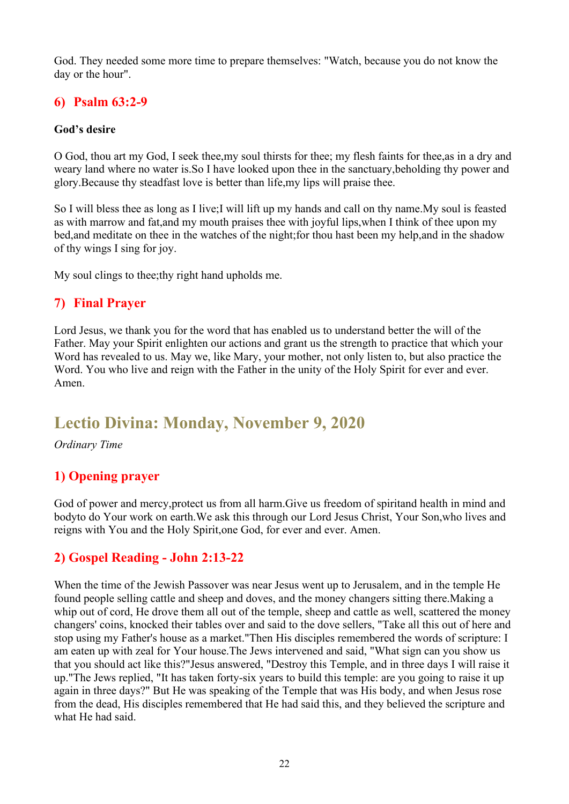God. They needed some more time to prepare themselves: "Watch, because you do not know the day or the hour".

## **6) Psalm 63:2-9**

### **God's desire**

O God, thou art my God, I seek thee,my soul thirsts for thee; my flesh faints for thee,as in a dry and weary land where no water is.So I have looked upon thee in the sanctuary,beholding thy power and glory.Because thy steadfast love is better than life,my lips will praise thee.

So I will bless thee as long as I live;I will lift up my hands and call on thy name.My soul is feasted as with marrow and fat,and my mouth praises thee with joyful lips,when I think of thee upon my bed,and meditate on thee in the watches of the night;for thou hast been my help,and in the shadow of thy wings I sing for joy.

My soul clings to thee;thy right hand upholds me.

# **7) Final Prayer**

Lord Jesus, we thank you for the word that has enabled us to understand better the will of the Father. May your Spirit enlighten our actions and grant us the strength to practice that which your Word has revealed to us. May we, like Mary, your mother, not only listen to, but also practice the Word. You who live and reign with the Father in the unity of the Holy Spirit for ever and ever. Amen.

# <span id="page-21-0"></span>**Lectio Divina: Monday, November 9, 2020**

*Ordinary Time*

# **1) Opening prayer**

God of power and mercy,protect us from all harm.Give us freedom of spiritand health in mind and bodyto do Your work on earth.We ask this through our Lord Jesus Christ, Your Son,who lives and reigns with You and the Holy Spirit,one God, for ever and ever. Amen.

# **2) Gospel Reading - John 2:13-22**

When the time of the Jewish Passover was near Jesus went up to Jerusalem, and in the temple He found people selling cattle and sheep and doves, and the money changers sitting there.Making a whip out of cord, He drove them all out of the temple, sheep and cattle as well, scattered the money changers' coins, knocked their tables over and said to the dove sellers, "Take all this out of here and stop using my Father's house as a market."Then His disciples remembered the words of scripture: I am eaten up with zeal for Your house.The Jews intervened and said, "What sign can you show us that you should act like this?"Jesus answered, "Destroy this Temple, and in three days I will raise it up."The Jews replied, "It has taken forty-six years to build this temple: are you going to raise it up again in three days?" But He was speaking of the Temple that was His body, and when Jesus rose from the dead, His disciples remembered that He had said this, and they believed the scripture and what He had said.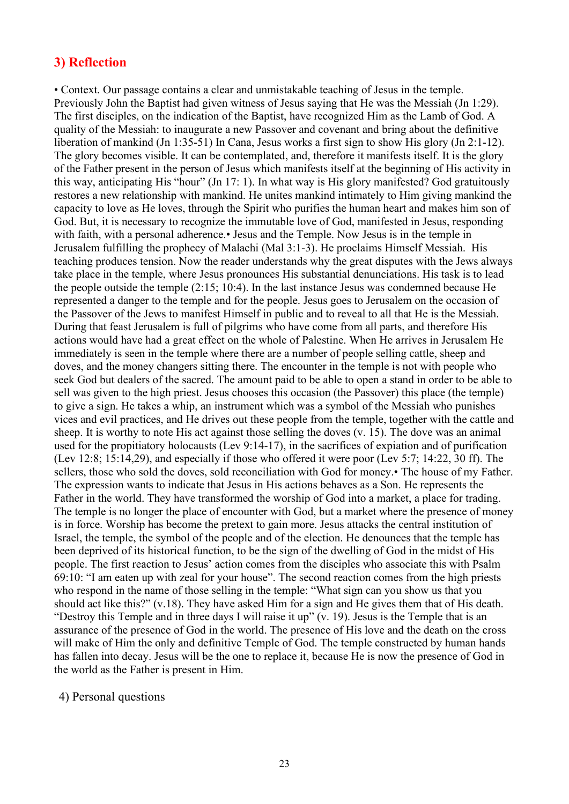### **3) Reflection**

• Context. Our passage contains a clear and unmistakable teaching of Jesus in the temple. Previously John the Baptist had given witness of Jesus saying that He was the Messiah (Jn 1:29). The first disciples, on the indication of the Baptist, have recognized Him as the Lamb of God. A quality of the Messiah: to inaugurate a new Passover and covenant and bring about the definitive liberation of mankind (Jn 1:35-51) In Cana, Jesus works a first sign to show His glory (Jn 2:1-12). The glory becomes visible. It can be contemplated, and, therefore it manifests itself. It is the glory of the Father present in the person of Jesus which manifests itself at the beginning of His activity in this way, anticipating His "hour" (Jn 17: 1). In what way is His glory manifested? God gratuitously restores a new relationship with mankind. He unites mankind intimately to Him giving mankind the capacity to love as He loves, through the Spirit who purifies the human heart and makes him son of God. But, it is necessary to recognize the immutable love of God, manifested in Jesus, responding with faith, with a personal adherence.• Jesus and the Temple. Now Jesus is in the temple in Jerusalem fulfilling the prophecy of Malachi (Mal 3:1-3). He proclaims Himself Messiah. His teaching produces tension. Now the reader understands why the great disputes with the Jews always take place in the temple, where Jesus pronounces His substantial denunciations. His task is to lead the people outside the temple (2:15; 10:4). In the last instance Jesus was condemned because He represented a danger to the temple and for the people. Jesus goes to Jerusalem on the occasion of the Passover of the Jews to manifest Himself in public and to reveal to all that He is the Messiah. During that feast Jerusalem is full of pilgrims who have come from all parts, and therefore His actions would have had a great effect on the whole of Palestine. When He arrives in Jerusalem He immediately is seen in the temple where there are a number of people selling cattle, sheep and doves, and the money changers sitting there. The encounter in the temple is not with people who seek God but dealers of the sacred. The amount paid to be able to open a stand in order to be able to sell was given to the high priest. Jesus chooses this occasion (the Passover) this place (the temple) to give a sign. He takes a whip, an instrument which was a symbol of the Messiah who punishes vices and evil practices, and He drives out these people from the temple, together with the cattle and sheep. It is worthy to note His act against those selling the doves (v. 15). The dove was an animal used for the propitiatory holocausts (Lev 9:14-17), in the sacrifices of expiation and of purification (Lev 12:8; 15:14,29), and especially if those who offered it were poor (Lev 5:7; 14:22, 30 ff). The sellers, those who sold the doves, sold reconciliation with God for money.• The house of my Father. The expression wants to indicate that Jesus in His actions behaves as a Son. He represents the Father in the world. They have transformed the worship of God into a market, a place for trading. The temple is no longer the place of encounter with God, but a market where the presence of money is in force. Worship has become the pretext to gain more. Jesus attacks the central institution of Israel, the temple, the symbol of the people and of the election. He denounces that the temple has been deprived of its historical function, to be the sign of the dwelling of God in the midst of His people. The first reaction to Jesus' action comes from the disciples who associate this with Psalm 69:10: "I am eaten up with zeal for your house". The second reaction comes from the high priests who respond in the name of those selling in the temple: "What sign can you show us that you should act like this?" (v.18). They have asked Him for a sign and He gives them that of His death. "Destroy this Temple and in three days I will raise it up" (v. 19). Jesus is the Temple that is an assurance of the presence of God in the world. The presence of His love and the death on the cross will make of Him the only and definitive Temple of God. The temple constructed by human hands has fallen into decay. Jesus will be the one to replace it, because He is now the presence of God in the world as the Father is present in Him.

#### 4) Personal questions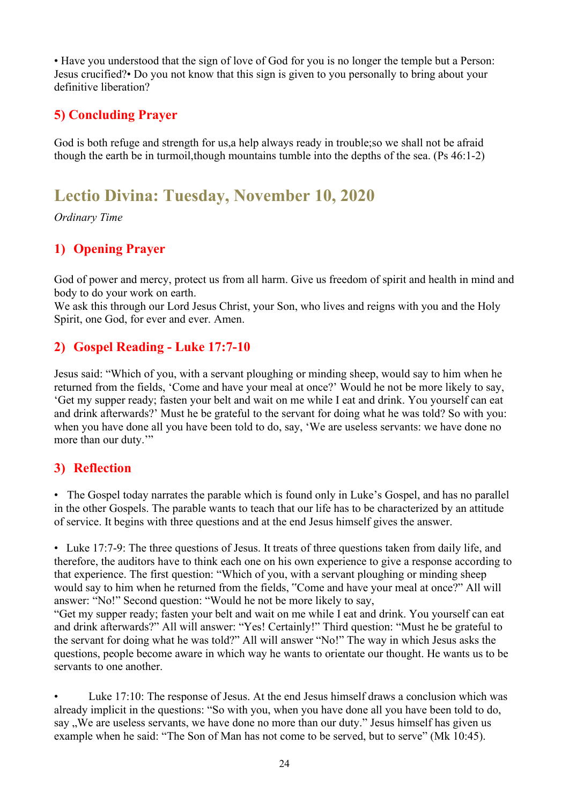• Have you understood that the sign of love of God for you is no longer the temple but a Person: Jesus crucified?• Do you not know that this sign is given to you personally to bring about your definitive liberation?

# **5) Concluding Prayer**

God is both refuge and strength for us,a help always ready in trouble;so we shall not be afraid though the earth be in turmoil,though mountains tumble into the depths of the sea. (Ps 46:1-2)

# <span id="page-23-0"></span>**Lectio Divina: Tuesday, November 10, 2020**

*Ordinary Time*

# **1) Opening Prayer**

God of power and mercy, protect us from all harm. Give us freedom of spirit and health in mind and body to do your work on earth.

We ask this through our Lord Jesus Christ, your Son, who lives and reigns with you and the Holy Spirit, one God, for ever and ever. Amen.

# **2) Gospel Reading - Luke 17:7-10**

Jesus said: "Which of you, with a servant ploughing or minding sheep, would say to him when he returned from the fields, 'Come and have your meal at once?' Would he not be more likely to say, 'Get my supper ready; fasten your belt and wait on me while I eat and drink. You yourself can eat and drink afterwards?' Must he be grateful to the servant for doing what he was told? So with you: when you have done all you have been told to do, say, 'We are useless servants: we have done no more than our duty."

# **3) Reflection**

• The Gospel today narrates the parable which is found only in Luke's Gospel, and has no parallel in the other Gospels. The parable wants to teach that our life has to be characterized by an attitude of service. It begins with three questions and at the end Jesus himself gives the answer.

• Luke 17:7-9: The three questions of Jesus. It treats of three questions taken from daily life, and therefore, the auditors have to think each one on his own experience to give a response according to that experience. The first question: "Which of you, with a servant ploughing or minding sheep would say to him when he returned from the fields, "Come and have your meal at once?" All will answer: "No!" Second question: "Would he not be more likely to say,

"Get my supper ready; fasten your belt and wait on me while I eat and drink. You yourself can eat and drink afterwards?" All will answer: "Yes! Certainly!" Third question: "Must he be grateful to the servant for doing what he was told?" All will answer "No!" The way in which Jesus asks the questions, people become aware in which way he wants to orientate our thought. He wants us to be servants to one another.

• Luke 17:10: The response of Jesus. At the end Jesus himself draws a conclusion which was already implicit in the questions: "So with you, when you have done all you have been told to do, say "We are useless servants, we have done no more than our duty." Jesus himself has given us example when he said: "The Son of Man has not come to be served, but to serve" (Mk 10:45).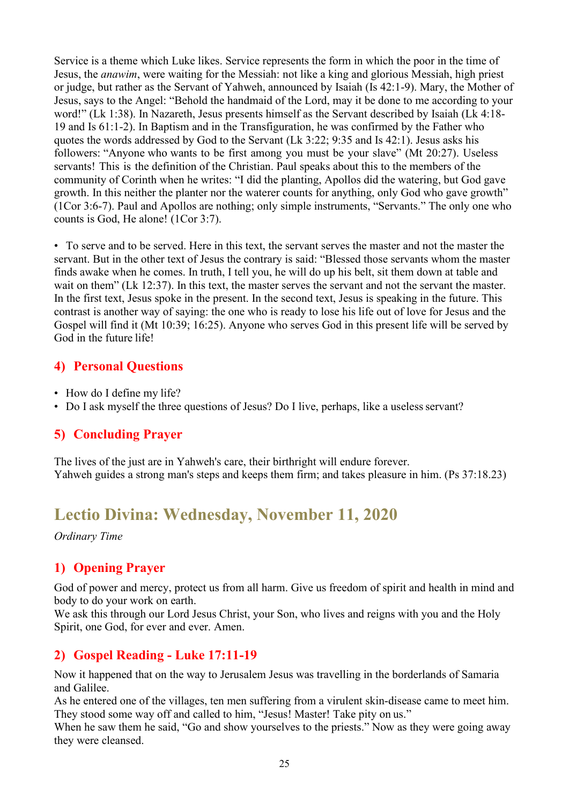Service is a theme which Luke likes. Service represents the form in which the poor in the time of Jesus, the *anawim*, were waiting for the Messiah: not like a king and glorious Messiah, high priest or judge, but rather as the Servant of Yahweh, announced by Isaiah (Is 42:1-9). Mary, the Mother of Jesus, says to the Angel: "Behold the handmaid of the Lord, may it be done to me according to your word!" (Lk 1:38). In Nazareth, Jesus presents himself as the Servant described by Isaiah (Lk 4:18- 19 and Is 61:1-2). In Baptism and in the Transfiguration, he was confirmed by the Father who quotes the words addressed by God to the Servant (Lk 3:22; 9:35 and Is 42:1). Jesus asks his followers: "Anyone who wants to be first among you must be your slave" (Mt 20:27). Useless servants! This is the definition of the Christian. Paul speaks about this to the members of the community of Corinth when he writes: "I did the planting, Apollos did the watering, but God gave growth. In this neither the planter nor the waterer counts for anything, only God who gave growth" (1Cor 3:6-7). Paul and Apollos are nothing; only simple instruments, "Servants." The only one who counts is God, He alone! (1Cor 3:7).

• To serve and to be served. Here in this text, the servant serves the master and not the master the servant. But in the other text of Jesus the contrary is said: "Blessed those servants whom the master finds awake when he comes. In truth, I tell you, he will do up his belt, sit them down at table and wait on them" (Lk 12:37). In this text, the master serves the servant and not the servant the master. In the first text, Jesus spoke in the present. In the second text, Jesus is speaking in the future. This contrast is another way of saying: the one who is ready to lose his life out of love for Jesus and the Gospel will find it (Mt 10:39; 16:25). Anyone who serves God in this present life will be served by God in the future life!

### **4) Personal Questions**

- How do I define my life?
- Do I ask myself the three questions of Jesus? Do I live, perhaps, like a useless servant?

# **5) Concluding Prayer**

The lives of the just are in Yahweh's care, their birthright will endure forever. Yahweh guides a strong man's steps and keeps them firm; and takes pleasure in him. (Ps 37:18.23)

# <span id="page-24-0"></span>**Lectio Divina: Wednesday, November 11, 2020**

*Ordinary Time*

# **1) Opening Prayer**

God of power and mercy, protect us from all harm. Give us freedom of spirit and health in mind and body to do your work on earth.

We ask this through our Lord Jesus Christ, your Son, who lives and reigns with you and the Holy Spirit, one God, for ever and ever. Amen.

# **2) Gospel Reading - Luke 17:11-19**

Now it happened that on the way to Jerusalem Jesus was travelling in the borderlands of Samaria and Galilee.

As he entered one of the villages, ten men suffering from a virulent skin-disease came to meet him. They stood some way off and called to him, "Jesus! Master! Take pity on us."

When he saw them he said, "Go and show yourselves to the priests." Now as they were going away they were cleansed.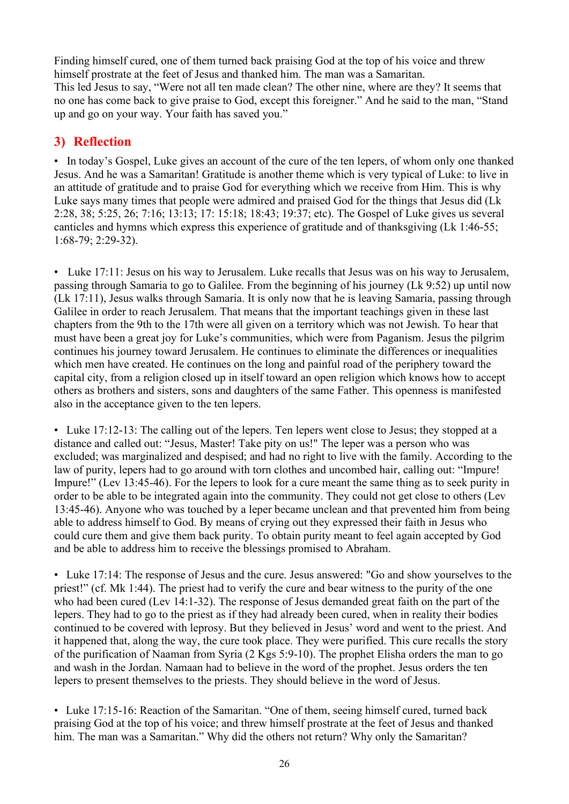Finding himself cured, one of them turned back praising God at the top of his voice and threw himself prostrate at the feet of Jesus and thanked him. The man was a Samaritan. This led Jesus to say, "Were not all ten made clean? The other nine, where are they? It seems that no one has come back to give praise to God, except this foreigner." And he said to the man, "Stand up and go on your way. Your faith has saved you."

# **3) Reflection**

In today's Gospel, Luke gives an account of the cure of the ten lepers, of whom only one thanked Jesus. And he was a Samaritan! Gratitude is another theme which is very typical of Luke: to live in an attitude of gratitude and to praise God for everything which we receive from Him. This is why Luke says many times that people were admired and praised God for the things that Jesus did (Lk 2:28, 38; 5:25, 26; 7:16; 13:13; 17: 15:18; 18:43; 19:37; etc). The Gospel of Luke gives us several canticles and hymns which express this experience of gratitude and of thanksgiving (Lk 1:46-55; 1:68-79; 2:29-32).

• Luke 17:11: Jesus on his way to Jerusalem. Luke recalls that Jesus was on his way to Jerusalem, passing through Samaria to go to Galilee. From the beginning of his journey (Lk 9:52) up until now (Lk 17:11), Jesus walks through Samaria. It is only now that he is leaving Samaria, passing through Galilee in order to reach Jerusalem. That means that the important teachings given in these last chapters from the 9th to the 17th were all given on a territory which was not Jewish. To hear that must have been a great joy for Luke's communities, which were from Paganism. Jesus the pilgrim continues his journey toward Jerusalem. He continues to eliminate the differences or inequalities which men have created. He continues on the long and painful road of the periphery toward the capital city, from a religion closed up in itself toward an open religion which knows how to accept others as brothers and sisters, sons and daughters of the same Father. This openness is manifested also in the acceptance given to the ten lepers.

• Luke 17:12-13: The calling out of the lepers. Ten lepers went close to Jesus; they stopped at a distance and called out: "Jesus, Master! Take pity on us!" The leper was a person who was excluded; was marginalized and despised; and had no right to live with the family. According to the law of purity, lepers had to go around with torn clothes and uncombed hair, calling out: "Impure! Impure!" (Lev 13:45-46). For the lepers to look for a cure meant the same thing as to seek purity in order to be able to be integrated again into the community. They could not get close to others (Lev 13:45-46). Anyone who was touched by a leper became unclean and that prevented him from being able to address himself to God. By means of crying out they expressed their faith in Jesus who could cure them and give them back purity. To obtain purity meant to feel again accepted by God and be able to address him to receive the blessings promised to Abraham.

• Luke 17:14: The response of Jesus and the cure. Jesus answered: "Go and show yourselves to the priest!" (cf. Mk 1:44). The priest had to verify the cure and bear witness to the purity of the one who had been cured (Lev 14:1-32). The response of Jesus demanded great faith on the part of the lepers. They had to go to the priest as if they had already been cured, when in reality their bodies continued to be covered with leprosy. But they believed in Jesus' word and went to the priest. And it happened that, along the way, the cure took place. They were purified. This cure recalls the story of the purification of Naaman from Syria (2 Kgs 5:9-10). The prophet Elisha orders the man to go and wash in the Jordan. Namaan had to believe in the word of the prophet. Jesus orders the ten lepers to present themselves to the priests. They should believe in the word of Jesus.

• Luke 17:15-16: Reaction of the Samaritan. "One of them, seeing himself cured, turned back praising God at the top of his voice; and threw himself prostrate at the feet of Jesus and thanked him. The man was a Samaritan." Why did the others not return? Why only the Samaritan?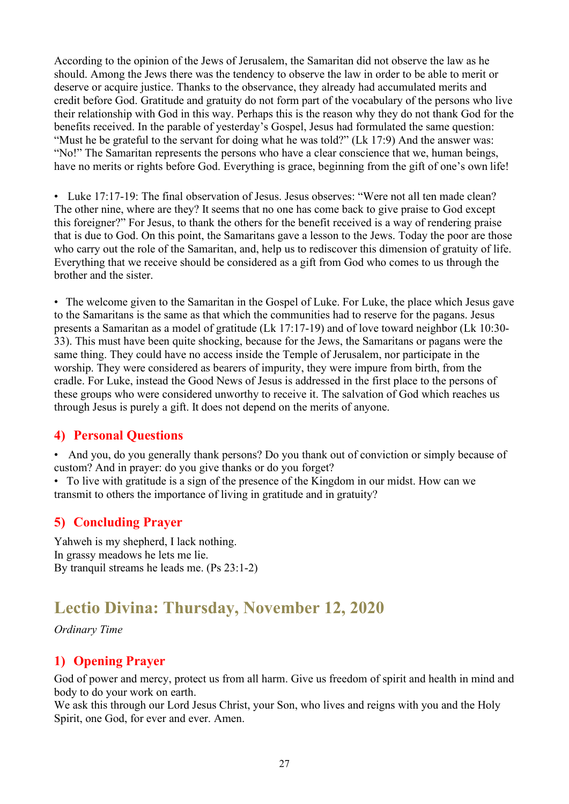According to the opinion of the Jews of Jerusalem, the Samaritan did not observe the law as he should. Among the Jews there was the tendency to observe the law in order to be able to merit or deserve or acquire justice. Thanks to the observance, they already had accumulated merits and credit before God. Gratitude and gratuity do not form part of the vocabulary of the persons who live their relationship with God in this way. Perhaps this is the reason why they do not thank God for the benefits received. In the parable of yesterday's Gospel, Jesus had formulated the same question: "Must he be grateful to the servant for doing what he was told?" (Lk 17:9) And the answer was: "No!" The Samaritan represents the persons who have a clear conscience that we, human beings, have no merits or rights before God. Everything is grace, beginning from the gift of one's own life!

• Luke 17:17-19: The final observation of Jesus. Jesus observes: "Were not all ten made clean? The other nine, where are they? It seems that no one has come back to give praise to God except this foreigner?" For Jesus, to thank the others for the benefit received is a way of rendering praise that is due to God. On this point, the Samaritans gave a lesson to the Jews. Today the poor are those who carry out the role of the Samaritan, and, help us to rediscover this dimension of gratuity of life. Everything that we receive should be considered as a gift from God who comes to us through the brother and the sister.

• The welcome given to the Samaritan in the Gospel of Luke. For Luke, the place which Jesus gave to the Samaritans is the same as that which the communities had to reserve for the pagans. Jesus presents a Samaritan as a model of gratitude (Lk 17:17-19) and of love toward neighbor (Lk 10:30- 33). This must have been quite shocking, because for the Jews, the Samaritans or pagans were the same thing. They could have no access inside the Temple of Jerusalem, nor participate in the worship. They were considered as bearers of impurity, they were impure from birth, from the cradle. For Luke, instead the Good News of Jesus is addressed in the first place to the persons of these groups who were considered unworthy to receive it. The salvation of God which reaches us through Jesus is purely a gift. It does not depend on the merits of anyone.

### **4) Personal Questions**

• And you, do you generally thank persons? Do you thank out of conviction or simply because of custom? And in prayer: do you give thanks or do you forget?

• To live with gratitude is a sign of the presence of the Kingdom in our midst. How can we transmit to others the importance of living in gratitude and in gratuity?

# **5) Concluding Prayer**

Yahweh is my shepherd, I lack nothing. In grassy meadows he lets me lie. By tranquil streams he leads me. (Ps 23:1-2)

# <span id="page-26-0"></span>**Lectio Divina: Thursday, November 12, 2020**

*Ordinary Time*

# **1) Opening Prayer**

God of power and mercy, protect us from all harm. Give us freedom of spirit and health in mind and body to do your work on earth.

We ask this through our Lord Jesus Christ, your Son, who lives and reigns with you and the Holy Spirit, one God, for ever and ever. Amen.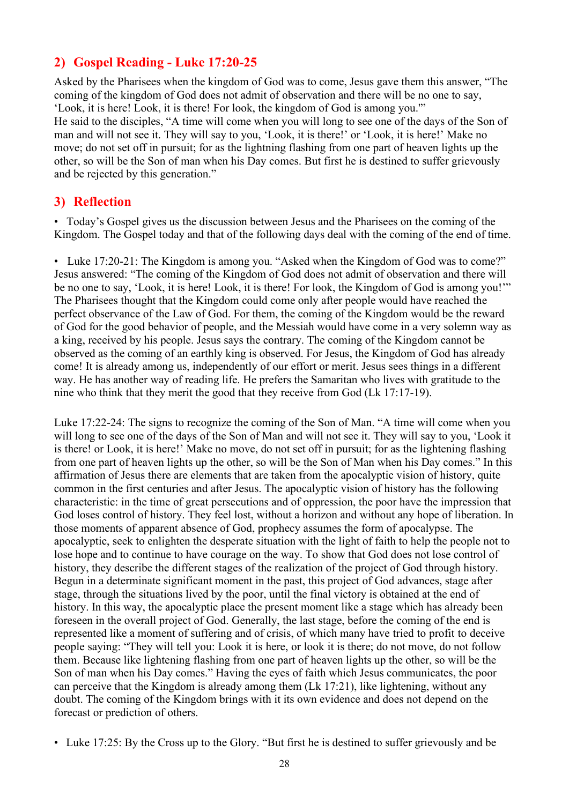### **2) Gospel Reading - Luke 17:20-25**

Asked by the Pharisees when the kingdom of God was to come, Jesus gave them this answer, "The coming of the kingdom of God does not admit of observation and there will be no one to say, 'Look, it is here! Look, it is there! For look, the kingdom of God is among you.'" He said to the disciples, "A time will come when you will long to see one of the days of the Son of man and will not see it. They will say to you, 'Look, it is there!' or 'Look, it is here!' Make no move; do not set off in pursuit; for as the lightning flashing from one part of heaven lights up the other, so will be the Son of man when his Day comes. But first he is destined to suffer grievously and be rejected by this generation."

### **3) Reflection**

• Today's Gospel gives us the discussion between Jesus and the Pharisees on the coming of the Kingdom. The Gospel today and that of the following days deal with the coming of the end of time.

• Luke 17:20-21: The Kingdom is among you. "Asked when the Kingdom of God was to come?" Jesus answered: "The coming of the Kingdom of God does not admit of observation and there will be no one to say, 'Look, it is here! Look, it is there! For look, the Kingdom of God is among you!'" The Pharisees thought that the Kingdom could come only after people would have reached the perfect observance of the Law of God. For them, the coming of the Kingdom would be the reward of God for the good behavior of people, and the Messiah would have come in a very solemn way as a king, received by his people. Jesus says the contrary. The coming of the Kingdom cannot be observed as the coming of an earthly king is observed. For Jesus, the Kingdom of God has already come! It is already among us, independently of our effort or merit. Jesus sees things in a different way. He has another way of reading life. He prefers the Samaritan who lives with gratitude to the nine who think that they merit the good that they receive from God (Lk 17:17-19).

Luke 17:22-24: The signs to recognize the coming of the Son of Man. "A time will come when you will long to see one of the days of the Son of Man and will not see it. They will say to you, 'Look it is there! or Look, it is here!' Make no move, do not set off in pursuit; for as the lightening flashing from one part of heaven lights up the other, so will be the Son of Man when his Day comes." In this affirmation of Jesus there are elements that are taken from the apocalyptic vision of history, quite common in the first centuries and after Jesus. The apocalyptic vision of history has the following characteristic: in the time of great persecutions and of oppression, the poor have the impression that God loses control of history. They feel lost, without a horizon and without any hope of liberation. In those moments of apparent absence of God, prophecy assumes the form of apocalypse. The apocalyptic, seek to enlighten the desperate situation with the light of faith to help the people not to lose hope and to continue to have courage on the way. To show that God does not lose control of history, they describe the different stages of the realization of the project of God through history. Begun in a determinate significant moment in the past, this project of God advances, stage after stage, through the situations lived by the poor, until the final victory is obtained at the end of history. In this way, the apocalyptic place the present moment like a stage which has already been foreseen in the overall project of God. Generally, the last stage, before the coming of the end is represented like a moment of suffering and of crisis, of which many have tried to profit to deceive people saying: "They will tell you: Look it is here, or look it is there; do not move, do not follow them. Because like lightening flashing from one part of heaven lights up the other, so will be the Son of man when his Day comes." Having the eyes of faith which Jesus communicates, the poor can perceive that the Kingdom is already among them (Lk 17:21), like lightening, without any doubt. The coming of the Kingdom brings with it its own evidence and does not depend on the forecast or prediction of others.

<sup>•</sup> Luke 17:25: By the Cross up to the Glory. "But first he is destined to suffer grievously and be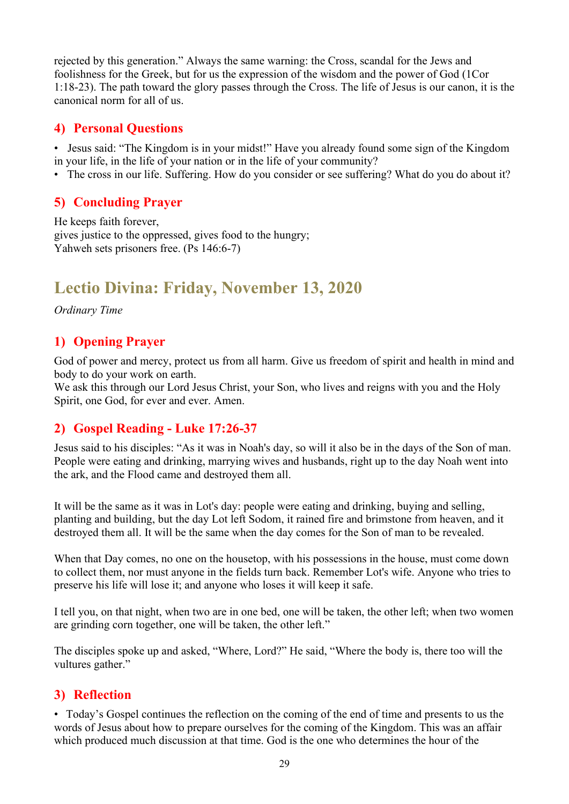rejected by this generation." Always the same warning: the Cross, scandal for the Jews and foolishness for the Greek, but for us the expression of the wisdom and the power of God (1Cor 1:18-23). The path toward the glory passes through the Cross. The life of Jesus is our canon, it is the canonical norm for all of us.

### **4) Personal Questions**

• Jesus said: "The Kingdom is in your midst!" Have you already found some sign of the Kingdom in your life, in the life of your nation or in the life of your community?

• The cross in our life. Suffering. How do you consider or see suffering? What do you do about it?

### **5) Concluding Prayer**

He keeps faith forever, gives justice to the oppressed, gives food to the hungry; Yahweh sets prisoners free. (Ps 146:6-7)

# <span id="page-28-0"></span>**Lectio Divina: Friday, November 13, 2020**

*Ordinary Time*

## **1) Opening Prayer**

God of power and mercy, protect us from all harm. Give us freedom of spirit and health in mind and body to do your work on earth.

We ask this through our Lord Jesus Christ, your Son, who lives and reigns with you and the Holy Spirit, one God, for ever and ever. Amen.

### **2) Gospel Reading - Luke 17:26-37**

Jesus said to his disciples: "As it was in Noah's day, so will it also be in the days of the Son of man. People were eating and drinking, marrying wives and husbands, right up to the day Noah went into the ark, and the Flood came and destroyed them all.

It will be the same as it was in Lot's day: people were eating and drinking, buying and selling, planting and building, but the day Lot left Sodom, it rained fire and brimstone from heaven, and it destroyed them all. It will be the same when the day comes for the Son of man to be revealed.

When that Day comes, no one on the housetop, with his possessions in the house, must come down to collect them, nor must anyone in the fields turn back. Remember Lot's wife. Anyone who tries to preserve his life will lose it; and anyone who loses it will keep it safe.

I tell you, on that night, when two are in one bed, one will be taken, the other left; when two women are grinding corn together, one will be taken, the other left."

The disciples spoke up and asked, "Where, Lord?" He said, "Where the body is, there too will the vultures gather."

### **3) Reflection**

• Today's Gospel continues the reflection on the coming of the end of time and presents to us the words of Jesus about how to prepare ourselves for the coming of the Kingdom. This was an affair which produced much discussion at that time. God is the one who determines the hour of the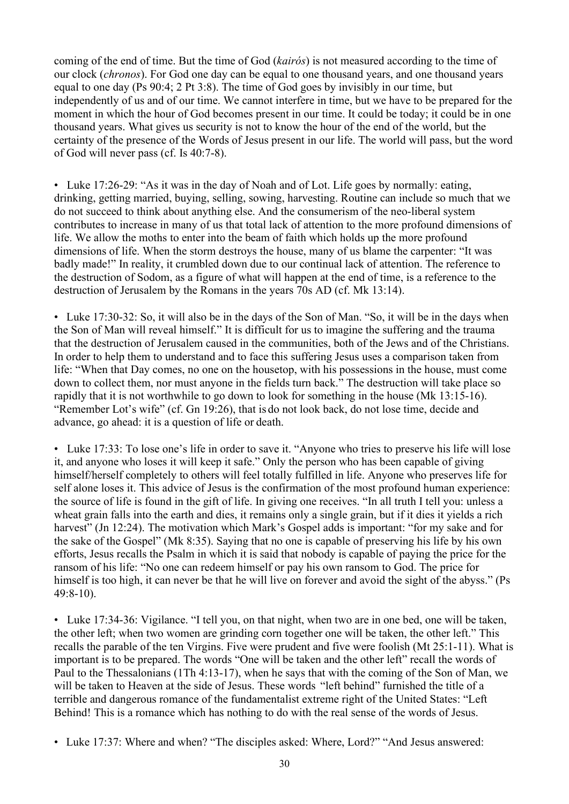coming of the end of time. But the time of God (*kairós*) is not measured according to the time of our clock (*chronos*). For God one day can be equal to one thousand years, and one thousand years equal to one day (Ps 90:4; 2 Pt 3:8). The time of God goes by invisibly in our time, but independently of us and of our time. We cannot interfere in time, but we have to be prepared for the moment in which the hour of God becomes present in our time. It could be today; it could be in one thousand years. What gives us security is not to know the hour of the end of the world, but the certainty of the presence of the Words of Jesus present in our life. The world will pass, but the word of God will never pass (cf. Is 40:7-8).

• Luke 17:26-29: "As it was in the day of Noah and of Lot. Life goes by normally: eating, drinking, getting married, buying, selling, sowing, harvesting. Routine can include so much that we do not succeed to think about anything else. And the consumerism of the neo-liberal system contributes to increase in many of us that total lack of attention to the more profound dimensions of life. We allow the moths to enter into the beam of faith which holds up the more profound dimensions of life. When the storm destroys the house, many of us blame the carpenter: "It was badly made!" In reality, it crumbled down due to our continual lack of attention. The reference to the destruction of Sodom, as a figure of what will happen at the end of time, is a reference to the destruction of Jerusalem by the Romans in the years 70s AD (cf. Mk 13:14).

• Luke 17:30-32: So, it will also be in the days of the Son of Man. "So, it will be in the days when the Son of Man will reveal himself." It is difficult for us to imagine the suffering and the trauma that the destruction of Jerusalem caused in the communities, both of the Jews and of the Christians. In order to help them to understand and to face this suffering Jesus uses a comparison taken from life: "When that Day comes, no one on the housetop, with his possessions in the house, must come down to collect them, nor must anyone in the fields turn back." The destruction will take place so rapidly that it is not worthwhile to go down to look for something in the house (Mk 13:15-16). "Remember Lot's wife" (cf. Gn 19:26), that is do not look back, do not lose time, decide and advance, go ahead: it is a question of life or death.

• Luke 17:33: To lose one's life in order to save it. "Anyone who tries to preserve his life will lose it, and anyone who loses it will keep it safe." Only the person who has been capable of giving himself/herself completely to others will feel totally fulfilled in life. Anyone who preserves life for self alone loses it. This advice of Jesus is the confirmation of the most profound human experience: the source of life is found in the gift of life. In giving one receives. "In all truth I tell you: unless a wheat grain falls into the earth and dies, it remains only a single grain, but if it dies it yields a rich harvest" (Jn 12:24). The motivation which Mark's Gospel adds is important: "for my sake and for the sake of the Gospel" (Mk 8:35). Saying that no one is capable of preserving his life by his own efforts, Jesus recalls the Psalm in which it is said that nobody is capable of paying the price for the ransom of his life: "No one can redeem himself or pay his own ransom to God. The price for himself is too high, it can never be that he will live on forever and avoid the sight of the abyss." (Ps 49:8-10).

• Luke 17:34-36: Vigilance. "I tell you, on that night, when two are in one bed, one will be taken, the other left; when two women are grinding corn together one will be taken, the other left." This recalls the parable of the ten Virgins. Five were prudent and five were foolish (Mt 25:1-11). What is important is to be prepared. The words "One will be taken and the other left" recall the words of Paul to the Thessalonians (1Th 4:13-17), when he says that with the coming of the Son of Man, we will be taken to Heaven at the side of Jesus. These words "left behind" furnished the title of a terrible and dangerous romance of the fundamentalist extreme right of the United States: "Left Behind! This is a romance which has nothing to do with the real sense of the words of Jesus.

<sup>•</sup> Luke 17:37: Where and when? "The disciples asked: Where, Lord?" "And Jesus answered: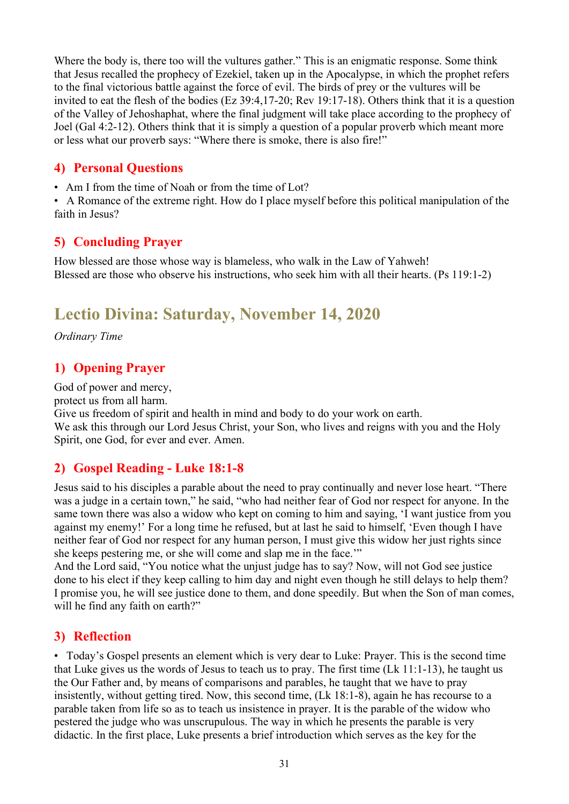Where the body is, there too will the vultures gather." This is an enigmatic response. Some think that Jesus recalled the prophecy of Ezekiel, taken up in the Apocalypse, in which the prophet refers to the final victorious battle against the force of evil. The birds of prey or the vultures will be invited to eat the flesh of the bodies (Ez 39:4,17-20; Rev 19:17-18). Others think that it is a question of the Valley of Jehoshaphat, where the final judgment will take place according to the prophecy of Joel (Gal 4:2-12). Others think that it is simply a question of a popular proverb which meant more or less what our proverb says: "Where there is smoke, there is also fire!"

### **4) Personal Questions**

• Am I from the time of Noah or from the time of Lot?

• A Romance of the extreme right. How do I place myself before this political manipulation of the faith in Jesus?

# **5) Concluding Prayer**

How blessed are those whose way is blameless, who walk in the Law of Yahweh! Blessed are those who observe his instructions, who seek him with all their hearts. (Ps 119:1-2)

# <span id="page-30-0"></span>**Lectio Divina: Saturday, November 14, 2020**

*Ordinary Time*

# **1) Opening Prayer**

God of power and mercy,

protect us from all harm.

Give us freedom of spirit and health in mind and body to do your work on earth. We ask this through our Lord Jesus Christ, your Son, who lives and reigns with you and the Holy Spirit, one God, for ever and ever. Amen.

# **2) Gospel Reading - Luke 18:1-8**

Jesus said to his disciples a parable about the need to pray continually and never lose heart. "There was a judge in a certain town," he said, "who had neither fear of God nor respect for anyone. In the same town there was also a widow who kept on coming to him and saying, 'I want justice from you against my enemy!' For a long time he refused, but at last he said to himself, 'Even though I have neither fear of God nor respect for any human person, I must give this widow her just rights since she keeps pestering me, or she will come and slap me in the face.'"

And the Lord said, "You notice what the unjust judge has to say? Now, will not God see justice done to his elect if they keep calling to him day and night even though he still delays to help them? I promise you, he will see justice done to them, and done speedily. But when the Son of man comes, will he find any faith on earth?"

# **3) Reflection**

• Today's Gospel presents an element which is very dear to Luke: Prayer. This is the second time that Luke gives us the words of Jesus to teach us to pray. The first time (Lk 11:1-13), he taught us the Our Father and, by means of comparisons and parables, he taught that we have to pray insistently, without getting tired. Now, this second time, (Lk 18:1-8), again he has recourse to a parable taken from life so as to teach us insistence in prayer. It is the parable of the widow who pestered the judge who was unscrupulous. The way in which he presents the parable is very didactic. In the first place, Luke presents a brief introduction which serves as the key for the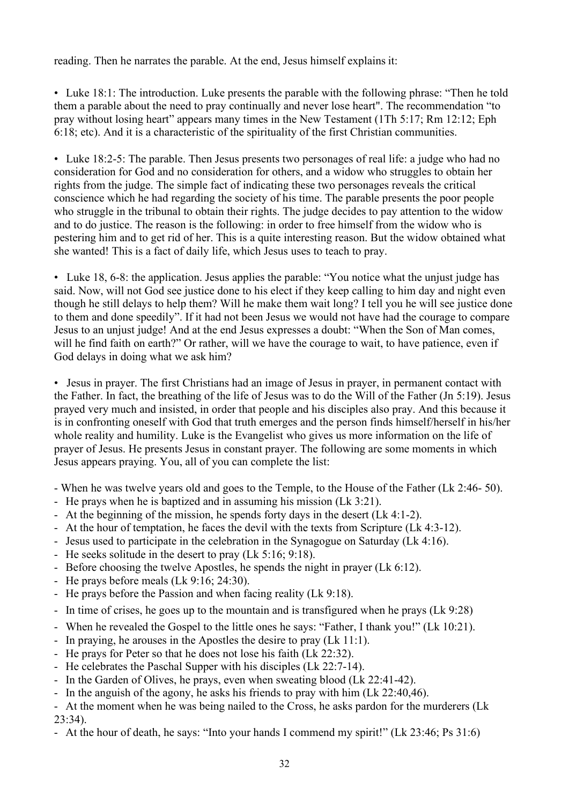reading. Then he narrates the parable. At the end, Jesus himself explains it:

• Luke 18:1: The introduction. Luke presents the parable with the following phrase: "Then he told them a parable about the need to pray continually and never lose heart". The recommendation "to pray without losing heart" appears many times in the New Testament (1Th 5:17; Rm 12:12; Eph 6:18; etc). And it is a characteristic of the spirituality of the first Christian communities.

• Luke 18:2-5: The parable. Then Jesus presents two personages of real life: a judge who had no consideration for God and no consideration for others, and a widow who struggles to obtain her rights from the judge. The simple fact of indicating these two personages reveals the critical conscience which he had regarding the society of his time. The parable presents the poor people who struggle in the tribunal to obtain their rights. The judge decides to pay attention to the widow and to do justice. The reason is the following: in order to free himself from the widow who is pestering him and to get rid of her. This is a quite interesting reason. But the widow obtained what she wanted! This is a fact of daily life, which Jesus uses to teach to pray.

• Luke 18, 6-8: the application. Jesus applies the parable: "You notice what the unjust judge has said. Now, will not God see justice done to his elect if they keep calling to him day and night even though he still delays to help them? Will he make them wait long? I tell you he will see justice done to them and done speedily". If it had not been Jesus we would not have had the courage to compare Jesus to an unjust judge! And at the end Jesus expresses a doubt: "When the Son of Man comes, will he find faith on earth?" Or rather, will we have the courage to wait, to have patience, even if God delays in doing what we ask him?

• Jesus in prayer. The first Christians had an image of Jesus in prayer, in permanent contact with the Father. In fact, the breathing of the life of Jesus was to do the Will of the Father (Jn 5:19). Jesus prayed very much and insisted, in order that people and his disciples also pray. And this because it is in confronting oneself with God that truth emerges and the person finds himself/herself in his/her whole reality and humility. Luke is the Evangelist who gives us more information on the life of prayer of Jesus. He presents Jesus in constant prayer. The following are some moments in which Jesus appears praying. You, all of you can complete the list:

- When he was twelve years old and goes to the Temple, to the House of the Father (Lk 2:46- 50).

- He prays when he is baptized and in assuming his mission (Lk 3:21).
- At the beginning of the mission, he spends forty days in the desert (Lk 4:1-2).
- At the hour of temptation, he faces the devil with the texts from Scripture (Lk 4:3-12).
- Jesus used to participate in the celebration in the Synagogue on Saturday (Lk 4:16).
- He seeks solitude in the desert to pray (Lk 5:16; 9:18).
- Before choosing the twelve Apostles, he spends the night in prayer (Lk 6:12).
- He prays before meals (Lk 9:16; 24:30).
- He prays before the Passion and when facing reality (Lk 9:18).
- In time of crises, he goes up to the mountain and is transfigured when he prays (Lk 9:28)
- When he revealed the Gospel to the little ones he says: "Father, I thank you!" (Lk 10:21).
- In praying, he arouses in the Apostles the desire to pray (Lk 11:1).
- He prays for Peter so that he does not lose his faith (Lk 22:32).
- He celebrates the Paschal Supper with his disciples (Lk 22:7-14).
- In the Garden of Olives, he prays, even when sweating blood (Lk 22:41-42).
- In the anguish of the agony, he asks his friends to pray with him (Lk 22:40,46).

- At the moment when he was being nailed to the Cross, he asks pardon for the murderers (Lk 23:34).

- At the hour of death, he says: "Into your hands I commend my spirit!" (Lk 23:46; Ps 31:6)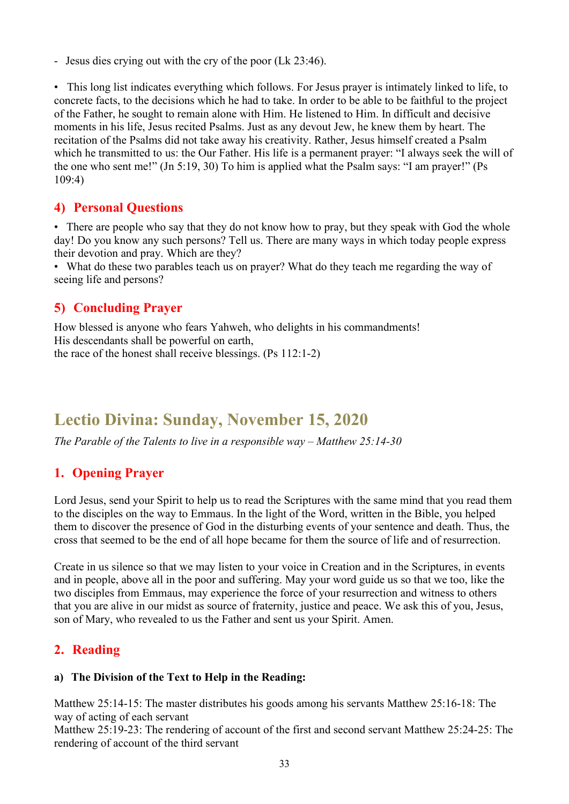- Jesus dies crying out with the cry of the poor (Lk 23:46).

• This long list indicates everything which follows. For Jesus prayer is intimately linked to life, to concrete facts, to the decisions which he had to take. In order to be able to be faithful to the project of the Father, he sought to remain alone with Him. He listened to Him. In difficult and decisive moments in his life, Jesus recited Psalms. Just as any devout Jew, he knew them by heart. The recitation of the Psalms did not take away his creativity. Rather, Jesus himself created a Psalm which he transmitted to us: the Our Father. His life is a permanent prayer: "I always seek the will of the one who sent me!" (Jn 5:19, 30) To him is applied what the Psalm says: "I am prayer!" (Ps 109:4)

### **4) Personal Questions**

• There are people who say that they do not know how to pray, but they speak with God the whole day! Do you know any such persons? Tell us. There are many ways in which today people express their devotion and pray. Which are they?

• What do these two parables teach us on prayer? What do they teach me regarding the way of seeing life and persons?

### **5) Concluding Prayer**

How blessed is anyone who fears Yahweh, who delights in his commandments! His descendants shall be powerful on earth, the race of the honest shall receive blessings. (Ps 112:1-2)

# <span id="page-32-0"></span>**Lectio Divina: Sunday, November 15, 2020**

*The Parable of the Talents to live in a responsible way – Matthew 25:14-30*

### **1. Opening Prayer**

Lord Jesus, send your Spirit to help us to read the Scriptures with the same mind that you read them to the disciples on the way to Emmaus. In the light of the Word, written in the Bible, you helped them to discover the presence of God in the disturbing events of your sentence and death. Thus, the cross that seemed to be the end of all hope became for them the source of life and of resurrection.

Create in us silence so that we may listen to your voice in Creation and in the Scriptures, in events and in people, above all in the poor and suffering. May your word guide us so that we too, like the two disciples from Emmaus, may experience the force of your resurrection and witness to others that you are alive in our midst as source of fraternity, justice and peace. We ask this of you, Jesus, son of Mary, who revealed to us the Father and sent us your Spirit. Amen.

### **2. Reading**

#### **a) The Division of the Text to Help in the Reading:**

Matthew 25:14-15: The master distributes his goods among his servants Matthew 25:16-18: The way of acting of each servant

Matthew 25:19-23: The rendering of account of the first and second servant Matthew 25:24-25: The rendering of account of the third servant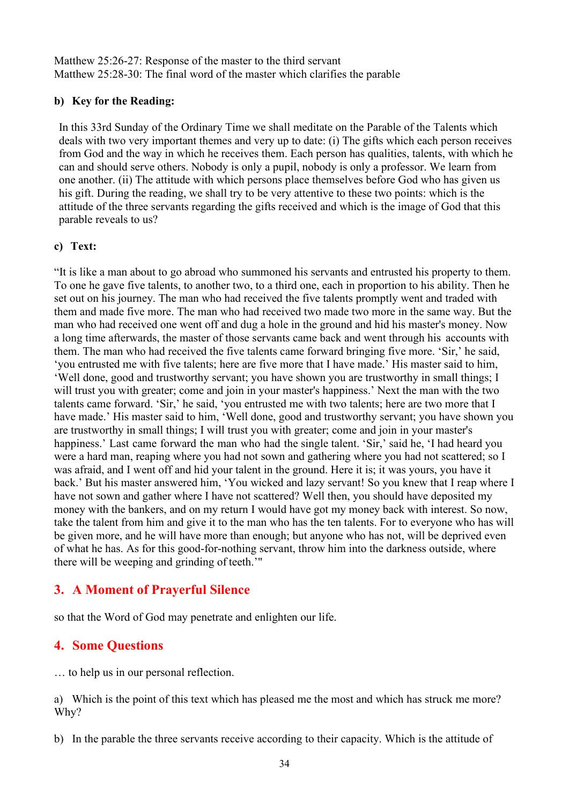Matthew 25:26-27: Response of the master to the third servant Matthew 25:28-30: The final word of the master which clarifies the parable

### **b) Key for the Reading:**

In this 33rd Sunday of the Ordinary Time we shall meditate on the Parable of the Talents which deals with two very important themes and very up to date: (i) The gifts which each person receives from God and the way in which he receives them. Each person has qualities, talents, with which he can and should serve others. Nobody is only a pupil, nobody is only a professor. We learn from one another. (ii) The attitude with which persons place themselves before God who has given us his gift. During the reading, we shall try to be very attentive to these two points: which is the attitude of the three servants regarding the gifts received and which is the image of God that this parable reveals to us?

#### **c) Text:**

"It is like a man about to go abroad who summoned his servants and entrusted his property to them. To one he gave five talents, to another two, to a third one, each in proportion to his ability. Then he set out on his journey. The man who had received the five talents promptly went and traded with them and made five more. The man who had received two made two more in the same way. But the man who had received one went off and dug a hole in the ground and hid his master's money. Now a long time afterwards, the master of those servants came back and went through his accounts with them. The man who had received the five talents came forward bringing five more. 'Sir,' he said, 'you entrusted me with five talents; here are five more that I have made.' His master said to him, 'Well done, good and trustworthy servant; you have shown you are trustworthy in small things; I will trust you with greater; come and join in your master's happiness.' Next the man with the two talents came forward. 'Sir,' he said, 'you entrusted me with two talents; here are two more that I have made.' His master said to him, 'Well done, good and trustworthy servant; you have shown you are trustworthy in small things; I will trust you with greater; come and join in your master's happiness.' Last came forward the man who had the single talent. 'Sir,' said he, 'I had heard you were a hard man, reaping where you had not sown and gathering where you had not scattered; so I was afraid, and I went off and hid your talent in the ground. Here it is; it was yours, you have it back.' But his master answered him, 'You wicked and lazy servant! So you knew that I reap where I have not sown and gather where I have not scattered? Well then, you should have deposited my money with the bankers, and on my return I would have got my money back with interest. So now, take the talent from him and give it to the man who has the ten talents. For to everyone who has will be given more, and he will have more than enough; but anyone who has not, will be deprived even of what he has. As for this good-for-nothing servant, throw him into the darkness outside, where there will be weeping and grinding of teeth.'"

# **3. A Moment of Prayerful Silence**

so that the Word of God may penetrate and enlighten our life.

### **4. Some Questions**

… to help us in our personal reflection.

a) Which is the point of this text which has pleased me the most and which has struck me more? Why?

b) In the parable the three servants receive according to their capacity. Which is the attitude of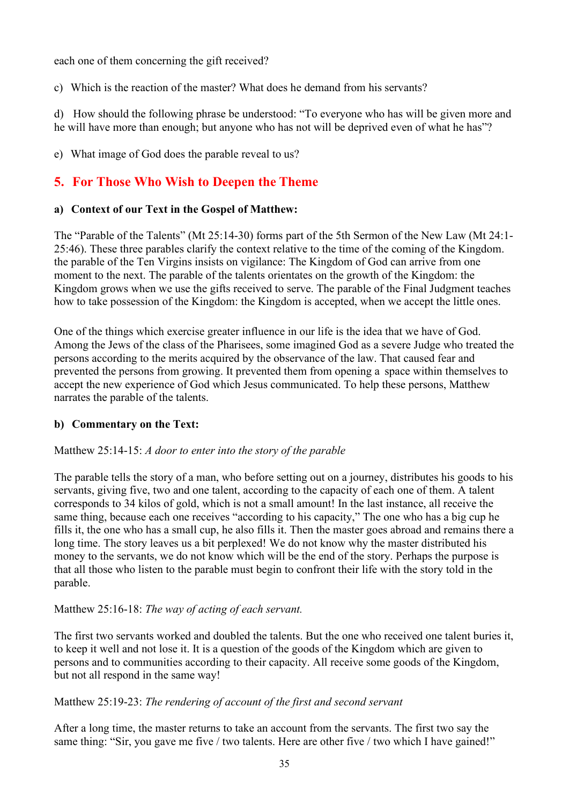each one of them concerning the gift received?

c) Which is the reaction of the master? What does he demand from his servants?

d) How should the following phrase be understood: "To everyone who has will be given more and he will have more than enough; but anyone who has not will be deprived even of what he has"?

e) What image of God does the parable reveal to us?

## **5. For Those Who Wish to Deepen the Theme**

#### **a) Context of our Text in the Gospel of Matthew:**

The "Parable of the Talents" (Mt 25:14-30) forms part of the 5th Sermon of the New Law (Mt 24:1- 25:46). These three parables clarify the context relative to the time of the coming of the Kingdom. the parable of the Ten Virgins insists on vigilance: The Kingdom of God can arrive from one moment to the next. The parable of the talents orientates on the growth of the Kingdom: the Kingdom grows when we use the gifts received to serve. The parable of the Final Judgment teaches how to take possession of the Kingdom: the Kingdom is accepted, when we accept the little ones.

One of the things which exercise greater influence in our life is the idea that we have of God. Among the Jews of the class of the Pharisees, some imagined God as a severe Judge who treated the persons according to the merits acquired by the observance of the law. That caused fear and prevented the persons from growing. It prevented them from opening a space within themselves to accept the new experience of God which Jesus communicated. To help these persons, Matthew narrates the parable of the talents.

#### **b) Commentary on the Text:**

#### Matthew 25:14-15: *A door to enter into the story of the parable*

The parable tells the story of a man, who before setting out on a journey, distributes his goods to his servants, giving five, two and one talent, according to the capacity of each one of them. A talent corresponds to 34 kilos of gold, which is not a small amount! In the last instance, all receive the same thing, because each one receives "according to his capacity," The one who has a big cup he fills it, the one who has a small cup, he also fills it. Then the master goes abroad and remains there a long time. The story leaves us a bit perplexed! We do not know why the master distributed his money to the servants, we do not know which will be the end of the story. Perhaps the purpose is that all those who listen to the parable must begin to confront their life with the story told in the parable.

#### Matthew 25:16-18: *The way of acting of each servant.*

The first two servants worked and doubled the talents. But the one who received one talent buries it, to keep it well and not lose it. It is a question of the goods of the Kingdom which are given to persons and to communities according to their capacity. All receive some goods of the Kingdom, but not all respond in the same way!

#### Matthew 25:19-23: *The rendering of account of the first and second servant*

After a long time, the master returns to take an account from the servants. The first two say the same thing: "Sir, you gave me five / two talents. Here are other five / two which I have gained!"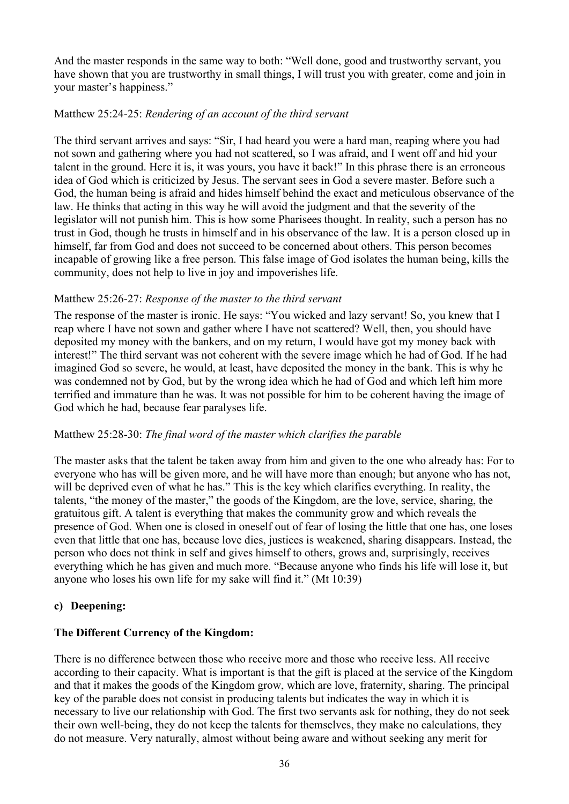And the master responds in the same way to both: "Well done, good and trustworthy servant, you have shown that you are trustworthy in small things, I will trust you with greater, come and join in your master's happiness."

#### Matthew 25:24-25: *Rendering of an account of the third servant*

The third servant arrives and says: "Sir, I had heard you were a hard man, reaping where you had not sown and gathering where you had not scattered, so I was afraid, and I went off and hid your talent in the ground. Here it is, it was yours, you have it back!" In this phrase there is an erroneous idea of God which is criticized by Jesus. The servant sees in God a severe master. Before such a God, the human being is afraid and hides himself behind the exact and meticulous observance of the law. He thinks that acting in this way he will avoid the judgment and that the severity of the legislator will not punish him. This is how some Pharisees thought. In reality, such a person has no trust in God, though he trusts in himself and in his observance of the law. It is a person closed up in himself, far from God and does not succeed to be concerned about others. This person becomes incapable of growing like a free person. This false image of God isolates the human being, kills the community, does not help to live in joy and impoverishes life.

#### Matthew 25:26-27: *Response of the master to the third servant*

The response of the master is ironic. He says: "You wicked and lazy servant! So, you knew that I reap where I have not sown and gather where I have not scattered? Well, then, you should have deposited my money with the bankers, and on my return, I would have got my money back with interest!" The third servant was not coherent with the severe image which he had of God. If he had imagined God so severe, he would, at least, have deposited the money in the bank. This is why he was condemned not by God, but by the wrong idea which he had of God and which left him more terrified and immature than he was. It was not possible for him to be coherent having the image of God which he had, because fear paralyses life.

#### Matthew 25:28-30: *The final word of the master which clarifies the parable*

The master asks that the talent be taken away from him and given to the one who already has: For to everyone who has will be given more, and he will have more than enough; but anyone who has not, will be deprived even of what he has." This is the key which clarifies everything. In reality, the talents, "the money of the master," the goods of the Kingdom, are the love, service, sharing, the gratuitous gift. A talent is everything that makes the community grow and which reveals the presence of God. When one is closed in oneself out of fear of losing the little that one has, one loses even that little that one has, because love dies, justices is weakened, sharing disappears. Instead, the person who does not think in self and gives himself to others, grows and, surprisingly, receives everything which he has given and much more. "Because anyone who finds his life will lose it, but anyone who loses his own life for my sake will find it." (Mt 10:39)

#### **c) Deepening:**

#### **The Different Currency of the Kingdom:**

There is no difference between those who receive more and those who receive less. All receive according to their capacity. What is important is that the gift is placed at the service of the Kingdom and that it makes the goods of the Kingdom grow, which are love, fraternity, sharing. The principal key of the parable does not consist in producing talents but indicates the way in which it is necessary to live our relationship with God. The first two servants ask for nothing, they do not seek their own well-being, they do not keep the talents for themselves, they make no calculations, they do not measure. Very naturally, almost without being aware and without seeking any merit for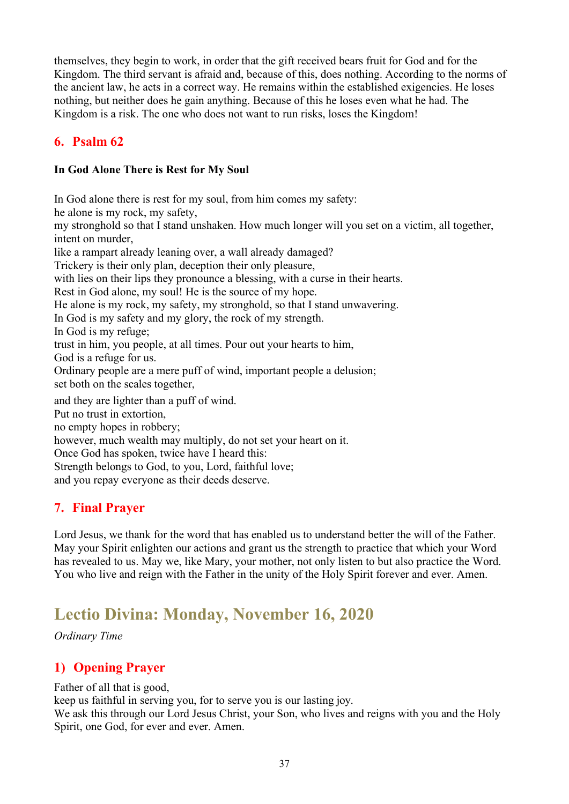themselves, they begin to work, in order that the gift received bears fruit for God and for the Kingdom. The third servant is afraid and, because of this, does nothing. According to the norms of the ancient law, he acts in a correct way. He remains within the established exigencies. He loses nothing, but neither does he gain anything. Because of this he loses even what he had. The Kingdom is a risk. The one who does not want to run risks, loses the Kingdom!

# **6. Psalm 62**

### **In God Alone There is Rest for My Soul**

In God alone there is rest for my soul, from him comes my safety: he alone is my rock, my safety, my stronghold so that I stand unshaken. How much longer will you set on a victim, all together, intent on murder, like a rampart already leaning over, a wall already damaged? Trickery is their only plan, deception their only pleasure, with lies on their lips they pronounce a blessing, with a curse in their hearts. Rest in God alone, my soul! He is the source of my hope. He alone is my rock, my safety, my stronghold, so that I stand unwavering. In God is my safety and my glory, the rock of my strength. In God is my refuge; trust in him, you people, at all times. Pour out your hearts to him, God is a refuge for us. Ordinary people are a mere puff of wind, important people a delusion; set both on the scales together, and they are lighter than a puff of wind. Put no trust in extortion, no empty hopes in robbery; however, much wealth may multiply, do not set your heart on it. Once God has spoken, twice have I heard this: Strength belongs to God, to you, Lord, faithful love; and you repay everyone as their deeds deserve.

# **7. Final Prayer**

Lord Jesus, we thank for the word that has enabled us to understand better the will of the Father. May your Spirit enlighten our actions and grant us the strength to practice that which your Word has revealed to us. May we, like Mary, your mother, not only listen to but also practice the Word. You who live and reign with the Father in the unity of the Holy Spirit forever and ever. Amen.

# <span id="page-36-0"></span>**Lectio Divina: Monday, November 16, 2020**

*Ordinary Time*

# **1) Opening Prayer**

Father of all that is good,

keep us faithful in serving you, for to serve you is our lasting joy.

We ask this through our Lord Jesus Christ, your Son, who lives and reigns with you and the Holy Spirit, one God, for ever and ever. Amen.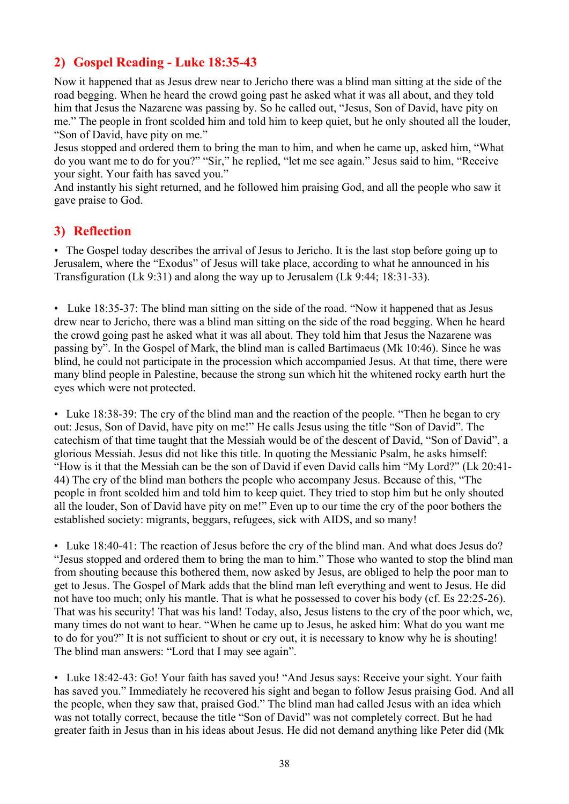## **2) Gospel Reading - Luke 18:35-43**

Now it happened that as Jesus drew near to Jericho there was a blind man sitting at the side of the road begging. When he heard the crowd going past he asked what it was all about, and they told him that Jesus the Nazarene was passing by. So he called out, "Jesus, Son of David, have pity on me." The people in front scolded him and told him to keep quiet, but he only shouted all the louder, "Son of David, have pity on me."

Jesus stopped and ordered them to bring the man to him, and when he came up, asked him, "What do you want me to do for you?" "Sir," he replied, "let me see again." Jesus said to him, "Receive your sight. Your faith has saved you."

And instantly his sight returned, and he followed him praising God, and all the people who saw it gave praise to God.

### **3) Reflection**

• The Gospel today describes the arrival of Jesus to Jericho. It is the last stop before going up to Jerusalem, where the "Exodus" of Jesus will take place, according to what he announced in his Transfiguration (Lk 9:31) and along the way up to Jerusalem (Lk 9:44; 18:31-33).

• Luke 18:35-37: The blind man sitting on the side of the road. "Now it happened that as Jesus drew near to Jericho, there was a blind man sitting on the side of the road begging. When he heard the crowd going past he asked what it was all about. They told him that Jesus the Nazarene was passing by". In the Gospel of Mark, the blind man is called Bartimaeus (Mk 10:46). Since he was blind, he could not participate in the procession which accompanied Jesus. At that time, there were many blind people in Palestine, because the strong sun which hit the whitened rocky earth hurt the eyes which were not protected.

• Luke 18:38-39: The cry of the blind man and the reaction of the people. "Then he began to cry out: Jesus, Son of David, have pity on me!" He calls Jesus using the title "Son of David". The catechism of that time taught that the Messiah would be of the descent of David, "Son of David", a glorious Messiah. Jesus did not like this title. In quoting the Messianic Psalm, he asks himself: "How is it that the Messiah can be the son of David if even David calls him "My Lord?" (Lk 20:41- 44) The cry of the blind man bothers the people who accompany Jesus. Because of this, "The people in front scolded him and told him to keep quiet. They tried to stop him but he only shouted all the louder, Son of David have pity on me!" Even up to our time the cry of the poor bothers the established society: migrants, beggars, refugees, sick with AIDS, and so many!

• Luke 18:40-41: The reaction of Jesus before the cry of the blind man. And what does Jesus do? "Jesus stopped and ordered them to bring the man to him." Those who wanted to stop the blind man from shouting because this bothered them, now asked by Jesus, are obliged to help the poor man to get to Jesus. The Gospel of Mark adds that the blind man left everything and went to Jesus. He did not have too much; only his mantle. That is what he possessed to cover his body (cf. Es 22:25-26). That was his security! That was his land! Today, also, Jesus listens to the cry of the poor which, we, many times do not want to hear. "When he came up to Jesus, he asked him: What do you want me to do for you?" It is not sufficient to shout or cry out, it is necessary to know why he is shouting! The blind man answers: "Lord that I may see again".

• Luke 18:42-43: Go! Your faith has saved you! "And Jesus says: Receive your sight. Your faith has saved you." Immediately he recovered his sight and began to follow Jesus praising God. And all the people, when they saw that, praised God." The blind man had called Jesus with an idea which was not totally correct, because the title "Son of David" was not completely correct. But he had greater faith in Jesus than in his ideas about Jesus. He did not demand anything like Peter did (Mk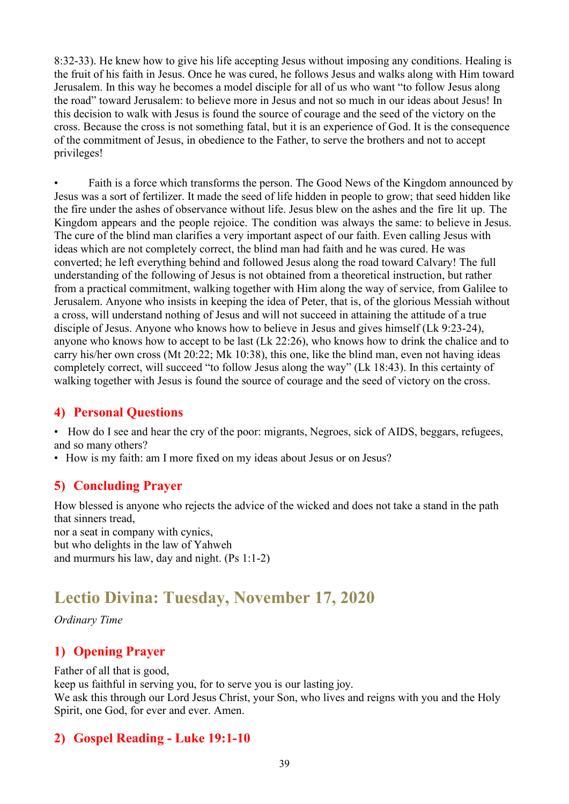8:32-33). He knew how to give his life accepting Jesus without imposing any conditions. Healing is the fruit of his faith in Jesus. Once he was cured, he follows Jesus and walks along with Him toward Jerusalem. In this way he becomes a model disciple for all of us who want "to follow Jesus along the road" toward Jerusalem: to believe more in Jesus and not so much in our ideas about Jesus! In this decision to walk with Jesus is found the source of courage and the seed of the victory on the cross. Because the cross is not something fatal, but it is an experience of God. It is the consequence of the commitment of Jesus, in obedience to the Father, to serve the brothers and not to accept privileges!

• Faith is a force which transforms the person. The Good News of the Kingdom announced by Jesus was a sort of fertilizer. It made the seed of life hidden in people to grow; that seed hidden like the fire under the ashes of observance without life. Jesus blew on the ashes and the fire lit up. The Kingdom appears and the people rejoice. The condition was always the same: to believe in Jesus. The cure of the blind man clarifies a very important aspect of our faith. Even calling Jesus with ideas which are not completely correct, the blind man had faith and he was cured. He was converted; he left everything behind and followed Jesus along the road toward Calvary! The full understanding of the following of Jesus is not obtained from a theoretical instruction, but rather from a practical commitment, walking together with Him along the way of service, from Galilee to Jerusalem. Anyone who insists in keeping the idea of Peter, that is, of the glorious Messiah without a cross, will understand nothing of Jesus and will not succeed in attaining the attitude of a true disciple of Jesus. Anyone who knows how to believe in Jesus and gives himself (Lk 9:23-24), anyone who knows how to accept to be last (Lk 22:26), who knows how to drink the chalice and to carry his/her own cross (Mt 20:22; Mk 10:38), this one, like the blind man, even not having ideas completely correct, will succeed "to follow Jesus along the way" (Lk 18:43). In this certainty of walking together with Jesus is found the source of courage and the seed of victory on the cross.

# **4) Personal Questions**

• How do I see and hear the cry of the poor: migrants, Negroes, sick of AIDS, beggars, refugees, and so many others?

• How is my faith: am I more fixed on my ideas about Jesus or on Jesus?

### **5) Concluding Prayer**

How blessed is anyone who rejects the advice of the wicked and does not take a stand in the path that sinners tread, nor a seat in company with cynics, but who delights in the law of Yahweh

<span id="page-38-0"></span>and murmurs his law, day and night. (Ps 1:1-2)

# **Lectio Divina: Tuesday, November 17, 2020**

*Ordinary Time*

# **1) Opening Prayer**

Father of all that is good,

keep us faithful in serving you, for to serve you is our lasting joy. We ask this through our Lord Jesus Christ, your Son, who lives and reigns with you and the Holy Spirit, one God, for ever and ever. Amen.

# **2) Gospel Reading - Luke 19:1-10**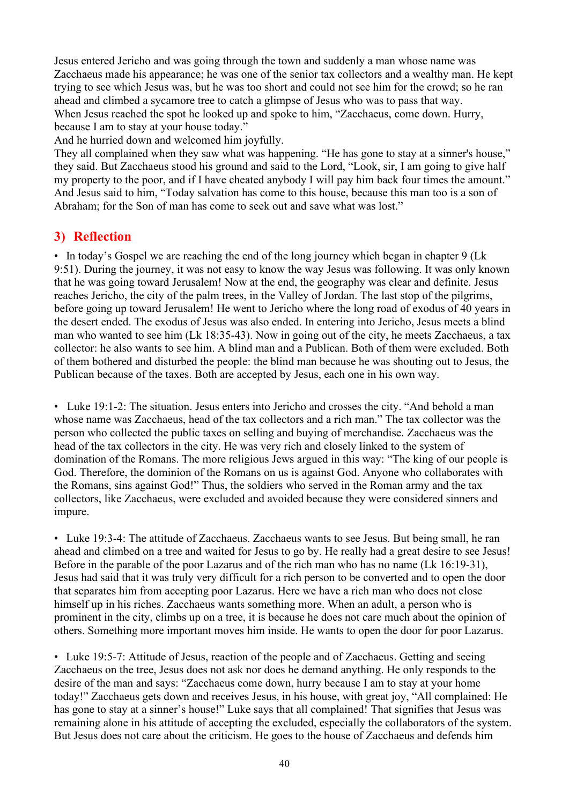Jesus entered Jericho and was going through the town and suddenly a man whose name was Zacchaeus made his appearance; he was one of the senior tax collectors and a wealthy man. He kept trying to see which Jesus was, but he was too short and could not see him for the crowd; so he ran ahead and climbed a sycamore tree to catch a glimpse of Jesus who was to pass that way. When Jesus reached the spot he looked up and spoke to him, "Zacchaeus, come down. Hurry, because I am to stay at your house today."

And he hurried down and welcomed him joyfully.

They all complained when they saw what was happening. "He has gone to stay at a sinner's house," they said. But Zacchaeus stood his ground and said to the Lord, "Look, sir, I am going to give half my property to the poor, and if I have cheated anybody I will pay him back four times the amount." And Jesus said to him, "Today salvation has come to this house, because this man too is a son of Abraham; for the Son of man has come to seek out and save what was lost."

### **3) Reflection**

• In today's Gospel we are reaching the end of the long journey which began in chapter 9 (Lk) 9:51). During the journey, it was not easy to know the way Jesus was following. It was only known that he was going toward Jerusalem! Now at the end, the geography was clear and definite. Jesus reaches Jericho, the city of the palm trees, in the Valley of Jordan. The last stop of the pilgrims, before going up toward Jerusalem! He went to Jericho where the long road of exodus of 40 years in the desert ended. The exodus of Jesus was also ended. In entering into Jericho, Jesus meets a blind man who wanted to see him (Lk 18:35-43). Now in going out of the city, he meets Zacchaeus, a tax collector: he also wants to see him. A blind man and a Publican. Both of them were excluded. Both of them bothered and disturbed the people: the blind man because he was shouting out to Jesus, the Publican because of the taxes. Both are accepted by Jesus, each one in his own way.

• Luke 19:1-2: The situation. Jesus enters into Jericho and crosses the city. "And behold a man whose name was Zacchaeus, head of the tax collectors and a rich man." The tax collector was the person who collected the public taxes on selling and buying of merchandise. Zacchaeus was the head of the tax collectors in the city. He was very rich and closely linked to the system of domination of the Romans. The more religious Jews argued in this way: "The king of our people is God. Therefore, the dominion of the Romans on us is against God. Anyone who collaborates with the Romans, sins against God!" Thus, the soldiers who served in the Roman army and the tax collectors, like Zacchaeus, were excluded and avoided because they were considered sinners and impure.

• Luke 19:3-4: The attitude of Zacchaeus. Zacchaeus wants to see Jesus. But being small, he ran ahead and climbed on a tree and waited for Jesus to go by. He really had a great desire to see Jesus! Before in the parable of the poor Lazarus and of the rich man who has no name (Lk 16:19-31), Jesus had said that it was truly very difficult for a rich person to be converted and to open the door that separates him from accepting poor Lazarus. Here we have a rich man who does not close himself up in his riches. Zacchaeus wants something more. When an adult, a person who is prominent in the city, climbs up on a tree, it is because he does not care much about the opinion of others. Something more important moves him inside. He wants to open the door for poor Lazarus.

• Luke 19:5-7: Attitude of Jesus, reaction of the people and of Zacchaeus. Getting and seeing Zacchaeus on the tree, Jesus does not ask nor does he demand anything. He only responds to the desire of the man and says: "Zacchaeus come down, hurry because I am to stay at your home today!" Zacchaeus gets down and receives Jesus, in his house, with great joy, "All complained: He has gone to stay at a sinner's house!" Luke says that all complained! That signifies that Jesus was remaining alone in his attitude of accepting the excluded, especially the collaborators of the system. But Jesus does not care about the criticism. He goes to the house of Zacchaeus and defends him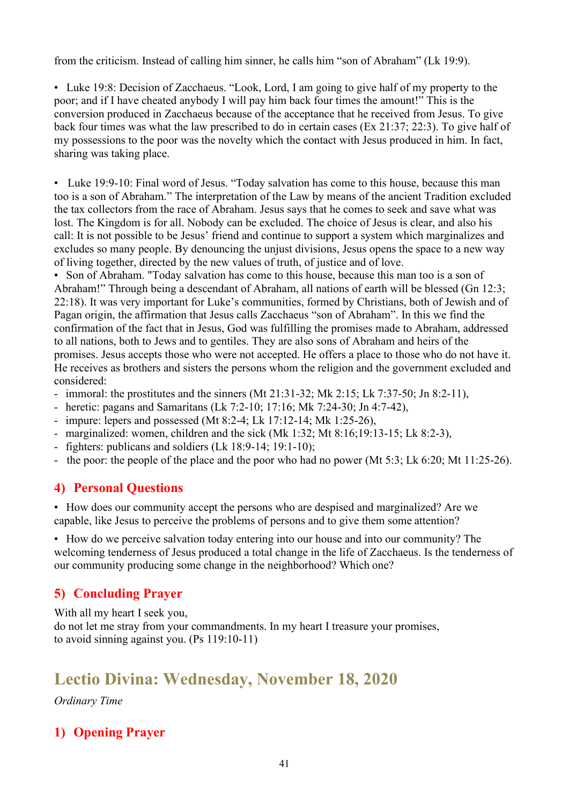from the criticism. Instead of calling him sinner, he calls him "son of Abraham" (Lk 19:9).

• Luke 19:8: Decision of Zacchaeus. "Look, Lord, I am going to give half of my property to the poor; and if I have cheated anybody I will pay him back four times the amount!" This is the conversion produced in Zacchaeus because of the acceptance that he received from Jesus. To give back four times was what the law prescribed to do in certain cases (Ex 21:37; 22:3). To give half of my possessions to the poor was the novelty which the contact with Jesus produced in him. In fact, sharing was taking place.

• Luke 19:9-10: Final word of Jesus. "Today salvation has come to this house, because this man too is a son of Abraham." The interpretation of the Law by means of the ancient Tradition excluded the tax collectors from the race of Abraham. Jesus says that he comes to seek and save what was lost. The Kingdom is for all. Nobody can be excluded. The choice of Jesus is clear, and also his call: It is not possible to be Jesus' friend and continue to support a system which marginalizes and excludes so many people. By denouncing the unjust divisions, Jesus opens the space to a new way of living together, directed by the new values of truth, of justice and of love.

• Son of Abraham. "Today salvation has come to this house, because this man too is a son of Abraham!" Through being a descendant of Abraham, all nations of earth will be blessed (Gn 12:3; 22:18). It was very important for Luke's communities, formed by Christians, both of Jewish and of Pagan origin, the affirmation that Jesus calls Zacchaeus "son of Abraham". In this we find the confirmation of the fact that in Jesus, God was fulfilling the promises made to Abraham, addressed to all nations, both to Jews and to gentiles. They are also sons of Abraham and heirs of the promises. Jesus accepts those who were not accepted. He offers a place to those who do not have it. He receives as brothers and sisters the persons whom the religion and the government excluded and considered:

- immoral: the prostitutes and the sinners (Mt  $21:31-32$ ; Mk  $2:15$ ; Lk  $7:37-50$ ; Jn 8:2-11),
- heretic: pagans and Samaritans (Lk 7:2-10; 17:16; Mk 7:24-30; Jn 4:7-42),
- impure: lepers and possessed (Mt 8:2-4; Lk 17:12-14; Mk 1:25-26),
- marginalized: women, children and the sick (Mk 1:32; Mt 8:16;19:13-15; Lk 8:2-3),
- fighters: publicans and soldiers (Lk 18:9-14; 19:1-10);
- the poor: the people of the place and the poor who had no power (Mt 5:3; Lk 6:20; Mt 11:25-26).

# **4) Personal Questions**

• How does our community accept the persons who are despised and marginalized? Are we capable, like Jesus to perceive the problems of persons and to give them some attention?

• How do we perceive salvation today entering into our house and into our community? The welcoming tenderness of Jesus produced a total change in the life of Zacchaeus. Is the tenderness of our community producing some change in the neighborhood? Which one?

# **5) Concluding Prayer**

With all my heart I seek you, do not let me stray from your commandments. In my heart I treasure your promises, to avoid sinning against you. (Ps 119:10-11)

# <span id="page-40-0"></span>**Lectio Divina: Wednesday, November 18, 2020**

*Ordinary Time*

# **1) Opening Prayer**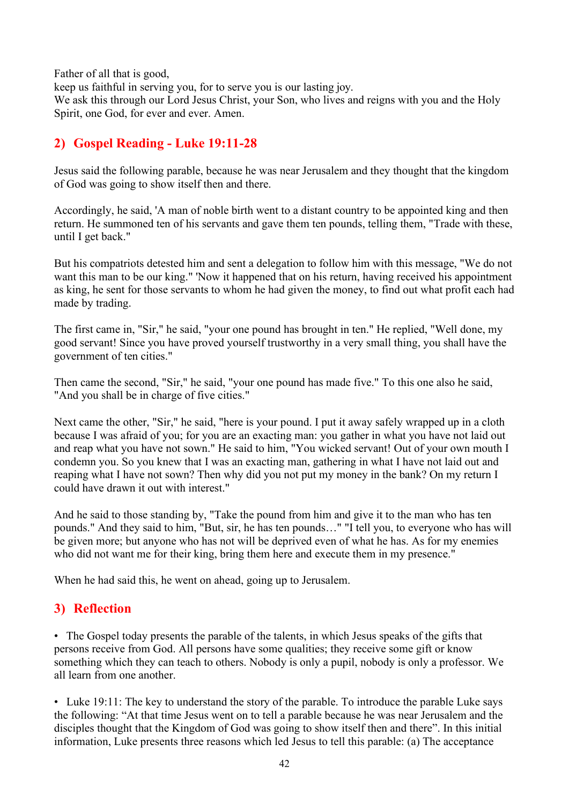Father of all that is good, keep us faithful in serving you, for to serve you is our lasting joy. We ask this through our Lord Jesus Christ, your Son, who lives and reigns with you and the Holy Spirit, one God, for ever and ever. Amen.

# **2) Gospel Reading - Luke 19:11-28**

Jesus said the following parable, because he was near Jerusalem and they thought that the kingdom of God was going to show itself then and there.

Accordingly, he said, 'A man of noble birth went to a distant country to be appointed king and then return. He summoned ten of his servants and gave them ten pounds, telling them, "Trade with these, until I get back."

But his compatriots detested him and sent a delegation to follow him with this message, "We do not want this man to be our king." 'Now it happened that on his return, having received his appointment as king, he sent for those servants to whom he had given the money, to find out what profit each had made by trading.

The first came in, "Sir," he said, "your one pound has brought in ten." He replied, "Well done, my good servant! Since you have proved yourself trustworthy in a very small thing, you shall have the government of ten cities."

Then came the second, "Sir," he said, "your one pound has made five." To this one also he said, "And you shall be in charge of five cities."

Next came the other, "Sir," he said, "here is your pound. I put it away safely wrapped up in a cloth because I was afraid of you; for you are an exacting man: you gather in what you have not laid out and reap what you have not sown." He said to him, "You wicked servant! Out of your own mouth I condemn you. So you knew that I was an exacting man, gathering in what I have not laid out and reaping what I have not sown? Then why did you not put my money in the bank? On my return I could have drawn it out with interest."

And he said to those standing by, "Take the pound from him and give it to the man who has ten pounds." And they said to him, "But, sir, he has ten pounds…" "I tell you, to everyone who has will be given more; but anyone who has not will be deprived even of what he has. As for my enemies who did not want me for their king, bring them here and execute them in my presence."

When he had said this, he went on ahead, going up to Jerusalem.

### **3) Reflection**

• The Gospel today presents the parable of the talents, in which Jesus speaks of the gifts that persons receive from God. All persons have some qualities; they receive some gift or know something which they can teach to others. Nobody is only a pupil, nobody is only a professor. We all learn from one another.

• Luke 19:11: The key to understand the story of the parable. To introduce the parable Luke says the following: "At that time Jesus went on to tell a parable because he was near Jerusalem and the disciples thought that the Kingdom of God was going to show itself then and there". In this initial information, Luke presents three reasons which led Jesus to tell this parable: (a) The acceptance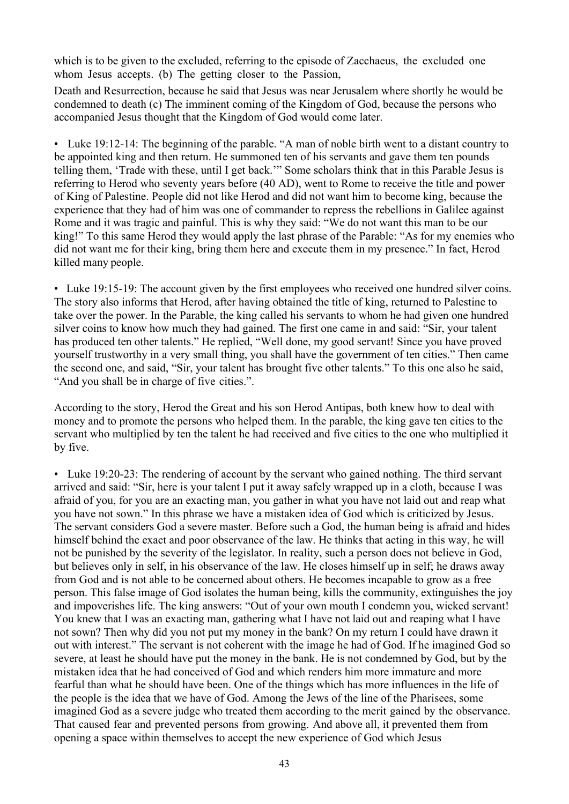which is to be given to the excluded, referring to the episode of Zacchaeus, the excluded one whom Jesus accepts. (b) The getting closer to the Passion,

Death and Resurrection, because he said that Jesus was near Jerusalem where shortly he would be condemned to death (c) The imminent coming of the Kingdom of God, because the persons who accompanied Jesus thought that the Kingdom of God would come later.

• Luke 19:12-14: The beginning of the parable. "A man of noble birth went to a distant country to be appointed king and then return. He summoned ten of his servants and gave them ten pounds telling them, 'Trade with these, until I get back.'" Some scholars think that in this Parable Jesus is referring to Herod who seventy years before (40 AD), went to Rome to receive the title and power of King of Palestine. People did not like Herod and did not want him to become king, because the experience that they had of him was one of commander to repress the rebellions in Galilee against Rome and it was tragic and painful. This is why they said: "We do not want this man to be our king!" To this same Herod they would apply the last phrase of the Parable: "As for my enemies who did not want me for their king, bring them here and execute them in my presence." In fact, Herod killed many people.

• Luke 19:15-19: The account given by the first employees who received one hundred silver coins. The story also informs that Herod, after having obtained the title of king, returned to Palestine to take over the power. In the Parable, the king called his servants to whom he had given one hundred silver coins to know how much they had gained. The first one came in and said: "Sir, your talent has produced ten other talents." He replied, "Well done, my good servant! Since you have proved yourself trustworthy in a very small thing, you shall have the government of ten cities." Then came the second one, and said, "Sir, your talent has brought five other talents." To this one also he said, "And you shall be in charge of five cities.".

According to the story, Herod the Great and his son Herod Antipas, both knew how to deal with money and to promote the persons who helped them. In the parable, the king gave ten cities to the servant who multiplied by ten the talent he had received and five cities to the one who multiplied it by five.

• Luke 19:20-23: The rendering of account by the servant who gained nothing. The third servant arrived and said: "Sir, here is your talent I put it away safely wrapped up in a cloth, because I was afraid of you, for you are an exacting man, you gather in what you have not laid out and reap what you have not sown." In this phrase we have a mistaken idea of God which is criticized by Jesus. The servant considers God a severe master. Before such a God, the human being is afraid and hides himself behind the exact and poor observance of the law. He thinks that acting in this way, he will not be punished by the severity of the legislator. In reality, such a person does not believe in God, but believes only in self, in his observance of the law. He closes himself up in self; he draws away from God and is not able to be concerned about others. He becomes incapable to grow as a free person. This false image of God isolates the human being, kills the community, extinguishes the joy and impoverishes life. The king answers: "Out of your own mouth I condemn you, wicked servant! You knew that I was an exacting man, gathering what I have not laid out and reaping what I have not sown? Then why did you not put my money in the bank? On my return I could have drawn it out with interest." The servant is not coherent with the image he had of God. If he imagined God so severe, at least he should have put the money in the bank. He is not condemned by God, but by the mistaken idea that he had conceived of God and which renders him more immature and more fearful than what he should have been. One of the things which has more influences in the life of the people is the idea that we have of God. Among the Jews of the line of the Pharisees, some imagined God as a severe judge who treated them according to the merit gained by the observance. That caused fear and prevented persons from growing. And above all, it prevented them from opening a space within themselves to accept the new experience of God which Jesus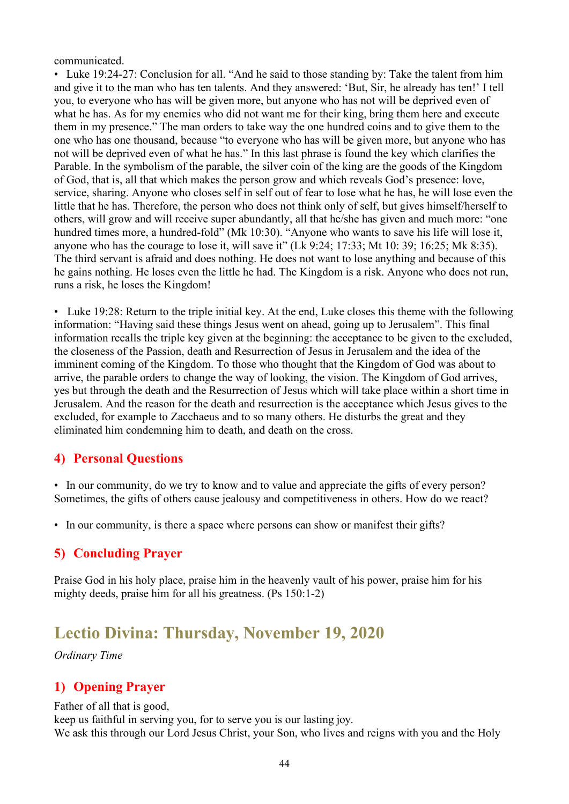communicated.

• Luke 19:24-27: Conclusion for all. "And he said to those standing by: Take the talent from him and give it to the man who has ten talents. And they answered: 'But, Sir, he already has ten!' I tell you, to everyone who has will be given more, but anyone who has not will be deprived even of what he has. As for my enemies who did not want me for their king, bring them here and execute them in my presence." The man orders to take way the one hundred coins and to give them to the one who has one thousand, because "to everyone who has will be given more, but anyone who has not will be deprived even of what he has." In this last phrase is found the key which clarifies the Parable. In the symbolism of the parable, the silver coin of the king are the goods of the Kingdom of God, that is, all that which makes the person grow and which reveals God's presence: love, service, sharing. Anyone who closes self in self out of fear to lose what he has, he will lose even the little that he has. Therefore, the person who does not think only of self, but gives himself/herself to others, will grow and will receive super abundantly, all that he/she has given and much more: "one hundred times more, a hundred-fold" (Mk 10:30). "Anyone who wants to save his life will lose it, anyone who has the courage to lose it, will save it" (Lk 9:24; 17:33; Mt 10: 39; 16:25; Mk 8:35). The third servant is afraid and does nothing. He does not want to lose anything and because of this he gains nothing. He loses even the little he had. The Kingdom is a risk. Anyone who does not run, runs a risk, he loses the Kingdom!

• Luke 19:28: Return to the triple initial key. At the end, Luke closes this theme with the following information: "Having said these things Jesus went on ahead, going up to Jerusalem". This final information recalls the triple key given at the beginning: the acceptance to be given to the excluded, the closeness of the Passion, death and Resurrection of Jesus in Jerusalem and the idea of the imminent coming of the Kingdom. To those who thought that the Kingdom of God was about to arrive, the parable orders to change the way of looking, the vision. The Kingdom of God arrives, yes but through the death and the Resurrection of Jesus which will take place within a short time in Jerusalem. And the reason for the death and resurrection is the acceptance which Jesus gives to the excluded, for example to Zacchaeus and to so many others. He disturbs the great and they eliminated him condemning him to death, and death on the cross.

### **4) Personal Questions**

• In our community, do we try to know and to value and appreciate the gifts of every person? Sometimes, the gifts of others cause jealousy and competitiveness in others. How do we react?

• In our community, is there a space where persons can show or manifest their gifts?

### **5) Concluding Prayer**

<span id="page-43-0"></span>Praise God in his holy place, praise him in the heavenly vault of his power, praise him for his mighty deeds, praise him for all his greatness. (Ps 150:1-2)

# **Lectio Divina: Thursday, November 19, 2020**

*Ordinary Time*

### **1) Opening Prayer**

Father of all that is good,

keep us faithful in serving you, for to serve you is our lasting joy. We ask this through our Lord Jesus Christ, your Son, who lives and reigns with you and the Holy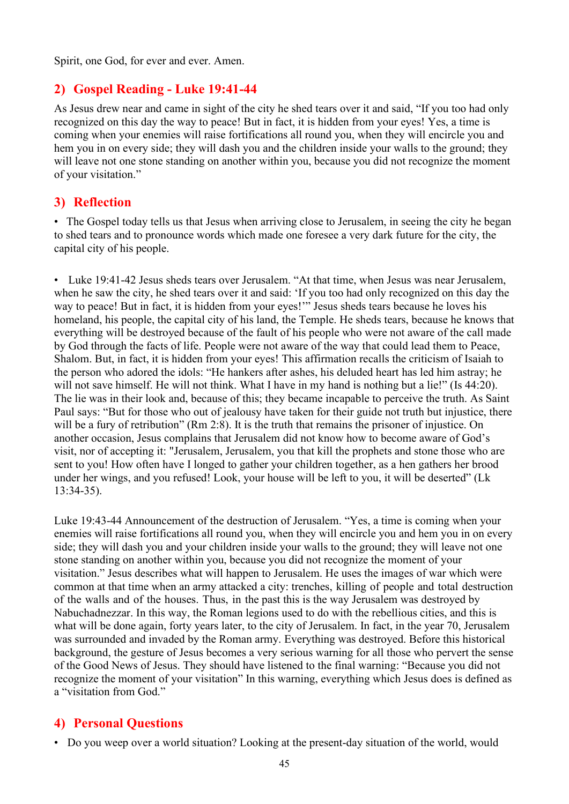Spirit, one God, for ever and ever. Amen.

### **2) Gospel Reading - Luke 19:41-44**

As Jesus drew near and came in sight of the city he shed tears over it and said, "If you too had only recognized on this day the way to peace! But in fact, it is hidden from your eyes! Yes, a time is coming when your enemies will raise fortifications all round you, when they will encircle you and hem you in on every side; they will dash you and the children inside your walls to the ground; they will leave not one stone standing on another within you, because you did not recognize the moment of your visitation."

### **3) Reflection**

• The Gospel today tells us that Jesus when arriving close to Jerusalem, in seeing the city he began to shed tears and to pronounce words which made one foresee a very dark future for the city, the capital city of his people.

• Luke 19:41-42 Jesus sheds tears over Jerusalem. "At that time, when Jesus was near Jerusalem, when he saw the city, he shed tears over it and said: 'If you too had only recognized on this day the way to peace! But in fact, it is hidden from your eyes!'" Jesus sheds tears because he loves his homeland, his people, the capital city of his land, the Temple. He sheds tears, because he knows that everything will be destroyed because of the fault of his people who were not aware of the call made by God through the facts of life. People were not aware of the way that could lead them to Peace, Shalom. But, in fact, it is hidden from your eyes! This affirmation recalls the criticism of Isaiah to the person who adored the idols: "He hankers after ashes, his deluded heart has led him astray; he will not save himself. He will not think. What I have in my hand is nothing but a lie!" (Is 44:20). The lie was in their look and, because of this; they became incapable to perceive the truth. As Saint Paul says: "But for those who out of jealousy have taken for their guide not truth but injustice, there will be a fury of retribution" (Rm 2:8). It is the truth that remains the prisoner of injustice. On another occasion, Jesus complains that Jerusalem did not know how to become aware of God's visit, nor of accepting it: "Jerusalem, Jerusalem, you that kill the prophets and stone those who are sent to you! How often have I longed to gather your children together, as a hen gathers her brood under her wings, and you refused! Look, your house will be left to you, it will be deserted" (Lk 13:34-35).

Luke 19:43-44 Announcement of the destruction of Jerusalem. "Yes, a time is coming when your enemies will raise fortifications all round you, when they will encircle you and hem you in on every side; they will dash you and your children inside your walls to the ground; they will leave not one stone standing on another within you, because you did not recognize the moment of your visitation." Jesus describes what will happen to Jerusalem. He uses the images of war which were common at that time when an army attacked a city: trenches, killing of people and total destruction of the walls and of the houses. Thus, in the past this is the way Jerusalem was destroyed by Nabuchadnezzar. In this way, the Roman legions used to do with the rebellious cities, and this is what will be done again, forty years later, to the city of Jerusalem. In fact, in the year 70, Jerusalem was surrounded and invaded by the Roman army. Everything was destroyed. Before this historical background, the gesture of Jesus becomes a very serious warning for all those who pervert the sense of the Good News of Jesus. They should have listened to the final warning: "Because you did not recognize the moment of your visitation" In this warning, everything which Jesus does is defined as a "visitation from God."

### **4) Personal Questions**

• Do you weep over a world situation? Looking at the present-day situation of the world, would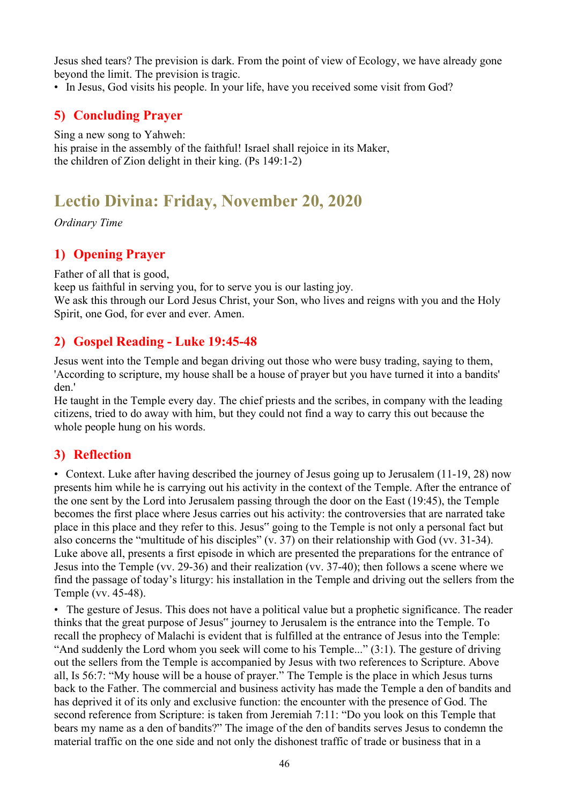Jesus shed tears? The prevision is dark. From the point of view of Ecology, we have already gone beyond the limit. The prevision is tragic.

• In Jesus, God visits his people. In your life, have you received some visit from God?

## **5) Concluding Prayer**

Sing a new song to Yahweh:

his praise in the assembly of the faithful! Israel shall rejoice in its Maker, the children of Zion delight in their king. (Ps 149:1-2)

# <span id="page-45-0"></span>**Lectio Divina: Friday, November 20, 2020**

*Ordinary Time*

# **1) Opening Prayer**

Father of all that is good,

keep us faithful in serving you, for to serve you is our lasting joy.

We ask this through our Lord Jesus Christ, your Son, who lives and reigns with you and the Holy Spirit, one God, for ever and ever. Amen.

### **2) Gospel Reading - Luke 19:45-48**

Jesus went into the Temple and began driving out those who were busy trading, saying to them, 'According to scripture, my house shall be a house of prayer but you have turned it into a bandits' den.'

He taught in the Temple every day. The chief priests and the scribes, in company with the leading citizens, tried to do away with him, but they could not find a way to carry this out because the whole people hung on his words.

### **3) Reflection**

• Context. Luke after having described the journey of Jesus going up to Jerusalem (11-19, 28) now presents him while he is carrying out his activity in the context of the Temple. After the entrance of the one sent by the Lord into Jerusalem passing through the door on the East (19:45), the Temple becomes the first place where Jesus carries out his activity: the controversies that are narrated take place in this place and they refer to this. Jesus" going to the Temple is not only a personal fact but also concerns the "multitude of his disciples" (v. 37) on their relationship with God (vv. 31-34). Luke above all, presents a first episode in which are presented the preparations for the entrance of Jesus into the Temple (vv. 29-36) and their realization (vv. 37-40); then follows a scene where we find the passage of today's liturgy: his installation in the Temple and driving out the sellers from the Temple (vv. 45-48).

• The gesture of Jesus. This does not have a political value but a prophetic significance. The reader thinks that the great purpose of Jesus" journey to Jerusalem is the entrance into the Temple. To recall the prophecy of Malachi is evident that is fulfilled at the entrance of Jesus into the Temple: "And suddenly the Lord whom you seek will come to his Temple..." (3:1). The gesture of driving out the sellers from the Temple is accompanied by Jesus with two references to Scripture. Above all, Is 56:7: "My house will be a house of prayer." The Temple is the place in which Jesus turns back to the Father. The commercial and business activity has made the Temple a den of bandits and has deprived it of its only and exclusive function: the encounter with the presence of God. The second reference from Scripture: is taken from Jeremiah 7:11: "Do you look on this Temple that bears my name as a den of bandits?" The image of the den of bandits serves Jesus to condemn the material traffic on the one side and not only the dishonest traffic of trade or business that in a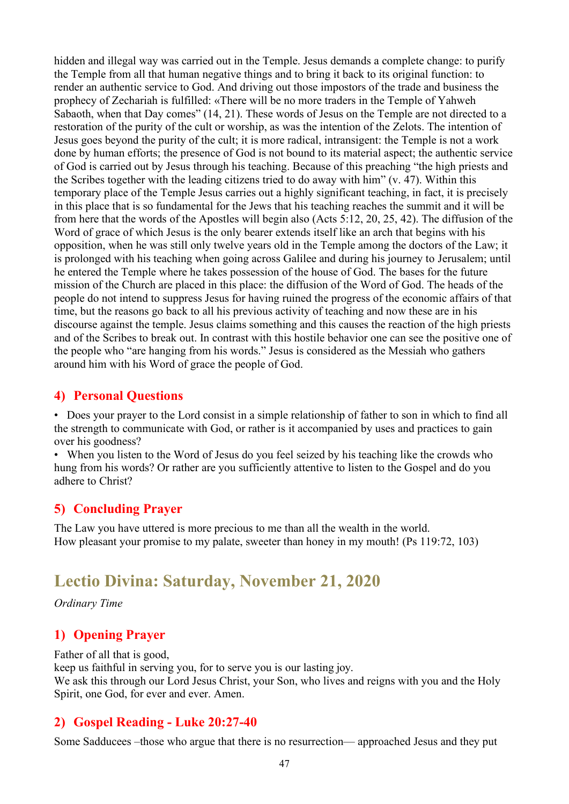hidden and illegal way was carried out in the Temple. Jesus demands a complete change: to purify the Temple from all that human negative things and to bring it back to its original function: to render an authentic service to God. And driving out those impostors of the trade and business the prophecy of Zechariah is fulfilled: «There will be no more traders in the Temple of Yahweh Sabaoth, when that Day comes" (14, 21). These words of Jesus on the Temple are not directed to a restoration of the purity of the cult or worship, as was the intention of the Zelots. The intention of Jesus goes beyond the purity of the cult; it is more radical, intransigent: the Temple is not a work done by human efforts; the presence of God is not bound to its material aspect; the authentic service of God is carried out by Jesus through his teaching. Because of this preaching "the high priests and the Scribes together with the leading citizens tried to do away with him" (v. 47). Within this temporary place of the Temple Jesus carries out a highly significant teaching, in fact, it is precisely in this place that is so fundamental for the Jews that his teaching reaches the summit and it will be from here that the words of the Apostles will begin also (Acts 5:12, 20, 25, 42). The diffusion of the Word of grace of which Jesus is the only bearer extends itself like an arch that begins with his opposition, when he was still only twelve years old in the Temple among the doctors of the Law; it is prolonged with his teaching when going across Galilee and during his journey to Jerusalem; until he entered the Temple where he takes possession of the house of God. The bases for the future mission of the Church are placed in this place: the diffusion of the Word of God. The heads of the people do not intend to suppress Jesus for having ruined the progress of the economic affairs of that time, but the reasons go back to all his previous activity of teaching and now these are in his discourse against the temple. Jesus claims something and this causes the reaction of the high priests and of the Scribes to break out. In contrast with this hostile behavior one can see the positive one of the people who "are hanging from his words." Jesus is considered as the Messiah who gathers around him with his Word of grace the people of God.

### **4) Personal Questions**

• Does your prayer to the Lord consist in a simple relationship of father to son in which to find all the strength to communicate with God, or rather is it accompanied by uses and practices to gain over his goodness?

• When you listen to the Word of Jesus do you feel seized by his teaching like the crowds who hung from his words? Or rather are you sufficiently attentive to listen to the Gospel and do you adhere to Christ?

# **5) Concluding Prayer**

The Law you have uttered is more precious to me than all the wealth in the world. How pleasant your promise to my palate, sweeter than honey in my mouth! (Ps 119:72, 103)

# <span id="page-46-0"></span>**Lectio Divina: Saturday, November 21, 2020**

*Ordinary Time*

# **1) Opening Prayer**

Father of all that is good,

keep us faithful in serving you, for to serve you is our lasting joy. We ask this through our Lord Jesus Christ, your Son, who lives and reigns with you and the Holy Spirit, one God, for ever and ever. Amen.

### **2) Gospel Reading - Luke 20:27-40**

Some Sadducees –those who argue that there is no resurrection— approached Jesus and they put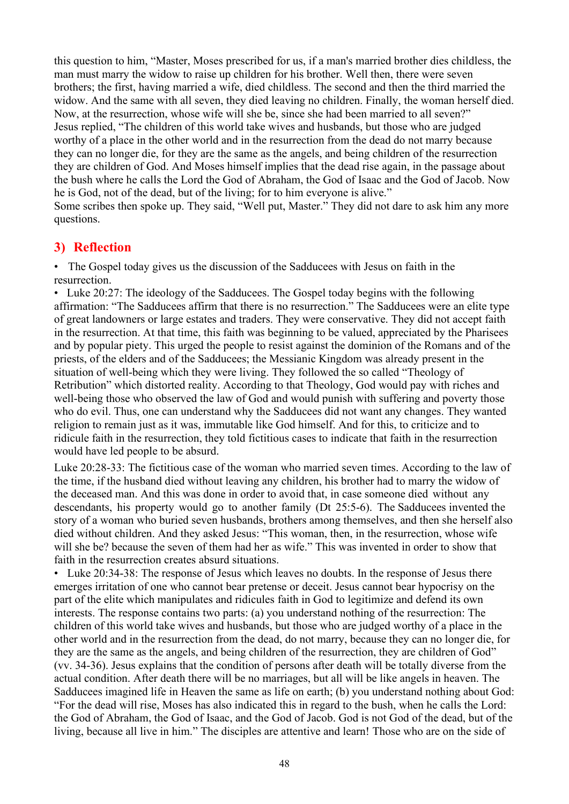this question to him, "Master, Moses prescribed for us, if a man's married brother dies childless, the man must marry the widow to raise up children for his brother. Well then, there were seven brothers; the first, having married a wife, died childless. The second and then the third married the widow. And the same with all seven, they died leaving no children. Finally, the woman herself died. Now, at the resurrection, whose wife will she be, since she had been married to all seven?" Jesus replied, "The children of this world take wives and husbands, but those who are judged worthy of a place in the other world and in the resurrection from the dead do not marry because they can no longer die, for they are the same as the angels, and being children of the resurrection they are children of God. And Moses himself implies that the dead rise again, in the passage about the bush where he calls the Lord the God of Abraham, the God of Isaac and the God of Jacob. Now he is God, not of the dead, but of the living; for to him everyone is alive." Some scribes then spoke up. They said, "Well put, Master." They did not dare to ask him any more questions.

### **3) Reflection**

The Gospel today gives us the discussion of the Sadducees with Jesus on faith in the resurrection.

• Luke 20:27: The ideology of the Sadducees. The Gospel today begins with the following affirmation: "The Sadducees affirm that there is no resurrection." The Sadducees were an elite type of great landowners or large estates and traders. They were conservative. They did not accept faith in the resurrection. At that time, this faith was beginning to be valued, appreciated by the Pharisees and by popular piety. This urged the people to resist against the dominion of the Romans and of the priests, of the elders and of the Sadducees; the Messianic Kingdom was already present in the situation of well-being which they were living. They followed the so called "Theology of Retribution" which distorted reality. According to that Theology, God would pay with riches and well-being those who observed the law of God and would punish with suffering and poverty those who do evil. Thus, one can understand why the Sadducees did not want any changes. They wanted religion to remain just as it was, immutable like God himself. And for this, to criticize and to ridicule faith in the resurrection, they told fictitious cases to indicate that faith in the resurrection would have led people to be absurd.

Luke 20:28-33: The fictitious case of the woman who married seven times. According to the law of the time, if the husband died without leaving any children, his brother had to marry the widow of the deceased man. And this was done in order to avoid that, in case someone died without any descendants, his property would go to another family (Dt 25:5-6). The Sadducees invented the story of a woman who buried seven husbands, brothers among themselves, and then she herself also died without children. And they asked Jesus: "This woman, then, in the resurrection, whose wife will she be? because the seven of them had her as wife." This was invented in order to show that faith in the resurrection creates absurd situations.

• Luke 20:34-38: The response of Jesus which leaves no doubts. In the response of Jesus there emerges irritation of one who cannot bear pretense or deceit. Jesus cannot bear hypocrisy on the part of the elite which manipulates and ridicules faith in God to legitimize and defend its own interests. The response contains two parts: (a) you understand nothing of the resurrection: The children of this world take wives and husbands, but those who are judged worthy of a place in the other world and in the resurrection from the dead, do not marry, because they can no longer die, for they are the same as the angels, and being children of the resurrection, they are children of God" (vv. 34-36). Jesus explains that the condition of persons after death will be totally diverse from the actual condition. After death there will be no marriages, but all will be like angels in heaven. The Sadducees imagined life in Heaven the same as life on earth; (b) you understand nothing about God: "For the dead will rise, Moses has also indicated this in regard to the bush, when he calls the Lord: the God of Abraham, the God of Isaac, and the God of Jacob. God is not God of the dead, but of the living, because all live in him." The disciples are attentive and learn! Those who are on the side of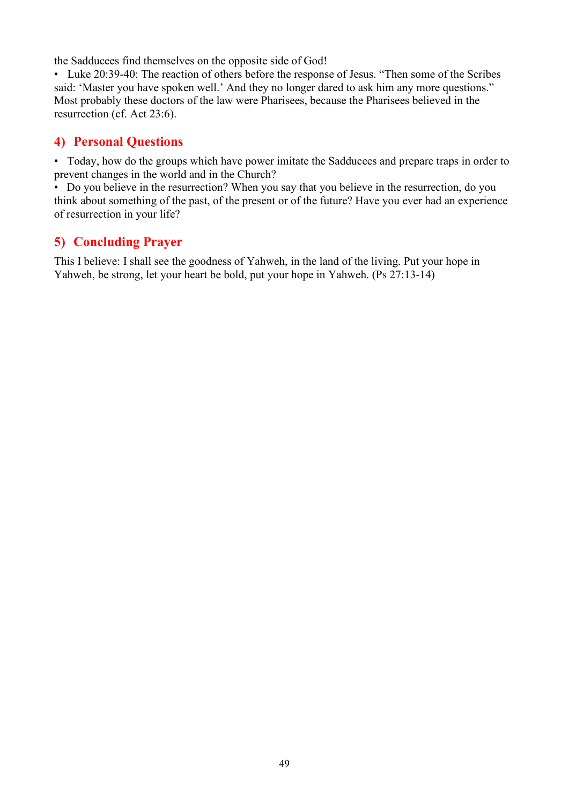the Sadducees find themselves on the opposite side of God!

• Luke 20:39-40: The reaction of others before the response of Jesus. "Then some of the Scribes said: 'Master you have spoken well.' And they no longer dared to ask him any more questions." Most probably these doctors of the law were Pharisees, because the Pharisees believed in the resurrection (cf. Act 23:6).

## **4) Personal Questions**

• Today, how do the groups which have power imitate the Sadducees and prepare traps in order to prevent changes in the world and in the Church?

• Do you believe in the resurrection? When you say that you believe in the resurrection, do you think about something of the past, of the present or of the future? Have you ever had an experience of resurrection in your life?

### **5) Concluding Prayer**

This I believe: I shall see the goodness of Yahweh, in the land of the living. Put your hope in Yahweh, be strong, let your heart be bold, put your hope in Yahweh. (Ps 27:13-14)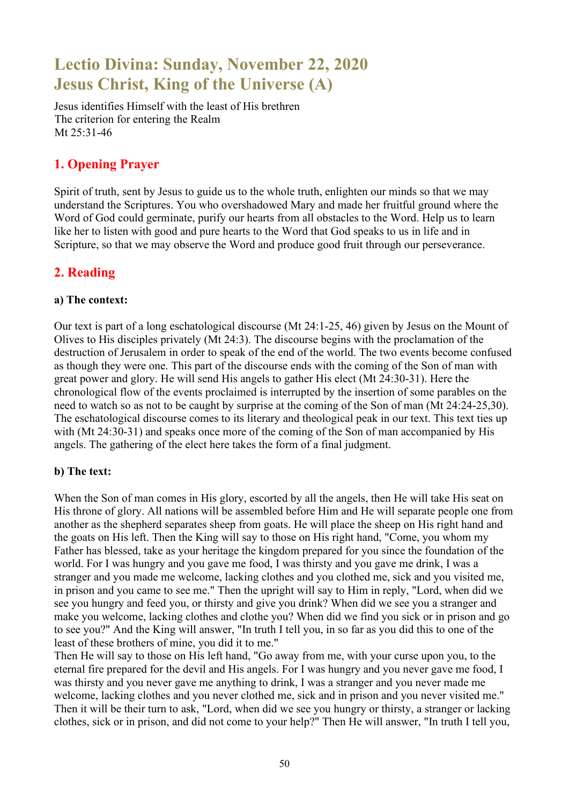# <span id="page-49-0"></span>**Lectio Divina: Sunday, November 22, 2020 Jesus Christ, King of the Universe (A)**

Jesus identifies Himself with the least of His brethren The criterion for entering the Realm Mt 25:31-46

## **1. Opening Prayer**

Spirit of truth, sent by Jesus to guide us to the whole truth, enlighten our minds so that we may understand the Scriptures. You who overshadowed Mary and made her fruitful ground where the Word of God could germinate, purify our hearts from all obstacles to the Word. Help us to learn like her to listen with good and pure hearts to the Word that God speaks to us in life and in Scripture, so that we may observe the Word and produce good fruit through our perseverance.

## **2. Reading**

#### **a) The context:**

Our text is part of a long eschatological discourse (Mt 24:1-25, 46) given by Jesus on the Mount of Olives to His disciples privately (Mt 24:3). The discourse begins with the proclamation of the destruction of Jerusalem in order to speak of the end of the world. The two events become confused as though they were one. This part of the discourse ends with the coming of the Son of man with great power and glory. He will send His angels to gather His elect (Mt 24:30-31). Here the chronological flow of the events proclaimed is interrupted by the insertion of some parables on the need to watch so as not to be caught by surprise at the coming of the Son of man (Mt 24:24-25,30). The eschatological discourse comes to its literary and theological peak in our text. This text ties up with (Mt 24:30-31) and speaks once more of the coming of the Son of man accompanied by His angels. The gathering of the elect here takes the form of a final judgment.

#### **b) The text:**

When the Son of man comes in His glory, escorted by all the angels, then He will take His seat on His throne of glory. All nations will be assembled before Him and He will separate people one from another as the shepherd separates sheep from goats. He will place the sheep on His right hand and the goats on His left. Then the King will say to those on His right hand, "Come, you whom my Father has blessed, take as your heritage the kingdom prepared for you since the foundation of the world. For I was hungry and you gave me food, I was thirsty and you gave me drink, I was a stranger and you made me welcome, lacking clothes and you clothed me, sick and you visited me, in prison and you came to see me." Then the upright will say to Him in reply, "Lord, when did we see you hungry and feed you, or thirsty and give you drink? When did we see you a stranger and make you welcome, lacking clothes and clothe you? When did we find you sick or in prison and go to see you?" And the King will answer, "In truth I tell you, in so far as you did this to one of the least of these brothers of mine, you did it to me."

Then He will say to those on His left hand, "Go away from me, with your curse upon you, to the eternal fire prepared for the devil and His angels. For I was hungry and you never gave me food, I was thirsty and you never gave me anything to drink, I was a stranger and you never made me welcome, lacking clothes and you never clothed me, sick and in prison and you never visited me." Then it will be their turn to ask, "Lord, when did we see you hungry or thirsty, a stranger or lacking clothes, sick or in prison, and did not come to your help?" Then He will answer, "In truth I tell you,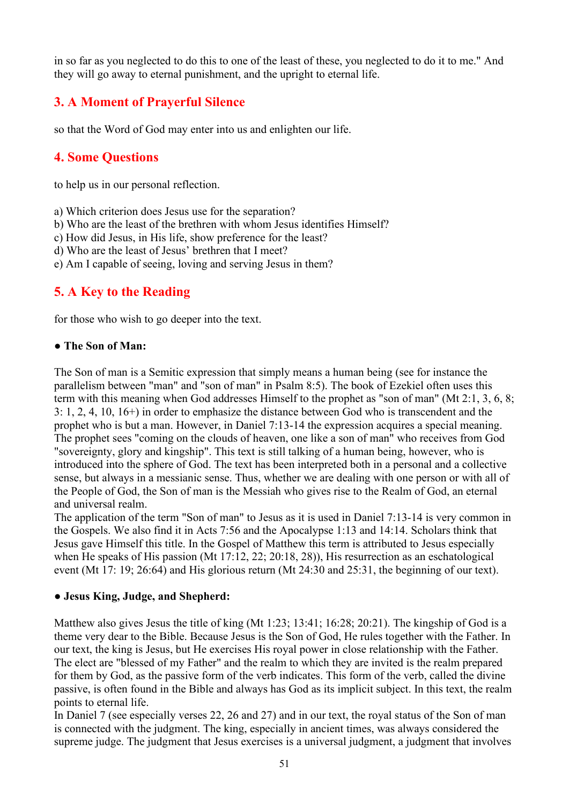in so far as you neglected to do this to one of the least of these, you neglected to do it to me." And they will go away to eternal punishment, and the upright to eternal life.

# **3. A Moment of Prayerful Silence**

so that the Word of God may enter into us and enlighten our life.

## **4. Some Questions**

to help us in our personal reflection.

- a) Which criterion does Jesus use for the separation?
- b) Who are the least of the brethren with whom Jesus identifies Himself?
- c) How did Jesus, in His life, show preference for the least?
- d) Who are the least of Jesus' brethren that I meet?
- e) Am I capable of seeing, loving and serving Jesus in them?

# **5. A Key to the Reading**

for those who wish to go deeper into the text.

### **● The Son of Man:**

The Son of man is a Semitic expression that simply means a human being (see for instance the parallelism between "man" and "son of man" in Psalm 8:5). The book of Ezekiel often uses this term with this meaning when God addresses Himself to the prophet as "son of man" (Mt 2:1, 3, 6, 8; 3: 1, 2, 4, 10, 16+) in order to emphasize the distance between God who is transcendent and the prophet who is but a man. However, in Daniel 7:13-14 the expression acquires a special meaning. The prophet sees "coming on the clouds of heaven, one like a son of man" who receives from God "sovereignty, glory and kingship". This text is still talking of a human being, however, who is introduced into the sphere of God. The text has been interpreted both in a personal and a collective sense, but always in a messianic sense. Thus, whether we are dealing with one person or with all of the People of God, the Son of man is the Messiah who gives rise to the Realm of God, an eternal and universal realm.

The application of the term "Son of man" to Jesus as it is used in Daniel 7:13-14 is very common in the Gospels. We also find it in Acts 7:56 and the Apocalypse 1:13 and 14:14. Scholars think that Jesus gave Himself this title. In the Gospel of Matthew this term is attributed to Jesus especially when He speaks of His passion (Mt 17:12, 22; 20:18, 28)), His resurrection as an eschatological event (Mt 17: 19; 26:64) and His glorious return (Mt 24:30 and 25:31, the beginning of our text).

### **● Jesus King, Judge, and Shepherd:**

Matthew also gives Jesus the title of king (Mt 1:23; 13:41; 16:28; 20:21). The kingship of God is a theme very dear to the Bible. Because Jesus is the Son of God, He rules together with the Father. In our text, the king is Jesus, but He exercises His royal power in close relationship with the Father. The elect are "blessed of my Father" and the realm to which they are invited is the realm prepared for them by God, as the passive form of the verb indicates. This form of the verb, called the divine passive, is often found in the Bible and always has God as its implicit subject. In this text, the realm points to eternal life.

In Daniel 7 (see especially verses 22, 26 and 27) and in our text, the royal status of the Son of man is connected with the judgment. The king, especially in ancient times, was always considered the supreme judge. The judgment that Jesus exercises is a universal judgment, a judgment that involves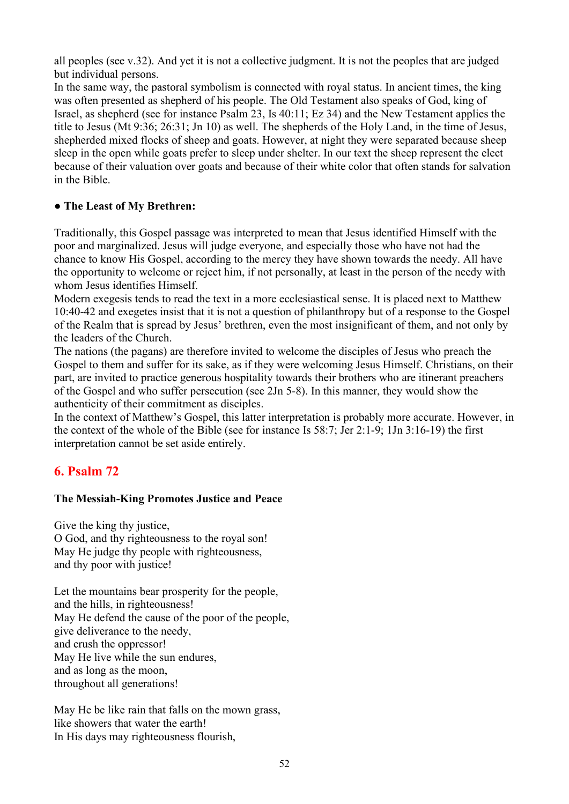all peoples (see v.32). And yet it is not a collective judgment. It is not the peoples that are judged but individual persons.

In the same way, the pastoral symbolism is connected with royal status. In ancient times, the king was often presented as shepherd of his people. The Old Testament also speaks of God, king of Israel, as shepherd (see for instance Psalm 23, Is 40:11; Ez 34) and the New Testament applies the title to Jesus (Mt 9:36; 26:31; Jn 10) as well. The shepherds of the Holy Land, in the time of Jesus, shepherded mixed flocks of sheep and goats. However, at night they were separated because sheep sleep in the open while goats prefer to sleep under shelter. In our text the sheep represent the elect because of their valuation over goats and because of their white color that often stands for salvation in the Bible.

### **● The Least of My Brethren:**

Traditionally, this Gospel passage was interpreted to mean that Jesus identified Himself with the poor and marginalized. Jesus will judge everyone, and especially those who have not had the chance to know His Gospel, according to the mercy they have shown towards the needy. All have the opportunity to welcome or reject him, if not personally, at least in the person of the needy with whom Jesus identifies Himself.

Modern exegesis tends to read the text in a more ecclesiastical sense. It is placed next to Matthew 10:40-42 and exegetes insist that it is not a question of philanthropy but of a response to the Gospel of the Realm that is spread by Jesus' brethren, even the most insignificant of them, and not only by the leaders of the Church.

The nations (the pagans) are therefore invited to welcome the disciples of Jesus who preach the Gospel to them and suffer for its sake, as if they were welcoming Jesus Himself. Christians, on their part, are invited to practice generous hospitality towards their brothers who are itinerant preachers of the Gospel and who suffer persecution (see 2Jn 5-8). In this manner, they would show the authenticity of their commitment as disciples.

In the context of Matthew's Gospel, this latter interpretation is probably more accurate. However, in the context of the whole of the Bible (see for instance Is 58:7; Jer 2:1-9; 1Jn 3:16-19) the first interpretation cannot be set aside entirely.

# **6. Psalm 72**

### **The Messiah-King Promotes Justice and Peace**

Give the king thy justice, O God, and thy righteousness to the royal son! May He judge thy people with righteousness, and thy poor with justice!

Let the mountains bear prosperity for the people, and the hills, in righteousness! May He defend the cause of the poor of the people, give deliverance to the needy, and crush the oppressor! May He live while the sun endures, and as long as the moon, throughout all generations!

May He be like rain that falls on the mown grass, like showers that water the earth! In His days may righteousness flourish,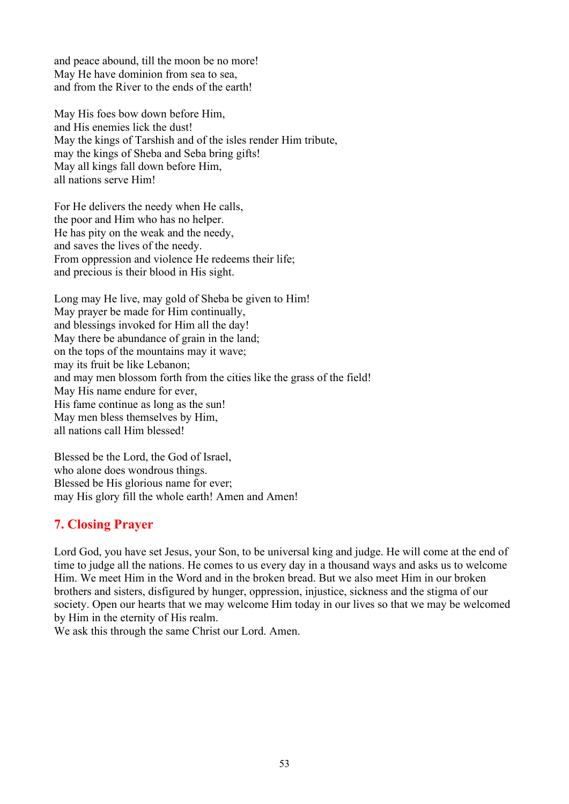and peace abound, till the moon be no more! May He have dominion from sea to sea, and from the River to the ends of the earth!

May His foes bow down before Him, and His enemies lick the dust! May the kings of Tarshish and of the isles render Him tribute, may the kings of Sheba and Seba bring gifts! May all kings fall down before Him, all nations serve Him!

For He delivers the needy when He calls, the poor and Him who has no helper. He has pity on the weak and the needy, and saves the lives of the needy. From oppression and violence He redeems their life; and precious is their blood in His sight.

Long may He live, may gold of Sheba be given to Him! May prayer be made for Him continually, and blessings invoked for Him all the day! May there be abundance of grain in the land; on the tops of the mountains may it wave; may its fruit be like Lebanon; and may men blossom forth from the cities like the grass of the field! May His name endure for ever, His fame continue as long as the sun! May men bless themselves by Him, all nations call Him blessed!

Blessed be the Lord, the God of Israel, who alone does wondrous things. Blessed be His glorious name for ever; may His glory fill the whole earth! Amen and Amen!

### **7. Closing Prayer**

Lord God, you have set Jesus, your Son, to be universal king and judge. He will come at the end of time to judge all the nations. He comes to us every day in a thousand ways and asks us to welcome Him. We meet Him in the Word and in the broken bread. But we also meet Him in our broken brothers and sisters, disfigured by hunger, oppression, injustice, sickness and the stigma of our society. Open our hearts that we may welcome Him today in our lives so that we may be welcomed by Him in the eternity of His realm.

We ask this through the same Christ our Lord. Amen.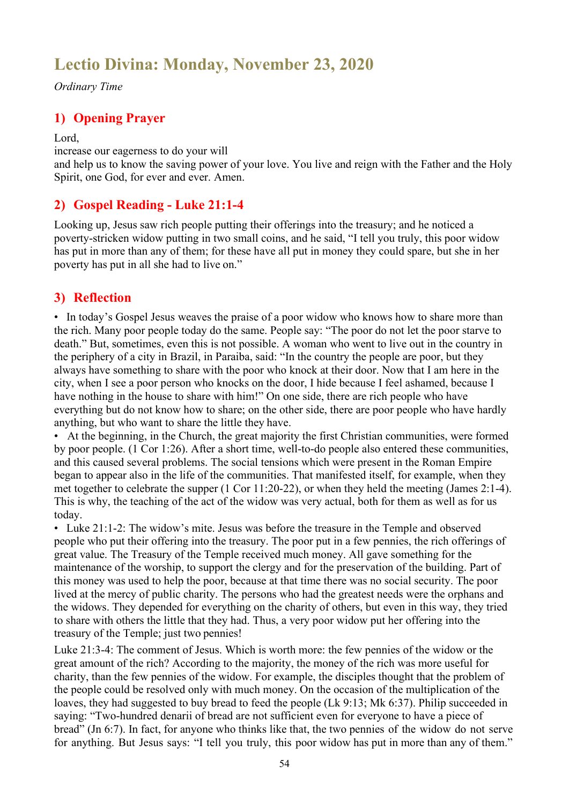# <span id="page-53-0"></span>**Lectio Divina: Monday, November 23, 2020**

*Ordinary Time*

# **1) Opening Prayer**

Lord,

increase our eagerness to do your will

and help us to know the saving power of your love. You live and reign with the Father and the Holy Spirit, one God, for ever and ever. Amen.

# **2) Gospel Reading - Luke 21:1-4**

Looking up, Jesus saw rich people putting their offerings into the treasury; and he noticed a poverty-stricken widow putting in two small coins, and he said, "I tell you truly, this poor widow has put in more than any of them; for these have all put in money they could spare, but she in her poverty has put in all she had to live on."

## **3) Reflection**

• In today's Gospel Jesus weaves the praise of a poor widow who knows how to share more than the rich. Many poor people today do the same. People say: "The poor do not let the poor starve to death." But, sometimes, even this is not possible. A woman who went to live out in the country in the periphery of a city in Brazil, in Paraiba, said: "In the country the people are poor, but they always have something to share with the poor who knock at their door. Now that I am here in the city, when I see a poor person who knocks on the door, I hide because I feel ashamed, because I have nothing in the house to share with him!" On one side, there are rich people who have everything but do not know how to share; on the other side, there are poor people who have hardly anything, but who want to share the little they have.

• At the beginning, in the Church, the great majority the first Christian communities, were formed by poor people. (1 Cor 1:26). After a short time, well-to-do people also entered these communities, and this caused several problems. The social tensions which were present in the Roman Empire began to appear also in the life of the communities. That manifested itself, for example, when they met together to celebrate the supper (1 Cor 11:20-22), or when they held the meeting (James 2:1-4). This is why, the teaching of the act of the widow was very actual, both for them as well as for us today.

• Luke 21:1-2: The widow's mite. Jesus was before the treasure in the Temple and observed people who put their offering into the treasury. The poor put in a few pennies, the rich offerings of great value. The Treasury of the Temple received much money. All gave something for the maintenance of the worship, to support the clergy and for the preservation of the building. Part of this money was used to help the poor, because at that time there was no social security. The poor lived at the mercy of public charity. The persons who had the greatest needs were the orphans and the widows. They depended for everything on the charity of others, but even in this way, they tried to share with others the little that they had. Thus, a very poor widow put her offering into the treasury of the Temple; just two pennies!

Luke 21:3-4: The comment of Jesus. Which is worth more: the few pennies of the widow or the great amount of the rich? According to the majority, the money of the rich was more useful for charity, than the few pennies of the widow. For example, the disciples thought that the problem of the people could be resolved only with much money. On the occasion of the multiplication of the loaves, they had suggested to buy bread to feed the people (Lk 9:13; Mk 6:37). Philip succeeded in saying: "Two-hundred denarii of bread are not sufficient even for everyone to have a piece of bread" (Jn 6:7). In fact, for anyone who thinks like that, the two pennies of the widow do not serve for anything. But Jesus says: "I tell you truly, this poor widow has put in more than any of them."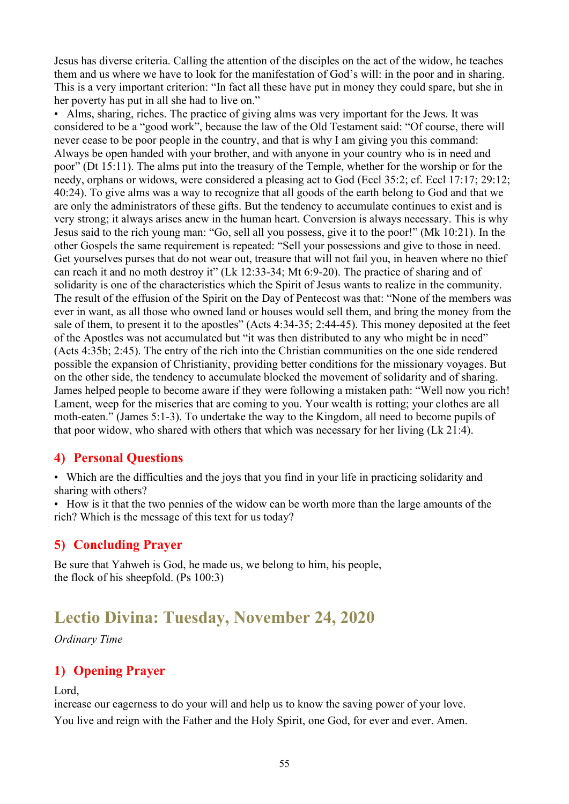Jesus has diverse criteria. Calling the attention of the disciples on the act of the widow, he teaches them and us where we have to look for the manifestation of God's will: in the poor and in sharing. This is a very important criterion: "In fact all these have put in money they could spare, but she in her poverty has put in all she had to live on."

• Alms, sharing, riches. The practice of giving alms was very important for the Jews. It was considered to be a "good work", because the law of the Old Testament said: "Of course, there will never cease to be poor people in the country, and that is why I am giving you this command: Always be open handed with your brother, and with anyone in your country who is in need and poor" (Dt 15:11). The alms put into the treasury of the Temple, whether for the worship or for the needy, orphans or widows, were considered a pleasing act to God (Eccl 35:2; cf. Eccl 17:17; 29:12; 40:24). To give alms was a way to recognize that all goods of the earth belong to God and that we are only the administrators of these gifts. But the tendency to accumulate continues to exist and is very strong; it always arises anew in the human heart. Conversion is always necessary. This is why Jesus said to the rich young man: "Go, sell all you possess, give it to the poor!" (Mk 10:21). In the other Gospels the same requirement is repeated: "Sell your possessions and give to those in need. Get yourselves purses that do not wear out, treasure that will not fail you, in heaven where no thief can reach it and no moth destroy it" (Lk 12:33-34; Mt 6:9-20). The practice of sharing and of solidarity is one of the characteristics which the Spirit of Jesus wants to realize in the community. The result of the effusion of the Spirit on the Day of Pentecost was that: "None of the members was ever in want, as all those who owned land or houses would sell them, and bring the money from the sale of them, to present it to the apostles" (Acts 4:34-35; 2:44-45). This money deposited at the feet of the Apostles was not accumulated but "it was then distributed to any who might be in need" (Acts 4:35b; 2:45). The entry of the rich into the Christian communities on the one side rendered possible the expansion of Christianity, providing better conditions for the missionary voyages. But on the other side, the tendency to accumulate blocked the movement of solidarity and of sharing. James helped people to become aware if they were following a mistaken path: "Well now you rich! Lament, weep for the miseries that are coming to you. Your wealth is rotting; your clothes are all moth-eaten." (James 5:1-3). To undertake the way to the Kingdom, all need to become pupils of that poor widow, who shared with others that which was necessary for her living (Lk 21:4).

### **4) Personal Questions**

• Which are the difficulties and the joys that you find in your life in practicing solidarity and sharing with others?

• How is it that the two pennies of the widow can be worth more than the large amounts of the rich? Which is the message of this text for us today?

### **5) Concluding Prayer**

Be sure that Yahweh is God, he made us, we belong to him, his people, the flock of his sheepfold. (Ps 100:3)

# <span id="page-54-0"></span>**Lectio Divina: Tuesday, November 24, 2020**

*Ordinary Time*

### **1) Opening Prayer**

Lord,

increase our eagerness to do your will and help us to know the saving power of your love. You live and reign with the Father and the Holy Spirit, one God, for ever and ever. Amen.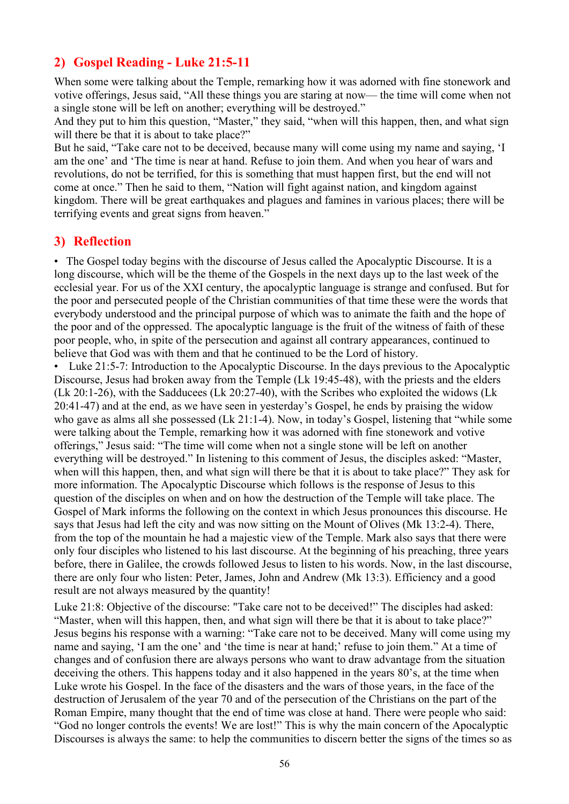### **2) Gospel Reading - Luke 21:5-11**

When some were talking about the Temple, remarking how it was adorned with fine stonework and votive offerings, Jesus said, "All these things you are staring at now— the time will come when not a single stone will be left on another; everything will be destroyed."

And they put to him this question, "Master," they said, "when will this happen, then, and what sign will there be that it is about to take place?"

But he said, "Take care not to be deceived, because many will come using my name and saying, 'I am the one' and 'The time is near at hand. Refuse to join them. And when you hear of wars and revolutions, do not be terrified, for this is something that must happen first, but the end will not come at once." Then he said to them, "Nation will fight against nation, and kingdom against kingdom. There will be great earthquakes and plagues and famines in various places; there will be terrifying events and great signs from heaven."

### **3) Reflection**

• The Gospel today begins with the discourse of Jesus called the Apocalyptic Discourse. It is a long discourse, which will be the theme of the Gospels in the next days up to the last week of the ecclesial year. For us of the XXI century, the apocalyptic language is strange and confused. But for the poor and persecuted people of the Christian communities of that time these were the words that everybody understood and the principal purpose of which was to animate the faith and the hope of the poor and of the oppressed. The apocalyptic language is the fruit of the witness of faith of these poor people, who, in spite of the persecution and against all contrary appearances, continued to believe that God was with them and that he continued to be the Lord of history.

• Luke 21:5-7: Introduction to the Apocalyptic Discourse. In the days previous to the Apocalyptic Discourse, Jesus had broken away from the Temple (Lk 19:45-48), with the priests and the elders (Lk 20:1-26), with the Sadducees (Lk 20:27-40), with the Scribes who exploited the widows (Lk 20:41-47) and at the end, as we have seen in yesterday's Gospel, he ends by praising the widow who gave as alms all she possessed (Lk 21:1-4). Now, in today's Gospel, listening that "while some were talking about the Temple, remarking how it was adorned with fine stonework and votive offerings," Jesus said: "The time will come when not a single stone will be left on another everything will be destroyed." In listening to this comment of Jesus, the disciples asked: "Master, when will this happen, then, and what sign will there be that it is about to take place?" They ask for more information. The Apocalyptic Discourse which follows is the response of Jesus to this question of the disciples on when and on how the destruction of the Temple will take place. The Gospel of Mark informs the following on the context in which Jesus pronounces this discourse. He says that Jesus had left the city and was now sitting on the Mount of Olives (Mk 13:2-4). There, from the top of the mountain he had a majestic view of the Temple. Mark also says that there were only four disciples who listened to his last discourse. At the beginning of his preaching, three years before, there in Galilee, the crowds followed Jesus to listen to his words. Now, in the last discourse, there are only four who listen: Peter, James, John and Andrew (Mk 13:3). Efficiency and a good result are not always measured by the quantity!

Luke 21:8: Objective of the discourse: "Take care not to be deceived!" The disciples had asked: "Master, when will this happen, then, and what sign will there be that it is about to take place?" Jesus begins his response with a warning: "Take care not to be deceived. Many will come using my name and saying, 'I am the one' and 'the time is near at hand;' refuse to join them." At a time of changes and of confusion there are always persons who want to draw advantage from the situation deceiving the others. This happens today and it also happened in the years 80's, at the time when Luke wrote his Gospel. In the face of the disasters and the wars of those years, in the face of the destruction of Jerusalem of the year 70 and of the persecution of the Christians on the part of the Roman Empire, many thought that the end of time was close at hand. There were people who said: "God no longer controls the events! We are lost!" This is why the main concern of the Apocalyptic Discourses is always the same: to help the communities to discern better the signs of the times so as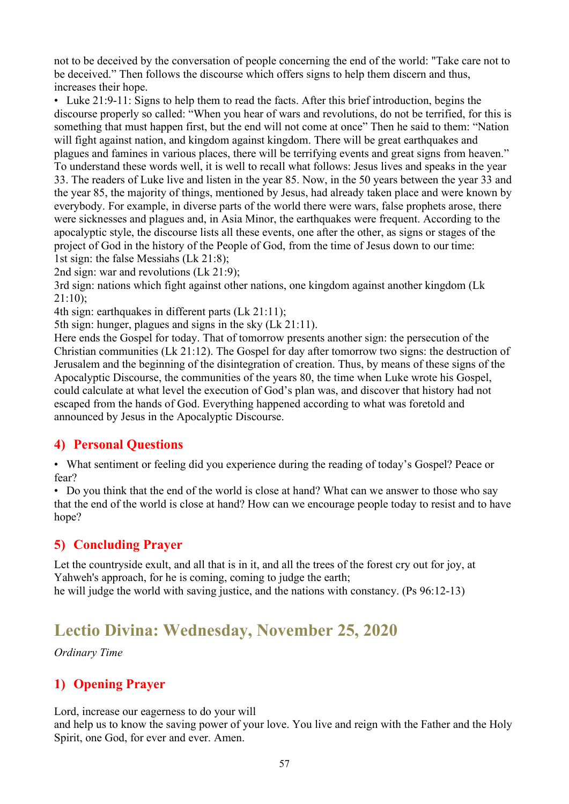not to be deceived by the conversation of people concerning the end of the world: "Take care not to be deceived." Then follows the discourse which offers signs to help them discern and thus, increases their hope.

• Luke 21:9-11: Signs to help them to read the facts. After this brief introduction, begins the discourse properly so called: "When you hear of wars and revolutions, do not be terrified, for this is something that must happen first, but the end will not come at once" Then he said to them: "Nation will fight against nation, and kingdom against kingdom. There will be great earthquakes and plagues and famines in various places, there will be terrifying events and great signs from heaven." To understand these words well, it is well to recall what follows: Jesus lives and speaks in the year 33. The readers of Luke live and listen in the year 85. Now, in the 50 years between the year 33 and the year 85, the majority of things, mentioned by Jesus, had already taken place and were known by everybody. For example, in diverse parts of the world there were wars, false prophets arose, there were sicknesses and plagues and, in Asia Minor, the earthquakes were frequent. According to the apocalyptic style, the discourse lists all these events, one after the other, as signs or stages of the project of God in the history of the People of God, from the time of Jesus down to our time: 1st sign: the false Messiahs (Lk 21:8);

2nd sign: war and revolutions (Lk 21:9);

3rd sign: nations which fight against other nations, one kingdom against another kingdom (Lk 21:10);

4th sign: earthquakes in different parts (Lk 21:11);

5th sign: hunger, plagues and signs in the sky (Lk 21:11).

Here ends the Gospel for today. That of tomorrow presents another sign: the persecution of the Christian communities (Lk 21:12). The Gospel for day after tomorrow two signs: the destruction of Jerusalem and the beginning of the disintegration of creation. Thus, by means of these signs of the Apocalyptic Discourse, the communities of the years 80, the time when Luke wrote his Gospel, could calculate at what level the execution of God's plan was, and discover that history had not escaped from the hands of God. Everything happened according to what was foretold and announced by Jesus in the Apocalyptic Discourse.

### **4) Personal Questions**

• What sentiment or feeling did you experience during the reading of today's Gospel? Peace or fear?

• Do you think that the end of the world is close at hand? What can we answer to those who say that the end of the world is close at hand? How can we encourage people today to resist and to have hope?

### **5) Concluding Prayer**

Let the countryside exult, and all that is in it, and all the trees of the forest cry out for joy, at Yahweh's approach, for he is coming, coming to judge the earth; he will judge the world with saving justice, and the nations with constancy. (Ps 96:12-13)

# <span id="page-56-0"></span>**Lectio Divina: Wednesday, November 25, 2020**

*Ordinary Time*

### **1) Opening Prayer**

Lord, increase our eagerness to do your will

and help us to know the saving power of your love. You live and reign with the Father and the Holy Spirit, one God, for ever and ever. Amen.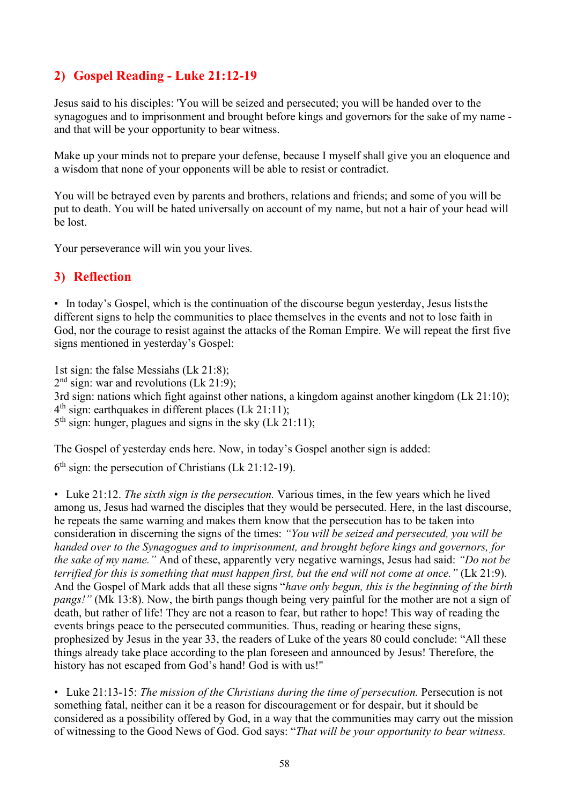# **2) Gospel Reading - Luke 21:12-19**

Jesus said to his disciples: 'You will be seized and persecuted; you will be handed over to the synagogues and to imprisonment and brought before kings and governors for the sake of my name and that will be your opportunity to bear witness.

Make up your minds not to prepare your defense, because I myself shall give you an eloquence and a wisdom that none of your opponents will be able to resist or contradict.

You will be betrayed even by parents and brothers, relations and friends; and some of you will be put to death. You will be hated universally on account of my name, but not a hair of your head will be lost.

Your perseverance will win you your lives.

## **3) Reflection**

• In today's Gospel, which is the continuation of the discourse begun yesterday, Jesus liststhe different signs to help the communities to place themselves in the events and not to lose faith in God, nor the courage to resist against the attacks of the Roman Empire. We will repeat the first five signs mentioned in yesterday's Gospel:

1st sign: the false Messiahs (Lk 21:8);

 $2<sup>nd</sup>$  sign: war and revolutions (Lk 21:9);

3rd sign: nations which fight against other nations, a kingdom against another kingdom (Lk 21:10);  $4<sup>th</sup>$  sign: earthquakes in different places (Lk 21:11);

 $5<sup>th</sup>$  sign: hunger, plagues and signs in the sky (Lk 21:11);

The Gospel of yesterday ends here. Now, in today's Gospel another sign is added:

 $6<sup>th</sup>$  sign: the persecution of Christians (Lk 21:12-19).

• Luke 21:12. *The sixth sign is the persecution.* Various times, in the few years which he lived among us, Jesus had warned the disciples that they would be persecuted. Here, in the last discourse, he repeats the same warning and makes them know that the persecution has to be taken into consideration in discerning the signs of the times: *"You will be seized and persecuted, you will be handed over to the Synagogues and to imprisonment, and brought before kings and governors, for the sake of my name."* And of these, apparently very negative warnings, Jesus had said: *"Do not be terrified for this is something that must happen first, but the end will not come at once."* (Lk 21:9). And the Gospel of Mark adds that all these signs "*have only begun, this is the beginning of the birth pangs!"* (Mk 13:8). Now, the birth pangs though being very painful for the mother are not a sign of death, but rather of life! They are not a reason to fear, but rather to hope! This way of reading the events brings peace to the persecuted communities. Thus, reading or hearing these signs, prophesized by Jesus in the year 33, the readers of Luke of the years 80 could conclude: "All these things already take place according to the plan foreseen and announced by Jesus! Therefore, the history has not escaped from God's hand! God is with us!"

• Luke 21:13-15: *The mission of the Christians during the time of persecution.* Persecution is not something fatal, neither can it be a reason for discouragement or for despair, but it should be considered as a possibility offered by God, in a way that the communities may carry out the mission of witnessing to the Good News of God. God says: "*That will be your opportunity to bear witness.*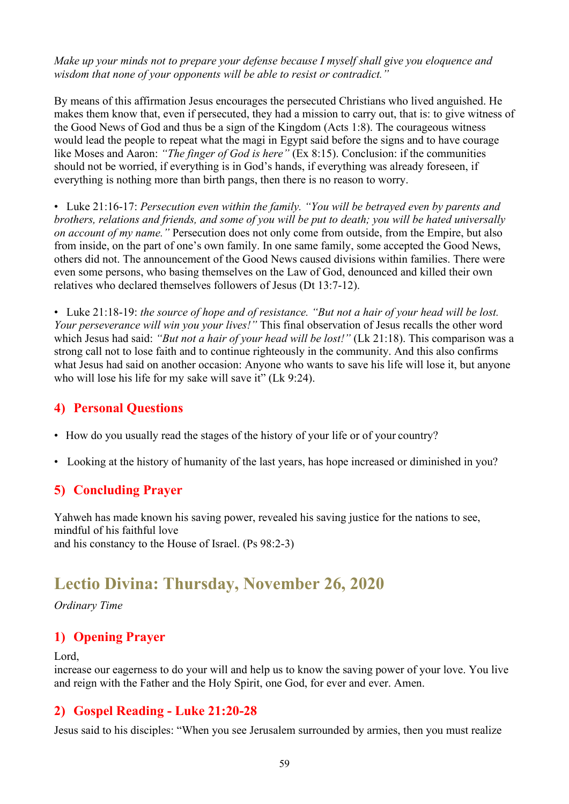*Make up your minds not to prepare your defense because I myself shall give you eloquence and wisdom that none of your opponents will be able to resist or contradict."*

By means of this affirmation Jesus encourages the persecuted Christians who lived anguished. He makes them know that, even if persecuted, they had a mission to carry out, that is: to give witness of the Good News of God and thus be a sign of the Kingdom (Acts 1:8). The courageous witness would lead the people to repeat what the magi in Egypt said before the signs and to have courage like Moses and Aaron: *"The finger of God is here"* (Ex 8:15). Conclusion: if the communities should not be worried, if everything is in God's hands, if everything was already foreseen, if everything is nothing more than birth pangs, then there is no reason to worry.

• Luke 21:16-17: *Persecution even within the family. "You will be betrayed even by parents and brothers, relations and friends, and some of you will be put to death; you will be hated universally on account of my name."* Persecution does not only come from outside, from the Empire, but also from inside, on the part of one's own family. In one same family, some accepted the Good News, others did not. The announcement of the Good News caused divisions within families. There were even some persons, who basing themselves on the Law of God, denounced and killed their own relatives who declared themselves followers of Jesus (Dt 13:7-12).

• Luke 21:18-19: *the source of hope and of resistance. "But not a hair of your head will be lost. Your perseverance will win you your lives!"* This final observation of Jesus recalls the other word which Jesus had said: *"But not a hair of your head will be lost!"* (Lk 21:18). This comparison was a strong call not to lose faith and to continue righteously in the community. And this also confirms what Jesus had said on another occasion: Anyone who wants to save his life will lose it, but anyone who will lose his life for my sake will save it" (Lk 9:24).

# **4) Personal Questions**

- How do you usually read the stages of the history of your life or of your country?
- Looking at the history of humanity of the last years, has hope increased or diminished in you?

# **5) Concluding Prayer**

Yahweh has made known his saving power, revealed his saving justice for the nations to see, mindful of his faithful love and his constancy to the House of Israel. (Ps 98:2-3)

# <span id="page-58-0"></span>**Lectio Divina: Thursday, November 26, 2020**

*Ordinary Time*

# **1) Opening Prayer**

Lord.

increase our eagerness to do your will and help us to know the saving power of your love. You live and reign with the Father and the Holy Spirit, one God, for ever and ever. Amen.

# **2) Gospel Reading - Luke 21:20-28**

Jesus said to his disciples: "When you see Jerusalem surrounded by armies, then you must realize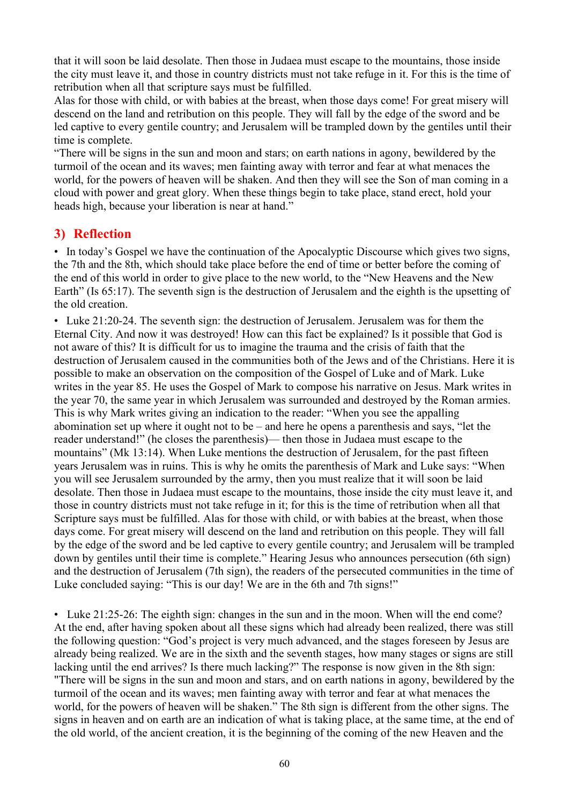that it will soon be laid desolate. Then those in Judaea must escape to the mountains, those inside the city must leave it, and those in country districts must not take refuge in it. For this is the time of retribution when all that scripture says must be fulfilled.

Alas for those with child, or with babies at the breast, when those days come! For great misery will descend on the land and retribution on this people. They will fall by the edge of the sword and be led captive to every gentile country; and Jerusalem will be trampled down by the gentiles until their time is complete.

"There will be signs in the sun and moon and stars; on earth nations in agony, bewildered by the turmoil of the ocean and its waves; men fainting away with terror and fear at what menaces the world, for the powers of heaven will be shaken. And then they will see the Son of man coming in a cloud with power and great glory. When these things begin to take place, stand erect, hold your heads high, because your liberation is near at hand."

### **3) Reflection**

• In today's Gospel we have the continuation of the Apocalyptic Discourse which gives two signs, the 7th and the 8th, which should take place before the end of time or better before the coming of the end of this world in order to give place to the new world, to the "New Heavens and the New Earth" (Is 65:17). The seventh sign is the destruction of Jerusalem and the eighth is the upsetting of the old creation.

• Luke 21:20-24. The seventh sign: the destruction of Jerusalem. Jerusalem was for them the Eternal City. And now it was destroyed! How can this fact be explained? Is it possible that God is not aware of this? It is difficult for us to imagine the trauma and the crisis of faith that the destruction of Jerusalem caused in the communities both of the Jews and of the Christians. Here it is possible to make an observation on the composition of the Gospel of Luke and of Mark. Luke writes in the year 85. He uses the Gospel of Mark to compose his narrative on Jesus. Mark writes in the year 70, the same year in which Jerusalem was surrounded and destroyed by the Roman armies. This is why Mark writes giving an indication to the reader: "When you see the appalling abomination set up where it ought not to be – and here he opens a parenthesis and says, "let the reader understand!" (he closes the parenthesis)— then those in Judaea must escape to the mountains" (Mk 13:14). When Luke mentions the destruction of Jerusalem, for the past fifteen years Jerusalem was in ruins. This is why he omits the parenthesis of Mark and Luke says: "When you will see Jerusalem surrounded by the army, then you must realize that it will soon be laid desolate. Then those in Judaea must escape to the mountains, those inside the city must leave it, and those in country districts must not take refuge in it; for this is the time of retribution when all that Scripture says must be fulfilled. Alas for those with child, or with babies at the breast, when those days come. For great misery will descend on the land and retribution on this people. They will fall by the edge of the sword and be led captive to every gentile country; and Jerusalem will be trampled down by gentiles until their time is complete." Hearing Jesus who announces persecution (6th sign) and the destruction of Jerusalem (7th sign), the readers of the persecuted communities in the time of Luke concluded saying: "This is our day! We are in the 6th and 7th signs!"

• Luke 21:25-26: The eighth sign: changes in the sun and in the moon. When will the end come? At the end, after having spoken about all these signs which had already been realized, there was still the following question: "God's project is very much advanced, and the stages foreseen by Jesus are already being realized. We are in the sixth and the seventh stages, how many stages or signs are still lacking until the end arrives? Is there much lacking?" The response is now given in the 8th sign: "There will be signs in the sun and moon and stars, and on earth nations in agony, bewildered by the turmoil of the ocean and its waves; men fainting away with terror and fear at what menaces the world, for the powers of heaven will be shaken." The 8th sign is different from the other signs. The signs in heaven and on earth are an indication of what is taking place, at the same time, at the end of the old world, of the ancient creation, it is the beginning of the coming of the new Heaven and the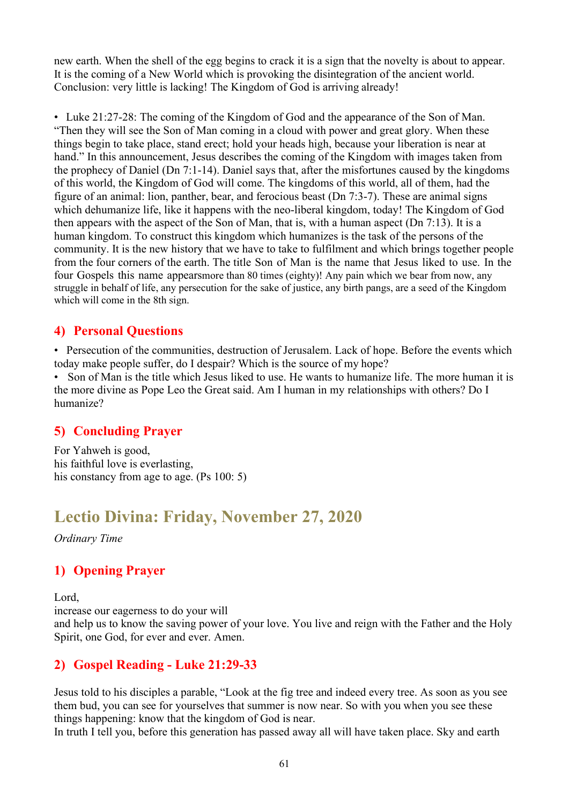new earth. When the shell of the egg begins to crack it is a sign that the novelty is about to appear. It is the coming of a New World which is provoking the disintegration of the ancient world. Conclusion: very little is lacking! The Kingdom of God is arriving already!

• Luke 21:27-28: The coming of the Kingdom of God and the appearance of the Son of Man. "Then they will see the Son of Man coming in a cloud with power and great glory. When these things begin to take place, stand erect; hold your heads high, because your liberation is near at hand." In this announcement, Jesus describes the coming of the Kingdom with images taken from the prophecy of Daniel (Dn 7:1-14). Daniel says that, after the misfortunes caused by the kingdoms of this world, the Kingdom of God will come. The kingdoms of this world, all of them, had the figure of an animal: lion, panther, bear, and ferocious beast (Dn 7:3-7). These are animal signs which dehumanize life, like it happens with the neo-liberal kingdom, today! The Kingdom of God then appears with the aspect of the Son of Man, that is, with a human aspect (Dn 7:13). It is a human kingdom. To construct this kingdom which humanizes is the task of the persons of the community. It is the new history that we have to take to fulfilment and which brings together people from the four corners of the earth. The title Son of Man is the name that Jesus liked to use. In the four Gospels this name appearsmore than 80 times (eighty)! Any pain which we bear from now, any struggle in behalf of life, any persecution for the sake of justice, any birth pangs, are a seed of the Kingdom which will come in the 8th sign.

### **4) Personal Questions**

• Persecution of the communities, destruction of Jerusalem. Lack of hope. Before the events which today make people suffer, do I despair? Which is the source of my hope?

• Son of Man is the title which Jesus liked to use. He wants to humanize life. The more human it is the more divine as Pope Leo the Great said. Am I human in my relationships with others? Do I humanize?

# **5) Concluding Prayer**

For Yahweh is good, his faithful love is everlasting, his constancy from age to age. (Ps 100: 5)

# <span id="page-60-0"></span>**Lectio Divina: Friday, November 27, 2020**

*Ordinary Time*

# **1) Opening Prayer**

Lord,

increase our eagerness to do your will

and help us to know the saving power of your love. You live and reign with the Father and the Holy Spirit, one God, for ever and ever. Amen.

### **2) Gospel Reading - Luke 21:29-33**

Jesus told to his disciples a parable, "Look at the fig tree and indeed every tree. As soon as you see them bud, you can see for yourselves that summer is now near. So with you when you see these things happening: know that the kingdom of God is near.

In truth I tell you, before this generation has passed away all will have taken place. Sky and earth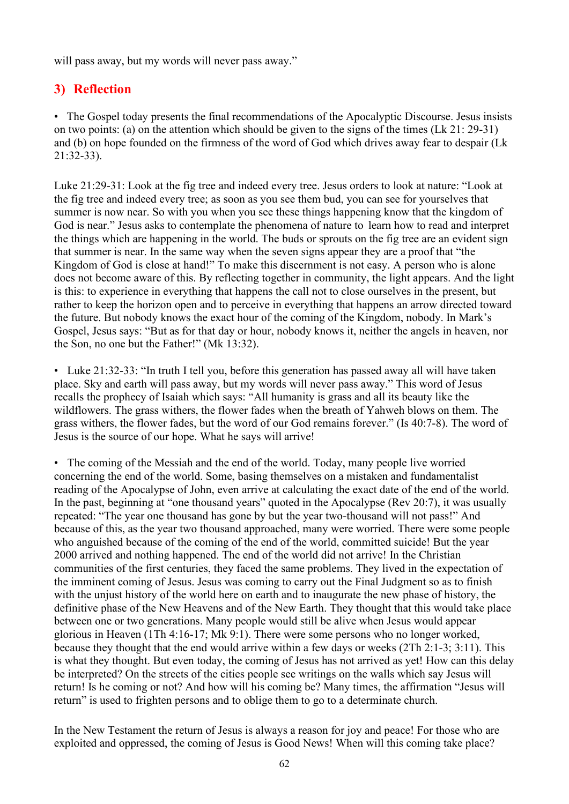will pass away, but my words will never pass away."

## **3) Reflection**

• The Gospel today presents the final recommendations of the Apocalyptic Discourse. Jesus insists on two points: (a) on the attention which should be given to the signs of the times (Lk 21: 29-31) and (b) on hope founded on the firmness of the word of God which drives away fear to despair (Lk 21:32-33).

Luke 21:29-31: Look at the fig tree and indeed every tree. Jesus orders to look at nature: "Look at the fig tree and indeed every tree; as soon as you see them bud, you can see for yourselves that summer is now near. So with you when you see these things happening know that the kingdom of God is near." Jesus asks to contemplate the phenomena of nature to learn how to read and interpret the things which are happening in the world. The buds or sprouts on the fig tree are an evident sign that summer is near. In the same way when the seven signs appear they are a proof that "the Kingdom of God is close at hand!" To make this discernment is not easy. A person who is alone does not become aware of this. By reflecting together in community, the light appears. And the light is this: to experience in everything that happens the call not to close ourselves in the present, but rather to keep the horizon open and to perceive in everything that happens an arrow directed toward the future. But nobody knows the exact hour of the coming of the Kingdom, nobody. In Mark's Gospel, Jesus says: "But as for that day or hour, nobody knows it, neither the angels in heaven, nor the Son, no one but the Father!" (Mk 13:32).

• Luke 21:32-33: "In truth I tell you, before this generation has passed away all will have taken place. Sky and earth will pass away, but my words will never pass away." This word of Jesus recalls the prophecy of Isaiah which says: "All humanity is grass and all its beauty like the wildflowers. The grass withers, the flower fades when the breath of Yahweh blows on them. The grass withers, the flower fades, but the word of our God remains forever." (Is 40:7-8). The word of Jesus is the source of our hope. What he says will arrive!

• The coming of the Messiah and the end of the world. Today, many people live worried concerning the end of the world. Some, basing themselves on a mistaken and fundamentalist reading of the Apocalypse of John, even arrive at calculating the exact date of the end of the world. In the past, beginning at "one thousand years" quoted in the Apocalypse (Rev 20:7), it was usually repeated: "The year one thousand has gone by but the year two-thousand will not pass!" And because of this, as the year two thousand approached, many were worried. There were some people who anguished because of the coming of the end of the world, committed suicide! But the year 2000 arrived and nothing happened. The end of the world did not arrive! In the Christian communities of the first centuries, they faced the same problems. They lived in the expectation of the imminent coming of Jesus. Jesus was coming to carry out the Final Judgment so as to finish with the unjust history of the world here on earth and to inaugurate the new phase of history, the definitive phase of the New Heavens and of the New Earth. They thought that this would take place between one or two generations. Many people would still be alive when Jesus would appear glorious in Heaven (1Th 4:16-17; Mk 9:1). There were some persons who no longer worked, because they thought that the end would arrive within a few days or weeks (2Th 2:1-3; 3:11). This is what they thought. But even today, the coming of Jesus has not arrived as yet! How can this delay be interpreted? On the streets of the cities people see writings on the walls which say Jesus will return! Is he coming or not? And how will his coming be? Many times, the affirmation "Jesus will return" is used to frighten persons and to oblige them to go to a determinate church.

In the New Testament the return of Jesus is always a reason for joy and peace! For those who are exploited and oppressed, the coming of Jesus is Good News! When will this coming take place?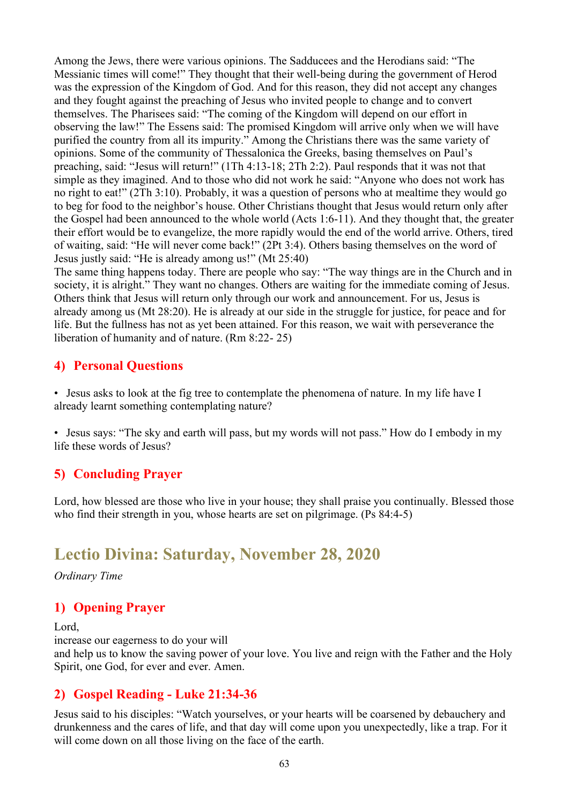Among the Jews, there were various opinions. The Sadducees and the Herodians said: "The Messianic times will come!" They thought that their well-being during the government of Herod was the expression of the Kingdom of God. And for this reason, they did not accept any changes and they fought against the preaching of Jesus who invited people to change and to convert themselves. The Pharisees said: "The coming of the Kingdom will depend on our effort in observing the law!" The Essens said: The promised Kingdom will arrive only when we will have purified the country from all its impurity." Among the Christians there was the same variety of opinions. Some of the community of Thessalonica the Greeks, basing themselves on Paul's preaching, said: "Jesus will return!" (1Th 4:13-18; 2Th 2:2). Paul responds that it was not that simple as they imagined. And to those who did not work he said: "Anyone who does not work has no right to eat!" (2Th 3:10). Probably, it was a question of persons who at mealtime they would go to beg for food to the neighbor's house. Other Christians thought that Jesus would return only after the Gospel had been announced to the whole world (Acts 1:6-11). And they thought that, the greater their effort would be to evangelize, the more rapidly would the end of the world arrive. Others, tired of waiting, said: "He will never come back!" (2Pt 3:4). Others basing themselves on the word of Jesus justly said: "He is already among us!" (Mt 25:40)

The same thing happens today. There are people who say: "The way things are in the Church and in society, it is alright." They want no changes. Others are waiting for the immediate coming of Jesus. Others think that Jesus will return only through our work and announcement. For us, Jesus is already among us (Mt 28:20). He is already at our side in the struggle for justice, for peace and for life. But the fullness has not as yet been attained. For this reason, we wait with perseverance the liberation of humanity and of nature. (Rm 8:22- 25)

### **4) Personal Questions**

• Jesus asks to look at the fig tree to contemplate the phenomena of nature. In my life have I already learnt something contemplating nature?

• Jesus says: "The sky and earth will pass, but my words will not pass." How do I embody in my life these words of Jesus?

### **5) Concluding Prayer**

<span id="page-62-0"></span>Lord, how blessed are those who live in your house; they shall praise you continually. Blessed those who find their strength in you, whose hearts are set on pilgrimage. (Ps 84:4-5)

# **Lectio Divina: Saturday, November 28, 2020**

*Ordinary Time*

### **1) Opening Prayer**

Lord,

increase our eagerness to do your will

and help us to know the saving power of your love. You live and reign with the Father and the Holy Spirit, one God, for ever and ever. Amen.

### **2) Gospel Reading - Luke 21:34-36**

Jesus said to his disciples: "Watch yourselves, or your hearts will be coarsened by debauchery and drunkenness and the cares of life, and that day will come upon you unexpectedly, like a trap. For it will come down on all those living on the face of the earth.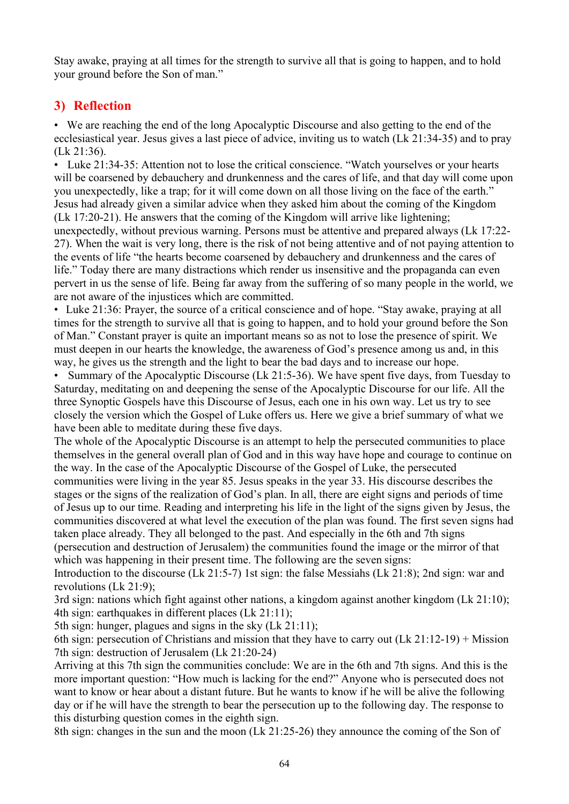Stay awake, praying at all times for the strength to survive all that is going to happen, and to hold your ground before the Son of man."

### **3) Reflection**

• We are reaching the end of the long Apocalyptic Discourse and also getting to the end of the ecclesiastical year. Jesus gives a last piece of advice, inviting us to watch (Lk 21:34-35) and to pray (Lk 21:36).

• Luke 21:34-35: Attention not to lose the critical conscience. "Watch yourselves or your hearts will be coarsened by debauchery and drunkenness and the cares of life, and that day will come upon you unexpectedly, like a trap; for it will come down on all those living on the face of the earth." Jesus had already given a similar advice when they asked him about the coming of the Kingdom (Lk 17:20-21). He answers that the coming of the Kingdom will arrive like lightening;

unexpectedly, without previous warning. Persons must be attentive and prepared always (Lk 17:22- 27). When the wait is very long, there is the risk of not being attentive and of not paying attention to the events of life "the hearts become coarsened by debauchery and drunkenness and the cares of life." Today there are many distractions which render us insensitive and the propaganda can even pervert in us the sense of life. Being far away from the suffering of so many people in the world, we are not aware of the injustices which are committed.

• Luke 21:36: Prayer, the source of a critical conscience and of hope. "Stay awake, praying at all times for the strength to survive all that is going to happen, and to hold your ground before the Son of Man." Constant prayer is quite an important means so as not to lose the presence of spirit. We must deepen in our hearts the knowledge, the awareness of God's presence among us and, in this way, he gives us the strength and the light to bear the bad days and to increase our hope.

• Summary of the Apocalyptic Discourse (Lk 21:5-36). We have spent five days, from Tuesday to Saturday, meditating on and deepening the sense of the Apocalyptic Discourse for our life. All the three Synoptic Gospels have this Discourse of Jesus, each one in his own way. Let us try to see closely the version which the Gospel of Luke offers us. Here we give a brief summary of what we have been able to meditate during these five days.

The whole of the Apocalyptic Discourse is an attempt to help the persecuted communities to place themselves in the general overall plan of God and in this way have hope and courage to continue on the way. In the case of the Apocalyptic Discourse of the Gospel of Luke, the persecuted communities were living in the year 85. Jesus speaks in the year 33. His discourse describes the stages or the signs of the realization of God's plan. In all, there are eight signs and periods of time of Jesus up to our time. Reading and interpreting his life in the light of the signs given by Jesus, the communities discovered at what level the execution of the plan was found. The first seven signs had taken place already. They all belonged to the past. And especially in the 6th and 7th signs

(persecution and destruction of Jerusalem) the communities found the image or the mirror of that which was happening in their present time. The following are the seven signs:

Introduction to the discourse (Lk 21:5-7) 1st sign: the false Messiahs (Lk 21:8); 2nd sign: war and revolutions (Lk 21:9);

3rd sign: nations which fight against other nations, a kingdom against another kingdom (Lk 21:10); 4th sign: earthquakes in different places (Lk 21:11);

5th sign: hunger, plagues and signs in the sky (Lk 21:11);

6th sign: persecution of Christians and mission that they have to carry out  $(Lk 21:12-19)$  + Mission 7th sign: destruction of Jerusalem (Lk 21:20-24)

Arriving at this 7th sign the communities conclude: We are in the 6th and 7th signs. And this is the more important question: "How much is lacking for the end?" Anyone who is persecuted does not want to know or hear about a distant future. But he wants to know if he will be alive the following day or if he will have the strength to bear the persecution up to the following day. The response to this disturbing question comes in the eighth sign.

8th sign: changes in the sun and the moon (Lk 21:25-26) they announce the coming of the Son of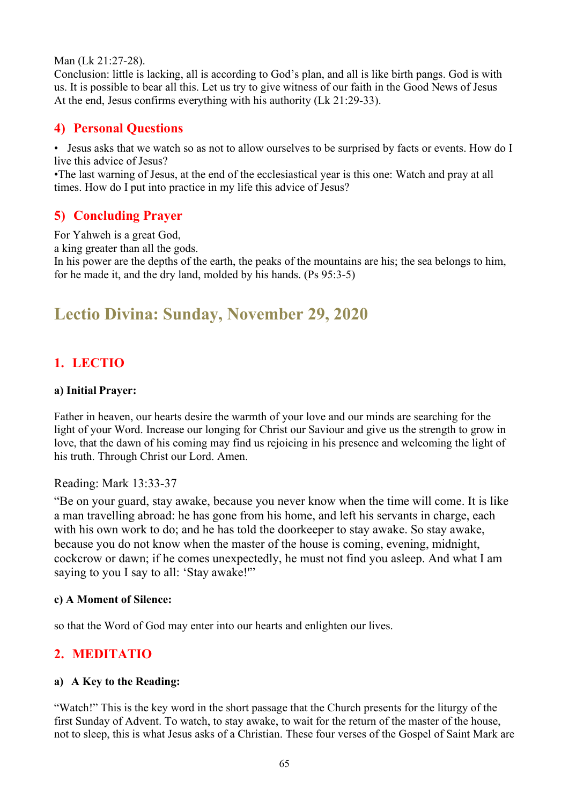Man (Lk 21:27-28).

Conclusion: little is lacking, all is according to God's plan, and all is like birth pangs. God is with us. It is possible to bear all this. Let us try to give witness of our faith in the Good News of Jesus At the end, Jesus confirms everything with his authority (Lk 21:29-33).

## **4) Personal Questions**

• Jesus asks that we watch so as not to allow ourselves to be surprised by facts or events. How do I live this advice of Jesus?

•The last warning of Jesus, at the end of the ecclesiastical year is this one: Watch and pray at all times. How do I put into practice in my life this advice of Jesus?

## **5) Concluding Prayer**

For Yahweh is a great God,

a king greater than all the gods.

In his power are the depths of the earth, the peaks of the mountains are his; the sea belongs to him, for he made it, and the dry land, molded by his hands. (Ps 95:3-5)

# <span id="page-64-0"></span>**Lectio Divina: Sunday, November 29, 2020**

# **1. LECTIO**

#### **a) Initial Prayer:**

Father in heaven, our hearts desire the warmth of your love and our minds are searching for the light of your Word. Increase our longing for Christ our Saviour and give us the strength to grow in love, that the dawn of his coming may find us rejoicing in his presence and welcoming the light of his truth. Through Christ our Lord. Amen.

### Reading: Mark 13:33-37

"Be on your guard, stay awake, because you never know when the time will come. It is like a man travelling abroad: he has gone from his home, and left his servants in charge, each with his own work to do; and he has told the doorkeeper to stay awake. So stay awake, because you do not know when the master of the house is coming, evening, midnight, cockcrow or dawn; if he comes unexpectedly, he must not find you asleep. And what I am saying to you I say to all: 'Stay awake!'"

#### **c) A Moment of Silence:**

so that the Word of God may enter into our hearts and enlighten our lives.

### **2. MEDITATIO**

### **a) A Key to the Reading:**

"Watch!" This is the key word in the short passage that the Church presents for the liturgy of the first Sunday of Advent. To watch, to stay awake, to wait for the return of the master of the house, not to sleep, this is what Jesus asks of a Christian. These four verses of the Gospel of Saint Mark are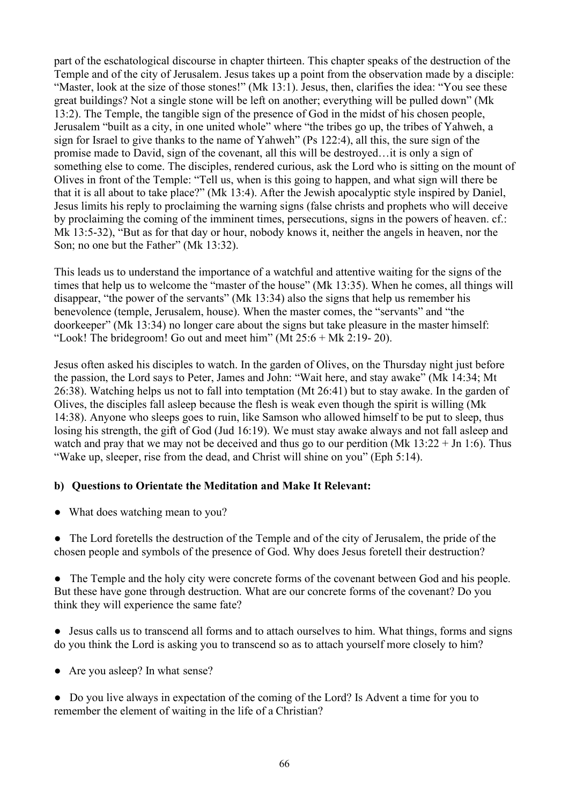part of the eschatological discourse in chapter thirteen. This chapter speaks of the destruction of the Temple and of the city of Jerusalem. Jesus takes up a point from the observation made by a disciple: "Master, look at the size of those stones!" (Mk 13:1). Jesus, then, clarifies the idea: "You see these great buildings? Not a single stone will be left on another; everything will be pulled down" (Mk 13:2). The Temple, the tangible sign of the presence of God in the midst of his chosen people, Jerusalem "built as a city, in one united whole" where "the tribes go up, the tribes of Yahweh, a sign for Israel to give thanks to the name of Yahweh" (Ps 122:4), all this, the sure sign of the promise made to David, sign of the covenant, all this will be destroyed…it is only a sign of something else to come. The disciples, rendered curious, ask the Lord who is sitting on the mount of Olives in front of the Temple: "Tell us, when is this going to happen, and what sign will there be that it is all about to take place?" (Mk 13:4). After the Jewish apocalyptic style inspired by Daniel, Jesus limits his reply to proclaiming the warning signs (false christs and prophets who will deceive by proclaiming the coming of the imminent times, persecutions, signs in the powers of heaven. cf.: Mk 13:5-32), "But as for that day or hour, nobody knows it, neither the angels in heaven, nor the Son; no one but the Father" (Mk 13:32).

This leads us to understand the importance of a watchful and attentive waiting for the signs of the times that help us to welcome the "master of the house" (Mk 13:35). When he comes, all things will disappear, "the power of the servants" (Mk 13:34) also the signs that help us remember his benevolence (temple, Jerusalem, house). When the master comes, the "servants" and "the doorkeeper" (Mk 13:34) no longer care about the signs but take pleasure in the master himself: "Look! The bridegroom! Go out and meet him" (Mt  $25:6 + Mk \cdot 2:19 - 20$ ).

Jesus often asked his disciples to watch. In the garden of Olives, on the Thursday night just before the passion, the Lord says to Peter, James and John: "Wait here, and stay awake" (Mk 14:34; Mt 26:38). Watching helps us not to fall into temptation (Mt 26:41) but to stay awake. In the garden of Olives, the disciples fall asleep because the flesh is weak even though the spirit is willing (Mk 14:38). Anyone who sleeps goes to ruin, like Samson who allowed himself to be put to sleep, thus losing his strength, the gift of God (Jud 16:19). We must stay awake always and not fall asleep and watch and pray that we may not be deceived and thus go to our perdition (Mk  $13:22 + Jn 1:6$ ). Thus "Wake up, sleeper, rise from the dead, and Christ will shine on you" (Eph 5:14).

#### **b) Questions to Orientate the Meditation and Make It Relevant:**

• What does watching mean to you?

• The Lord foretells the destruction of the Temple and of the city of Jerusalem, the pride of the chosen people and symbols of the presence of God. Why does Jesus foretell their destruction?

• The Temple and the holy city were concrete forms of the covenant between God and his people. But these have gone through destruction. What are our concrete forms of the covenant? Do you think they will experience the same fate?

● Jesus calls us to transcend all forms and to attach ourselves to him. What things, forms and signs do you think the Lord is asking you to transcend so as to attach yourself more closely to him?

- Are you asleep? In what sense?
- Do you live always in expectation of the coming of the Lord? Is Advent a time for you to remember the element of waiting in the life of a Christian?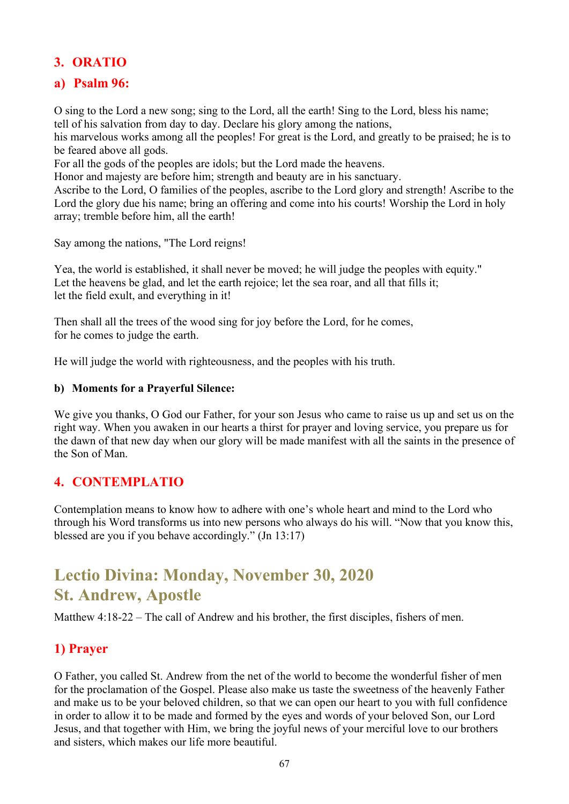## **3. ORATIO**

### **a) Psalm 96:**

O sing to the Lord a new song; sing to the Lord, all the earth! Sing to the Lord, bless his name; tell of his salvation from day to day. Declare his glory among the nations,

his marvelous works among all the peoples! For great is the Lord, and greatly to be praised; he is to be feared above all gods.

For all the gods of the peoples are idols; but the Lord made the heavens.

Honor and majesty are before him; strength and beauty are in his sanctuary.

Ascribe to the Lord, O families of the peoples, ascribe to the Lord glory and strength! Ascribe to the Lord the glory due his name; bring an offering and come into his courts! Worship the Lord in holy array; tremble before him, all the earth!

Say among the nations, "The Lord reigns!

Yea, the world is established, it shall never be moved; he will judge the peoples with equity." Let the heavens be glad, and let the earth rejoice; let the sea roar, and all that fills it; let the field exult, and everything in it!

Then shall all the trees of the wood sing for joy before the Lord, for he comes, for he comes to judge the earth.

He will judge the world with righteousness, and the peoples with his truth.

#### **b) Moments for a Prayerful Silence:**

We give you thanks, O God our Father, for your son Jesus who came to raise us up and set us on the right way. When you awaken in our hearts a thirst for prayer and loving service, you prepare us for the dawn of that new day when our glory will be made manifest with all the saints in the presence of the Son of Man.

### **4. CONTEMPLATIO**

Contemplation means to know how to adhere with one's whole heart and mind to the Lord who through his Word transforms us into new persons who always do his will. "Now that you know this, blessed are you if you behave accordingly." (Jn 13:17)

# <span id="page-66-0"></span>**Lectio Divina: Monday, November 30, 2020 St. Andrew, Apostle**

Matthew 4:18-22 – The call of Andrew and his brother, the first disciples, fishers of men.

### **1) Prayer**

O Father, you called St. Andrew from the net of the world to become the wonderful fisher of men for the proclamation of the Gospel. Please also make us taste the sweetness of the heavenly Father and make us to be your beloved children, so that we can open our heart to you with full confidence in order to allow it to be made and formed by the eyes and words of your beloved Son, our Lord Jesus, and that together with Him, we bring the joyful news of your merciful love to our brothers and sisters, which makes our life more beautiful.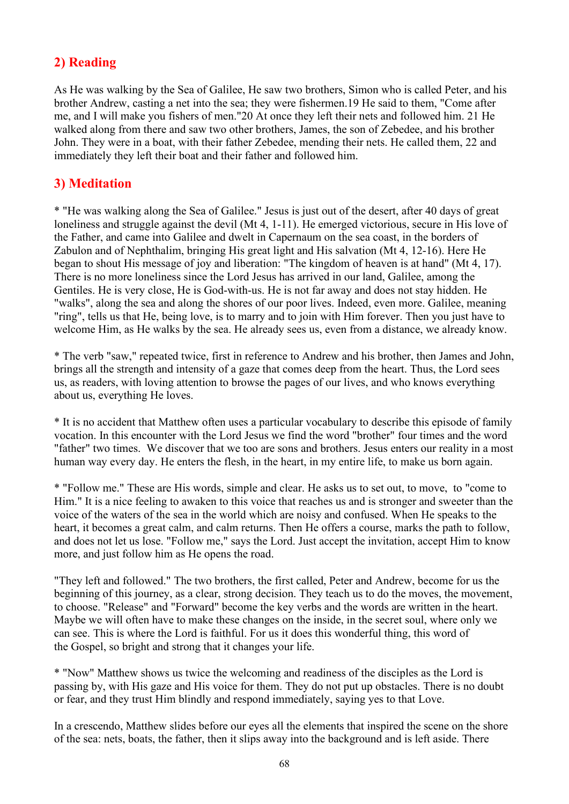# **2) Reading**

As He was walking by the Sea of Galilee, He saw two brothers, Simon who is called Peter, and his brother Andrew, casting a net into the sea; they were fishermen.19 He said to them, "Come after me, and I will make you fishers of men."20 At once they left their nets and followed him. 21 He walked along from there and saw two other brothers, James, the son of Zebedee, and his brother John. They were in a boat, with their father Zebedee, mending their nets. He called them, 22 and immediately they left their boat and their father and followed him.

## **3) Meditation**

\* "He was walking along the Sea of Galilee." Jesus is just out of the desert, after 40 days of great loneliness and struggle against the devil (Mt 4, 1-11). He emerged victorious, secure in His love of the Father, and came into Galilee and dwelt in Capernaum on the sea coast, in the borders of Zabulon and of Nephthalim, bringing His great light and His salvation (Mt 4, 12-16). Here He began to shout His message of joy and liberation: "The kingdom of heaven is at hand" (Mt 4, 17). There is no more loneliness since the Lord Jesus has arrived in our land, Galilee, among the Gentiles. He is very close, He is God-with-us. He is not far away and does not stay hidden. He "walks", along the sea and along the shores of our poor lives. Indeed, even more. Galilee, meaning "ring", tells us that He, being love, is to marry and to join with Him forever. Then you just have to welcome Him, as He walks by the sea. He already sees us, even from a distance, we already know.

\* The verb "saw," repeated twice, first in reference to Andrew and his brother, then James and John, brings all the strength and intensity of a gaze that comes deep from the heart. Thus, the Lord sees us, as readers, with loving attention to browse the pages of our lives, and who knows everything about us, everything He loves.

\* It is no accident that Matthew often uses a particular vocabulary to describe this episode of family vocation. In this encounter with the Lord Jesus we find the word "brother" four times and the word "father" two times. We discover that we too are sons and brothers. Jesus enters our reality in a most human way every day. He enters the flesh, in the heart, in my entire life, to make us born again.

\* "Follow me." These are His words, simple and clear. He asks us to set out, to move, to "come to Him." It is a nice feeling to awaken to this voice that reaches us and is stronger and sweeter than the voice of the waters of the sea in the world which are noisy and confused. When He speaks to the heart, it becomes a great calm, and calm returns. Then He offers a course, marks the path to follow, and does not let us lose. "Follow me," says the Lord. Just accept the invitation, accept Him to know more, and just follow him as He opens the road.

"They left and followed." The two brothers, the first called, Peter and Andrew, become for us the beginning of this journey, as a clear, strong decision. They teach us to do the moves, the movement, to choose. "Release" and "Forward" become the key verbs and the words are written in the heart. Maybe we will often have to make these changes on the inside, in the secret soul, where only we can see. This is where the Lord is faithful. For us it does this wonderful thing, this word of the Gospel, so bright and strong that it changes your life.

\* "Now" Matthew shows us twice the welcoming and readiness of the disciples as the Lord is passing by, with His gaze and His voice for them. They do not put up obstacles. There is no doubt or fear, and they trust Him blindly and respond immediately, saying yes to that Love.

In a crescendo, Matthew slides before our eyes all the elements that inspired the scene on the shore of the sea: nets, boats, the father, then it slips away into the background and is left aside. There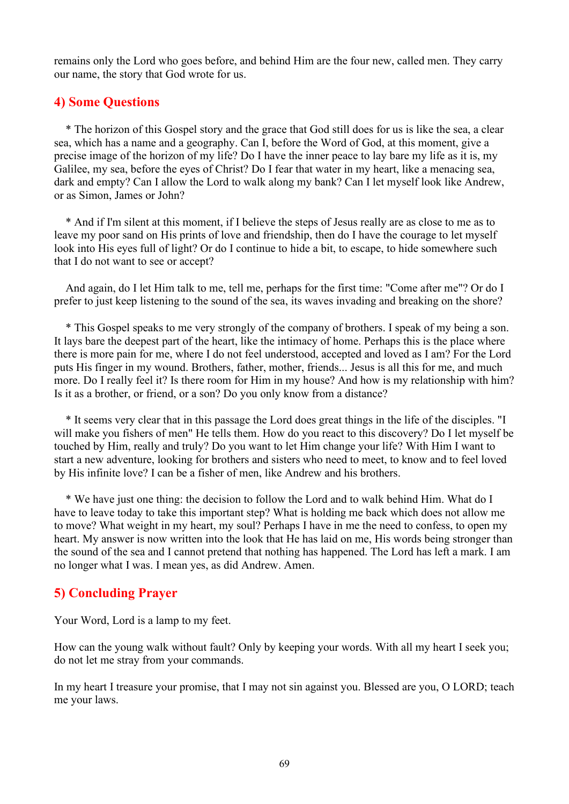remains only the Lord who goes before, and behind Him are the four new, called men. They carry our name, the story that God wrote for us.

### **4) Some Questions**

 \* The horizon of this Gospel story and the grace that God still does for us is like the sea, a clear sea, which has a name and a geography. Can I, before the Word of God, at this moment, give a precise image of the horizon of my life? Do I have the inner peace to lay bare my life as it is, my Galilee, my sea, before the eyes of Christ? Do I fear that water in my heart, like a menacing sea, dark and empty? Can I allow the Lord to walk along my bank? Can I let myself look like Andrew, or as Simon, James or John?

 \* And if I'm silent at this moment, if I believe the steps of Jesus really are as close to me as to leave my poor sand on His prints of love and friendship, then do I have the courage to let myself look into His eyes full of light? Or do I continue to hide a bit, to escape, to hide somewhere such that I do not want to see or accept?

 And again, do I let Him talk to me, tell me, perhaps for the first time: "Come after me"? Or do I prefer to just keep listening to the sound of the sea, its waves invading and breaking on the shore?

 \* This Gospel speaks to me very strongly of the company of brothers. I speak of my being a son. It lays bare the deepest part of the heart, like the intimacy of home. Perhaps this is the place where there is more pain for me, where I do not feel understood, accepted and loved as I am? For the Lord puts His finger in my wound. Brothers, father, mother, friends... Jesus is all this for me, and much more. Do I really feel it? Is there room for Him in my house? And how is my relationship with him? Is it as a brother, or friend, or a son? Do you only know from a distance?

 \* It seems very clear that in this passage the Lord does great things in the life of the disciples. "I will make you fishers of men" He tells them. How do you react to this discovery? Do I let myself be touched by Him, really and truly? Do you want to let Him change your life? With Him I want to start a new adventure, looking for brothers and sisters who need to meet, to know and to feel loved by His infinite love? I can be a fisher of men, like Andrew and his brothers.

 \* We have just one thing: the decision to follow the Lord and to walk behind Him. What do I have to leave today to take this important step? What is holding me back which does not allow me to move? What weight in my heart, my soul? Perhaps I have in me the need to confess, to open my heart. My answer is now written into the look that He has laid on me, His words being stronger than the sound of the sea and I cannot pretend that nothing has happened. The Lord has left a mark. I am no longer what I was. I mean yes, as did Andrew. Amen.

# **5) Concluding Prayer**

Your Word, Lord is a lamp to my feet.

How can the young walk without fault? Only by keeping your words. With all my heart I seek you; do not let me stray from your commands.

In my heart I treasure your promise, that I may not sin against you. Blessed are you, O LORD; teach me your laws.